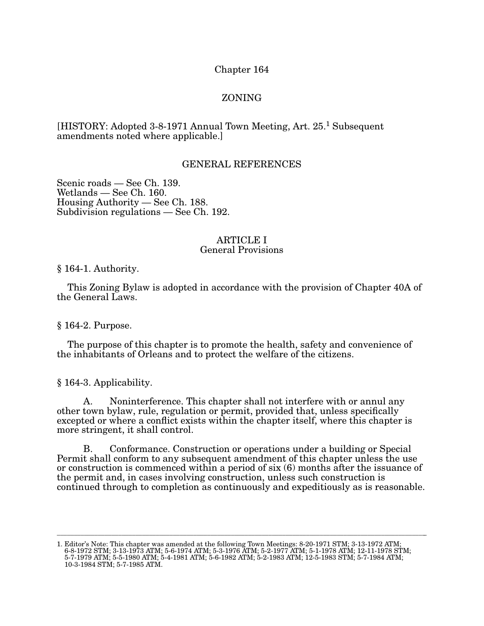## Chapter 164

# ZONING

## [HISTORY: Adopted 3-8-1971 Annual Town Meeting, Art. 25.<sup>1</sup> Subsequent amendments noted where applicable.]

## GENERAL REFERENCES

Scenic roads — See Ch. 139.  $Weltands - See Ch. 160.$ Housing Authority — See Ch. 188. Subdivision regulations — See Ch. 192.

# ARTICLE I

# General Provisions

§ 164-1. Authority.

This Zoning Bylaw is adopted in accordance with the provision of Chapter 40A of the General Laws.

§ 164-2. Purpose.

The purpose of this chapter is to promote the health, safety and convenience of the inhabitants of Orleans and to protect the welfare of the citizens.

§ 164-3. Applicability.

A. Noninterference. This chapter shall not interfere with or annul any other town bylaw, rule, regulation or permit, provided that, unless specifically excepted or where a conflict exists within the chapter itself, where this chapter is more stringent, it shall control.

B. Conformance. Construction or operations under a building or Special Permit shall conform to any subsequent amendment of this chapter unless the use or construction is commenced within a period of six (6) months after the issuance of the permit and, in cases involving construction, unless such construction is continued through to completion as continuously and expeditiously as is reasonable.

1. Editor's Note: This chapter was amended at the following Town Meetings: 8-20-1971 STM; 3-13-1972 ATM; 6-8-1972 STM; 3-13-1973 ATM; 5-6-1974 ATM; 5-3-1976 ATM; 5-2-1977 ATM; 5-1-1978 ATM; 12-11-1978 STM; 5-7-1979 ATM; 5-5-1980 ATM; 5-4-1981 ATM; 5-6-1982 ATM; 5-2-1983 ATM; 12-5-1983 STM; 5-7-1984 ATM; 10-3-1984 STM; 5-7-1985 ATM.

\_\_\_\_\_\_\_\_\_\_\_\_\_\_\_\_\_\_\_\_\_\_\_\_\_\_\_\_\_\_\_\_\_\_\_\_\_\_\_\_\_\_\_\_\_\_\_\_\_\_\_\_\_\_\_\_\_\_\_\_\_\_\_\_\_\_\_\_\_\_\_\_\_\_\_\_\_\_\_\_\_\_\_\_\_\_\_\_\_\_\_\_\_\_\_\_\_\_\_\_\_\_\_\_\_\_\_\_\_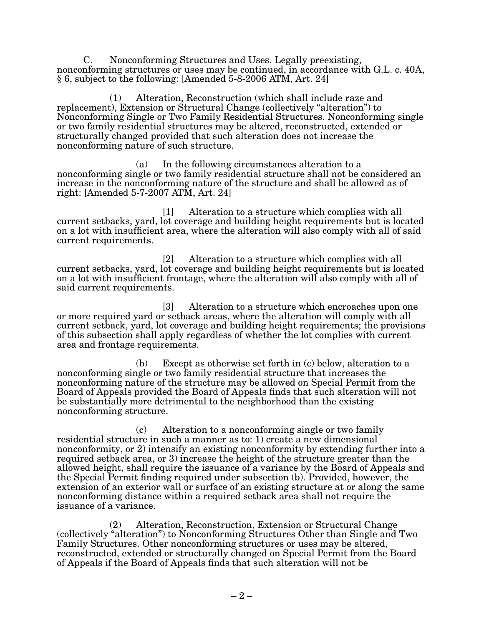C. Nonconforming Structures and Uses. Legally preexisting, nonconforming structures or uses may be continued, in accordance with G.L. c. 40A,  $\S 6$ , subject to the following: [Amended 5-8-2006 ATM, Art. 24]

(1) Alteration, Reconstruction (which shall include raze and replacement), Extension or Structural Change (collectively "alteration") to Nonconforming Single or Two Family Residential Structures. Nonconforming single or two family residential structures may be altered, reconstructed, extended or structurally changed provided that such alteration does not increase the nonconforming nature of such structure.

(a) In the following circumstances alteration to a nonconforming single or two family residential structure shall not be considered an increase in the nonconforming nature of the structure and shall be allowed as of right: [Amended  $5-7-2007$  ATM, Art. 24]

[1] Alteration to a structure which complies with all current setbacks, yard, lot coverage and building height requirements but is located on a lot with insufficient area, where the alteration will also comply with all of said current requirements.

[2] Alteration to a structure which complies with all current setbacks, yard, lot coverage and building height requirements but is located on a lot with insufficient frontage, where the alteration will also comply with all of said current requirements.

[3] Alteration to a structure which encroaches upon one or more required yard or setback areas, where the alteration will comply with all current setback, yard, lot coverage and building height requirements; the provisions of this subsection shall apply regardless of whether the lot complies with current area and frontage requirements.

(b) Except as otherwise set forth in (c) below, alteration to a nonconforming single or two family residential structure that increases the nonconforming nature of the structure may be allowed on Special Permit from the Board of Appeals provided the Board of Appeals finds that such alteration will not be substantially more detrimental to the neighborhood than the existing nonconforming structure.

(c) Alteration to a nonconforming single or two family residential structure in such a manner as to: 1) create a new dimensional nonconformity, or 2) intensify an existing nonconformity by extending further into a required setback area, or 3) increase the height of the structure greater than the allowed height, shall require the issuance of a variance by the Board of Appeals and the Special Permit finding required under subsection (b). Provided, however, the extension of an exterior wall or surface of an existing structure at or along the same nonconforming distance within a required setback area shall not require the issuance of a variance.

(2) Alteration, Reconstruction, Extension or Structural Change (collectively "alteration") to Nonconforming Structures Other than Single and Two Family Structures. Other nonconforming structures or uses may be altered, reconstructed, extended or structurally changed on Special Permit from the Board of Appeals if the Board of Appeals finds that such alteration will not be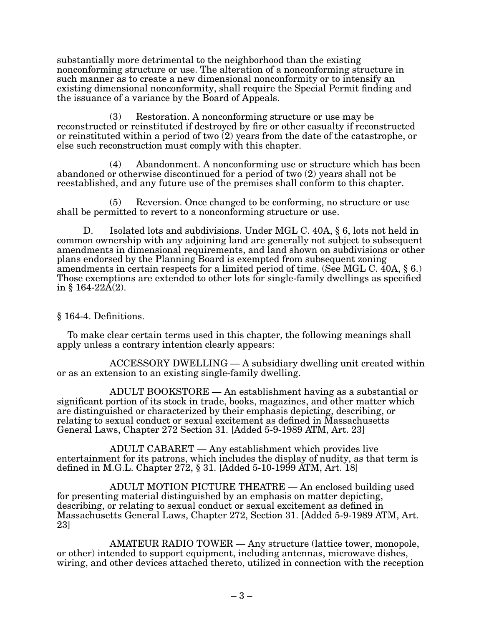substantially more detrimental to the neighborhood than the existing nonconforming structure or use. The alteration of a nonconforming structure in such manner as to create a new dimensional nonconformity or to intensify an existing dimensional nonconformity, shall require the Special Permit finding and the issuance of a variance by the Board of Appeals.

(3) Restoration. A nonconforming structure or use may be reconstructed or reinstituted if destroyed by fire or other casualty if reconstructed or reinstituted within a period of two (2) years from the date of the catastrophe, or else such reconstruction must comply with this chapter.

(4) Abandonment. A nonconforming use or structure which has been abandoned or otherwise discontinued for a period of two (2) years shall not be reestablished, and any future use of the premises shall conform to this chapter.

(5) Reversion. Once changed to be conforming, no structure or use shall be permitted to revert to a nonconforming structure or use.

D. Isolated lots and subdivisions. Under MGL C. 40A, § 6, lots not held in common ownership with any adjoining land are generally not subject to subsequent amendments in dimensional requirements, and land shown on subdivisions or other plans endorsed by the Planning Board is exempted from subsequent zoning amendments in certain respects for a limited period of time. (See MGL C. 40A, § 6.) Those exemptions are extended to other lots for single-family dwellings as specified in  $§$  164-22A(2).

## § 164-4. Definitions.

To make clear certain terms used in this chapter, the following meanings shall apply unless a contrary intention clearly appears:

ACCESSORY DWELLING — A subsidiary dwelling unit created within or as an extension to an existing single-family dwelling.

ADULT BOOKSTORE — An establishment having as a substantial or significant portion of its stock in trade, books, magazines, and other matter which are distinguished or characterized by their emphasis depicting, describing, or relating to sexual conduct or sexual excitement as defined in Massachusetts General Laws, Chapter 272 Section 31. [Added 5-9-1989 ATM, Art. 23]

ADULT CABARET — Any establishment which provides live entertainment for its patrons, which includes the display of nudity, as that term is defined in M.G.L. Chapter 272,  $\S 31.$  [Added 5-10-1999 ATM, Art. 18]

ADULT MOTION PICTURE THEATRE  $-$  An enclosed building used for presenting material distinguished by an emphasis on matter depicting, describing, or relating to sexual conduct or sexual excitement as defined in Massachusetts General Laws, Chapter 272, Section 31. [Added 5-9-1989 ATM, Art. 23]

AMATEUR RADIO TOWER — Any structure (lattice tower, monopole, or other) intended to support equipment, including antennas, microwave dishes, wiring, and other devices attached thereto, utilized in connection with the reception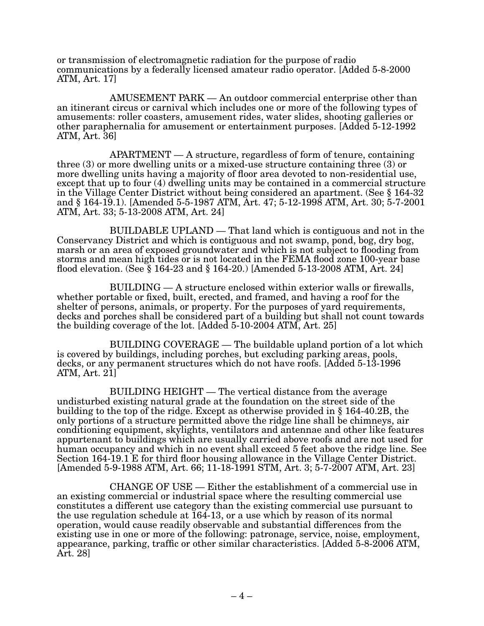or transmission of electromagnetic radiation for the purpose of radio communications by a federally licensed amateur radio operator. [Added 5-8-2000 ATM, Art. 17]

 $AMUSEMENT$   $PARK$  — An outdoor commercial enterprise other than an itinerant circus or carnival which includes one or more of the following types of amusements: roller coasters, amusement rides, water slides, shooting galleries or other paraphernalia for amusement or entertainment purposes. [Added 5-12-1992 ATM, Art. 36]

 $APARTMENT - A structure, regardless of form of tenure, containing$ three (3) or more dwelling units or a mixed-use structure containing three (3) or more dwelling units having a majority of floor area devoted to non-residential use, except that up to four (4) dwelling units may be contained in a commercial structure in the Village Center District without being considered an apartment. (See § 164-32 and § 164-19.1). [Amended 5-5-1987 ATM, Art. 47; 5-12-1998 ATM, Art. 30; 5-7-2001 ATM, Art. 33; 5-13-2008 ATM, Art. 24]

BUILDABLE UPLAND — That land which is contiguous and not in the Conservancy District and which is contiguous and not swamp, pond, bog, dry bog, marsh or an area of exposed groundwater and which is not subject to flooding from storms and mean high tides or is not located in the FEMA flood zone 100-year base flood elevation. (See  $\S 164-23$  and  $\S 164-20$ .) [Amended 5-13-2008 ATM, Art. 24]

BUILDING — A structure enclosed within exterior walls or firewalls, whether portable or fixed, built, erected, and framed, and having a roof for the shelter of persons, animals, or property. For the purposes of yard requirements, decks and porches shall be considered part of a building but shall not count towards the building coverage of the lot. [Added  $5-10-2004$  ATM, Art. 25]

BUILDING COVERAGE — The buildable upland portion of a lot which is covered by buildings, including porches, but excluding parking areas, pools, decks, or any permanent structures which do not have roofs. [Added 5-13-1996 ATM, Art. 21]

BUILDING HEIGHT — The vertical distance from the average undisturbed existing natural grade at the foundation on the street side of the building to the top of the ridge. Except as otherwise provided in § 164-40.2B, the only portions of a structure permitted above the ridge line shall be chimneys, air conditioning equipment, skylights, ventilators and antennae and other like features appurtenant to buildings which are usually carried above roofs and are not used for human occupancy and which in no event shall exceed 5 feet above the ridge line. See Section 164-19.1 E for third floor housing allowance in the Village Center District. [Amended 5-9-1988 ATM, Art. 66; 11-18-1991 STM, Art. 3; 5-7-2007 ATM, Art. 23]

CHANGE OF USE — Either the establishment of a commercial use in an existing commercial or industrial space where the resulting commercial use constitutes a different use category than the existing commercial use pursuant to the use regulation schedule at 164-13, or a use which by reason of its normal operation, would cause readily observable and substantial differences from the existing use in one or more of the following: patronage, service, noise, employment, appearance, parking, traffic or other similar characteristics. [Added  $5$ -8-2006 ATM, Art. 28]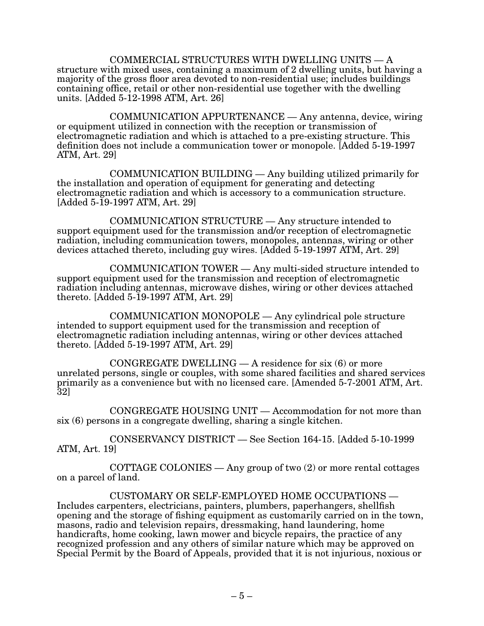COMMERCIAL STRUCTURES WITH DWELLING UNITS — A structure with mixed uses, containing a maximum of 2 dwelling units, but having a majority of the gross floor area devoted to non-residential use; includes buildings containing office, retail or other non-residential use together with the dwelling units. [Added 5-12-1998 ATM, Art. 26]

COMMUNICATION APPURTENANCE — Any antenna, device, wiring or equipment utilized in connection with the reception or transmission of electromagnetic radiation and which is attached to a pre-existing structure. This definition does not include a communication tower or monopole. [Added 5-19-1997 ATM, Art. 29]

 $COMMUNICATION BULDING  $—$  Any building utilized primarily for$ the installation and operation of equipment for generating and detecting electromagnetic radiation and which is accessory to a communication structure.  $[Added 5-19-1997 ATM, Art. 29]$ 

COMMUNICATION STRUCTURE — Any structure intended to support equipment used for the transmission and/or reception of electromagnetic radiation, including communication towers, monopoles, antennas, wiring or other devices attached thereto, including guy wires. [Added  $5-19-1997$  ATM, Art. 29]

COMMUNICATION TOWER — Any multi-sided structure intended to support equipment used for the transmission and reception of electromagnetic radiation including antennas, microwave dishes, wiring or other devices attached thereto. [Added  $5-19-1997$  ATM, Art. 29]

COMMUNICATION MONOPOLE — Any cylindrical pole structure intended to support equipment used for the transmission and reception of electromagnetic radiation including antennas, wiring or other devices attached thereto. [Added  $5-19-1997$  ATM, Art. 29]

CONGREGATE DWELLING — A residence for  $s$ ix  $(6)$  or more unrelated persons, single or couples, with some shared facilities and shared services primarily as a convenience but with no licensed care. [Amended 5-7-2001 ATM, Art. 32]

CONGREGATE HOUSING UNIT — Accommodation for not more than six (6) persons in a congregate dwelling, sharing a single kitchen.

 $CONSERVANCY DISTRICT - See Section 164-15.$  [Added 5-10-1999 ATM, Art. 19]

COTTAGE COLONIES — Any group of two  $(2)$  or more rental cottages on a parcel of land.

 $CUSTOMARY$  OR SELF-EMPLOYED HOME OCCUPATIONS  $-$ Includes carpenters, electricians, painters, plumbers, paperhangers, shellfish opening and the storage of fishing equipment as customarily carried on in the town, masons, radio and television repairs, dressmaking, hand laundering, home handicrafts, home cooking, lawn mower and bicycle repairs, the practice of any recognized profession and any others of similar nature which may be approved on Special Permit by the Board of Appeals, provided that it is not injurious, noxious or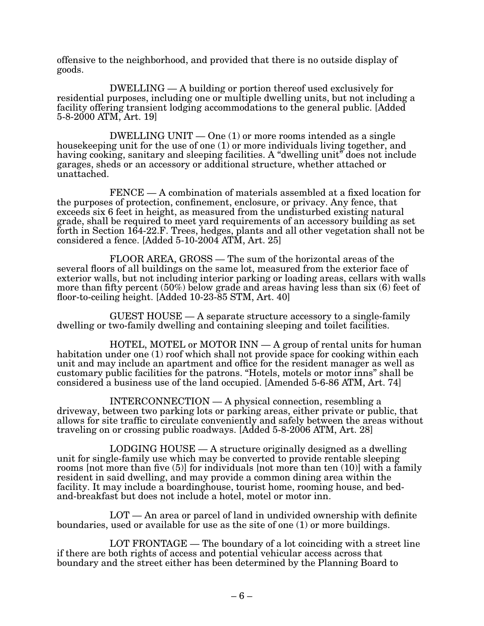offensive to the neighborhood, and provided that there is no outside display of goods.

DWELLING — A building or portion thereof used exclusively for residential purposes, including one or multiple dwelling units, but not including a facility offering transient lodging accommodations to the general public. [Added  $5-8-2000$  ATM, Art. 19]

DWELLING UNIT — One (1) or more rooms intended as a single housekeeping unit for the use of one (1) or more individuals living together, and having cooking, sanitary and sleeping facilities. A "dwelling unit" does not include garages, sheds or an accessory or additional structure, whether attached or unattached.

FENCE — A combination of materials assembled at a fixed location for the purposes of protection, confinement, enclosure, or privacy. Any fence, that exceeds six 6 feet in height, as measured from the undisturbed existing natural grade, shall be required to meet yard requirements of an accessory building as set forth in Section 164-22.F. Trees, hedges, plants and all other vegetation shall not be considered a fence. [Added  $5-10-2004$  ATM, Art. 25]

FLOOR AREA, GROSS — The sum of the horizontal areas of the several floors of all buildings on the same lot, measured from the exterior face of exterior walls, but not including interior parking or loading areas, cellars with walls more than fifty percent (50%) below grade and areas having less than six (6) feet of floor-to-ceiling height. [Added 10-23-85 STM, Art. 40]

GUEST HOUSE — A separate structure accessory to a single-family dwelling or two-family dwelling and containing sleeping and toilet facilities.

HOTEL, MOTEL or MOTOR INN — A group of rental units for human habitation under one (1) roof which shall not provide space for cooking within each unit and may include an apartment and office for the resident manager as well as customary public facilities for the patrons. "Hotels, motels or motor inns" shall be considered a business use of the land occupied. [Amended  $5-6-86$  ATM, Art. 74]

INTERCONNECTION — A physical connection, resembling a driveway, between two parking lots or parking areas, either private or public, that allows for site traffic to circulate conveniently and safely between the areas without traveling on or crossing public roadways. [Added 5-8-2006 ATM, Art. 28]

LODGING HOUSE — A structure originally designed as a dwelling unit for single-family use which may be converted to provide rentable sleeping rooms [not more than five (5)] for individuals [not more than ten (10)] with a family resident in said dwelling, and may provide a common dining area within the facility. It may include a boardinghouse, tourist home, rooming house, and bedand-breakfast but does not include a hotel, motel or motor inn.

LOT — An area or parcel of land in undivided ownership with definite boundaries, used or available for use as the site of one (1) or more buildings.

LOT FRONTAGE  $-$  The boundary of a lot coinciding with a street line if there are both rights of access and potential vehicular access across that boundary and the street either has been determined by the Planning Board to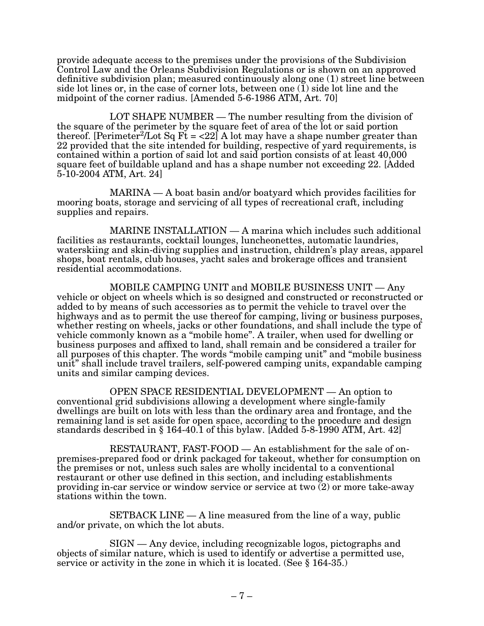provide adequate access to the premises under the provisions of the Subdivision Control Law and the Orleans Subdivision Regulations or is shown on an approved definitive subdivision plan; measured continuously along one (1) street line between side lot lines or, in the case of corner lots, between one  $(1)$  side lot line and the midpoint of the corner radius. [Amended 5-6-1986 ATM, Art. 70]

LOT SHAPE NUMBER — The number resulting from the division of the square of the perimeter by the square feet of area of the lot or said portion thereof. [Perimeter<sup>2</sup>/Lot Sq Ft =  $\langle 22 \rangle$ ] A lot may have a shape number greater than 22 provided that the site intended for building, respective of yard requirements, is contained within a portion of said lot and said portion consists of at least 40,000 square feet of buildable upland and has a shape number not exceeding 22. [Added 5-10-2004 ATM, Art. 24]

MARINA — A boat basin and/or boatyard which provides facilities for mooring boats, storage and servicing of all types of recreational craft, including supplies and repairs.

MARINE INSTALLATION  $-$  A marina which includes such additional facilities as restaurants, cocktail lounges, luncheonettes, automatic laundries, waterskiing and skin-diving supplies and instruction, children's play areas, apparel shops, boat rentals, club houses, yacht sales and brokerage offices and transient residential accommodations.

MOBILE CAMPING UNIT and MOBILE BUSINESS UNIT — Any vehicle or object on wheels which is so designed and constructed or reconstructed or added to by means of such accessories as to permit the vehicle to travel over the highways and as to permit the use thereof for camping, living or business purposes, whether resting on wheels, jacks or other foundations, and shall include the type of vehicle commonly known as a "mobile home". A trailer, when used for dwelling or business purposes and affixed to land, shall remain and be considered a trailer for all purposes of this chapter. The words "mobile camping unit" and "mobile business unit" shall include travel trailers, self-powered camping units, expandable camping units and similar camping devices.

OPEN SPACE RESIDENTIAL DEVELOPMENT  $-$  An option to conventional grid subdivisions allowing a development where single-family dwellings are built on lots with less than the ordinary area and frontage, and the remaining land is set aside for open space, according to the procedure and design standards described in  $\S 164-40.1$  of this bylaw. [Added 5-8-1990 ATM, Art. 42]

 $RESTAURANT$ ,  $FAST-FOOD - An establishment for the sale of on$ premises-prepared food or drink packaged for takeout, whether for consumption on the premises or not, unless such sales are wholly incidental to a conventional restaurant or other use defined in this section, and including establishments providing in-car service or window service or service at two  $(2)$  or more take-away stations within the town.

SETBACK LINE — A line measured from the line of a way, public and/or private, on which the lot abuts.

SIGN — Any device, including recognizable logos, pictographs and objects of similar nature, which is used to identify or advertise a permitted use, service or activity in the zone in which it is located. (See § 164-35.)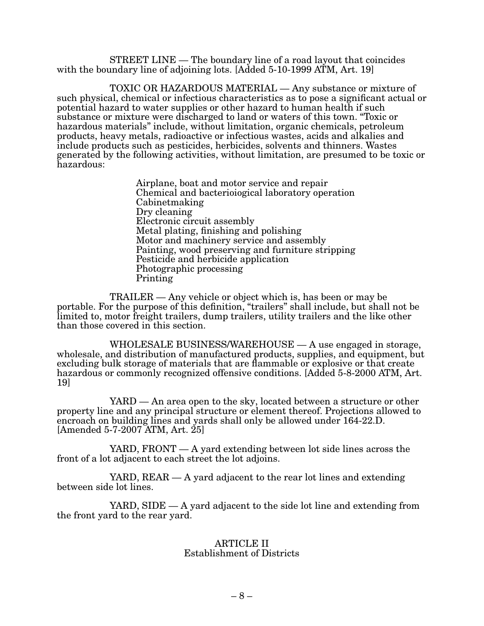STREET LINE — The boundary line of a road layout that coincides with the boundary line of adjoining lots. [Added  $5-10-1999$  ATM, Art. 19]

TOXIC OR HAZARDOUS MATERIAL — Any substance or mixture of such physical, chemical or infectious characteristics as to pose a significant actual or potential hazard to water supplies or other hazard to human health if such substance or mixture were discharged to land or waters of this town. "Toxic or hazardous materials" include, without limitation, organic chemicals, petroleum products, heavy metals, radioactive or infectious wastes, acids and alkalies and include products such as pesticides, herbicides, solvents and thinners. Wastes generated by the following activities, without limitation, are presumed to be toxic or hazardous:

> Airplane, boat and motor service and repair Chemical and bacterioiogical laboratory operation Cabinetmaking Dry cleaning Electronic circuit assembly Metal plating, finishing and polishing Motor and machinery service and assembly Painting, wood preserving and furniture stripping Pesticide and herbicide application Photographic processing Printing

TRAILER — Any vehicle or object which is, has been or may be portable. For the purpose of this definition, "trailers" shall include, but shall not be limited to, motor freight trailers, dump trailers, utility trailers and the like other than those covered in this section.

WHOLESALE BUSINESS/WAREHOUSE  $- A$  use engaged in storage, wholesale, and distribution of manufactured products, supplies, and equipment, but excluding bulk storage of materials that are flammable or explosive or that create hazardous or commonly recognized offensive conditions. [Added 5-8-2000 ATM, Art. 19]

 $YARD$  — An area open to the sky, located between a structure or other property line and any principal structure or element thereof. Projections allowed to encroach on building lines and yards shall only be allowed under 164-22.D.  $[Amended 5-7-2007 ATM, Art. 25]$ 

YARD, FRONT  $- A$  yard extending between lot side lines across the front of a lot adjacent to each street the lot adjoins.

YARD,  $REAR - A$  yard adjacent to the rear lot lines and extending between side lot lines.

YARD, SIDE  $-$  A yard adjacent to the side lot line and extending from the front yard to the rear yard.

### ARTICLE II Establishment of Districts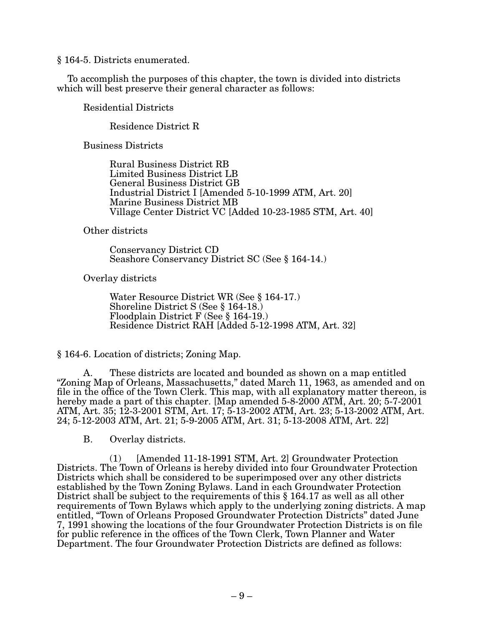§ 164-5. Districts enumerated.

To accomplish the purposes of this chapter, the town is divided into districts which will best preserve their general character as follows:

Residential Districts

Residence District R

Business Districts

Rural Business District RB Limited Business District LB General Business District GB Industrial District I [Amended 5-10-1999 ATM, Art. 20] Marine Business District MB Village Center District VC [Added 10-23-1985 STM, Art. 40]

Other districts

Conservancy District CD Seashore Conservancy District SC (See § 164-14.)

Overlay districts

Water Resource District WR (See  $\S 164-17$ .) Shoreline District S (See § 164-18.) Floodplain District F (See § 164-19.) Residence District RAH [Added 5-12-1998 ATM, Art. 32]

§ 164-6. Location of districts; Zoning Map.

A. These districts are located and bounded as shown on a map entitled "Zoning Map of Orleans, Massachusetts," dated March 11, 1963, as amended and on file in the office of the Town Clerk. This map, with all explanatory matter thereon, is hereby made a part of this chapter. [Map amended  $5-8-2000$  ATM, Art.  $20; 5-7-2001$ ATM, Art. 35; 12-3-2001 STM, Art. 17; 5-13-2002 ATM, Art. 23; 5-13-2002 ATM, Art.  $24; 5-12-2003$  ATM, Art.  $21; 5-9-2005$  ATM, Art.  $31; 5-13-2008$  ATM, Art.  $22]$ 

B. Overlay districts.

(1) [Amended 11-18-1991 STM, Art. 2] Groundwater Protection Districts. The Town of Orleans is hereby divided into four Groundwater Protection Districts which shall be considered to be superimposed over any other districts established by the Town Zoning Bylaws. Land in each Groundwater Protection District shall be subject to the requirements of this § 164.17 as well as all other requirements of Town Bylaws which apply to the underlying zoning districts. A map entitled, "Town of Orleans Proposed Groundwater Protection Districts" dated June 7, 1991 showing the locations of the four Groundwater Protection Districts is on file for public reference in the offices of the Town Clerk, Town Planner and Water Department. The four Groundwater Protection Districts are defined as follows: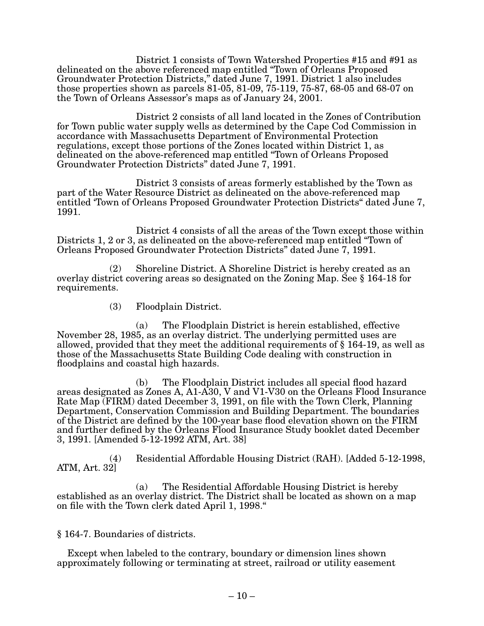District 1 consists of Town Watershed Properties #15 and #91 as delineated on the above referenced map entitled "Town of Orleans Proposed Groundwater Protection Districts," dated June 7, 1991. District 1 also includes those properties shown as parcels 81-05, 81-09, 75-119, 75-87, 68-05 and 68-07 on the Town of Orleans Assessor's maps as of January 24, 2001.

> District 2 consists of all land located in the Zones of Contribution for Town public water supply wells as determined by the Cape Cod Commission in accordance with Massachusetts Department of Environmental Protection regulations, except those portions of the Zones located within District 1, as delineated on the above-referenced map entitled "Town of Orleans Proposed Groundwater Protection Districts" dated June 7, 1991.

District 3 consists of areas formerly established by the Town as part of the Water Resource District as delineated on the above-referenced map entitled 'Town of Orleans Proposed Groundwater Protection Districts" dated June 7, 1991.

District 4 consists of all the areas of the Town except those within Districts 1, 2 or 3, as delineated on the above-referenced map entitled "Town of Orleans Proposed Groundwater Protection Districts" dated June 7, 1991.

(2) Shoreline District. A Shoreline District is hereby created as an overlay district covering areas so designated on the Zoning Map. See § 164-18 for requirements.

(3) Floodplain District.

(a) The Floodplain District is herein established, effective November 28, 1985, as an overlay district. The underlying permitted uses are allowed, provided that they meet the additional requirements of § 164-19, as well as those of the Massachusetts State Building Code dealing with construction in floodplains and coastal high hazards.

(b) The Floodplain District includes all special flood hazard areas designated as Zones A, A1-A30, V and V1-V30 on the Orleans Flood Insurance Rate Map  $\overline{(FIRM)}$  dated December 3, 1991, on file with the Town Clerk, Planning Department, Conservation Commission and Building Department. The boundaries of the District are defined by the 100-year base flood elevation shown on the FIRM and further defined by the Orleans Flood Insurance Study booklet dated December 3, 1991. [Amended 5-12-1992 ATM, Art. 38]

(4) Residential Affordable Housing District (RAH). [Added 5-12-1998, ATM, Art. 32]

(a) The Residential Affordable Housing District is hereby established as an overlay district. The District shall be located as shown on a map on file with the Town clerk dated April 1, 1998."

§ 164-7. Boundaries of districts.

Except when labeled to the contrary, boundary or dimension lines shown approximately following or terminating at street, railroad or utility easement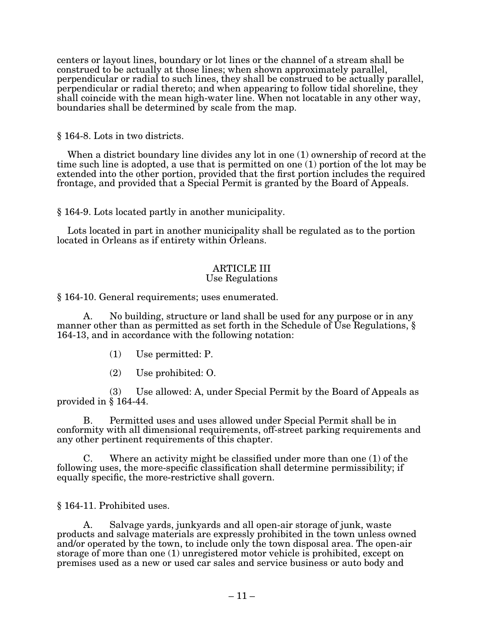centers or layout lines, boundary or lot lines or the channel of a stream shall be construed to be actually at those lines; when shown approximately parallel, perpendicular or radial to such lines, they shall be construed to be actually parallel, perpendicular or radial thereto; and when appearing to follow tidal shoreline, they shall coincide with the mean high-water line. When not locatable in any other way, boundaries shall be determined by scale from the map.

§ 164-8. Lots in two districts.

When a district boundary line divides any lot in one (1) ownership of record at the time such line is adopted, a use that is permitted on one (1) portion of the lot may be extended into the other portion, provided that the first portion includes the required frontage, and provided that a Special Permit is granted by the Board of Appeals.

§ 164-9. Lots located partly in another municipality.

Lots located in part in another municipality shall be regulated as to the portion located in Orleans as if entirety within Orleans.

# ARTICLE III

# Use Regulations

§ 164-10. General requirements; uses enumerated.

A. No building, structure or land shall be used for any purpose or in any manner other than as permitted as set forth in the Schedule of Use Regulations,  $\S$ 164-13, and in accordance with the following notation:

- (1) Use permitted: P.
- (2) Use prohibited: O.

 $(3)$  Use allowed: A, under Special Permit by the Board of Appeals as provided in § 164-44.

B. Permitted uses and uses allowed under Special Permit shall be in conformity with all dimensional requirements, off-street parking requirements and any other pertinent requirements of this chapter.

C. Where an activity might be classified under more than one (1) of the following uses, the more-specific classification shall determine permissibility; if equally specific, the more-restrictive shall govern.

§ 164-11. Prohibited uses.

A. Salvage yards, junkyards and all open-air storage of junk, waste products and salvage materials are expressly prohibited in the town unless owned and/or operated by the town, to include only the town disposal area. The open-air storage of more than one (1) unregistered motor vehicle is prohibited, except on premises used as a new or used car sales and service business or auto body and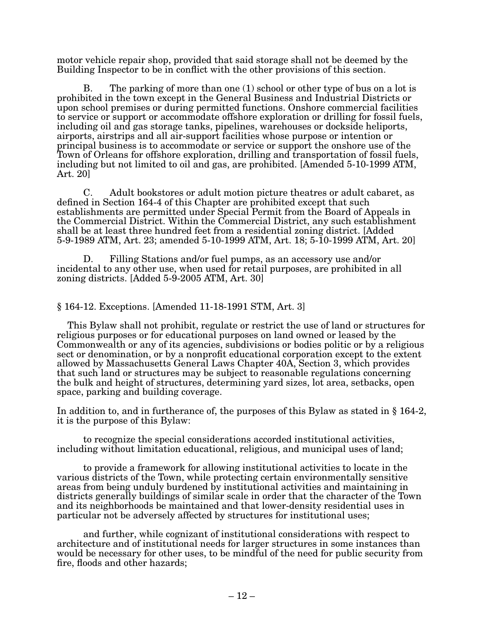motor vehicle repair shop, provided that said storage shall not be deemed by the Building Inspector to be in conflict with the other provisions of this section.

B. The parking of more than one (1) school or other type of bus on a lot is prohibited in the town except in the General Business and Industrial Districts or upon school premises or during permitted functions. Onshore commercial facilities to service or support or accommodate offshore exploration or drilling for fossil fuels, including oil and gas storage tanks, pipelines, warehouses or dockside heliports, airports, airstrips and all air-support facilities whose purpose or intention or principal business is to accommodate or service or support the onshore use of the Town of Orleans for offshore exploration, drilling and transportation of fossil fuels, including but not limited to oil and gas, are prohibited. [Amended 5-10-1999 ATM, Art. 20]

C. Adult bookstores or adult motion picture theatres or adult cabaret, as defined in Section 164-4 of this Chapter are prohibited except that such establishments are permitted under Special Permit from the Board of Appeals in the Commercial District. Within the Commercial District, any such establishment shall be at least three hundred feet from a residential zoning district. [Added 5-9-1989 ATM, Art. 23; amended 5-10-1999 ATM, Art. 18; 5-10-1999 ATM, Art. 20]

D. Filling Stations and/or fuel pumps, as an accessory use and/or incidental to any other use, when used for retail purposes, are prohibited in all zoning districts. [Added  $5-9-2005$  ATM, Art. 30]

#### § 164-12. Exceptions. [Amended 11-18-1991 STM, Art. 3]

This Bylaw shall not prohibit, regulate or restrict the use of land or structures for religious purposes or for educational purposes on land owned or leased by the Commonwealth or any of its agencies, subdivisions or bodies politic or by a religious sect or denomination, or by a nonprofit educational corporation except to the extent allowed by Massachusetts General Laws Chapter 40A, Section 3, which provides that such land or structures may be subject to reasonable regulations concerning the bulk and height of structures, determining yard sizes, lot area, setbacks, open space, parking and building coverage.

In addition to, and in furtherance of, the purposes of this Bylaw as stated in § 164-2, it is the purpose of this Bylaw:

to recognize the special considerations accorded institutional activities, including without limitation educational, religious, and municipal uses of land;

to provide a framework for allowing institutional activities to locate in the various districts of the Town, while protecting certain environmentally sensitive areas from being unduly burdened by institutional activities and maintaining in districts generally buildings of similar scale in order that the character of the Town and its neighborhoods be maintained and that lower-density residential uses in particular not be adversely affected by structures for institutional uses;

and further, while cognizant of institutional considerations with respect to architecture and of institutional needs for larger structures in some instances than would be necessary for other uses, to be mindful of the need for public security from fire, floods and other hazards;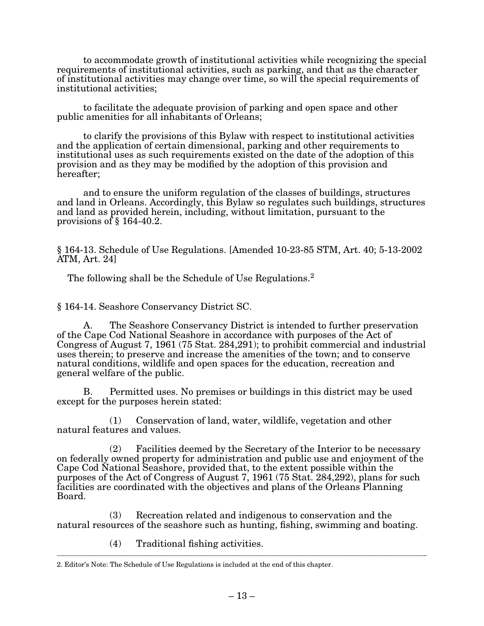to accommodate growth of institutional activities while recognizing the special requirements of institutional activities, such as parking, and that as the character of institutional activities may change over time, so will the special requirements of institutional activities;

to facilitate the adequate provision of parking and open space and other public amenities for all inhabitants of Orleans;

to clarify the provisions of this Bylaw with respect to institutional activities and the application of certain dimensional, parking and other requirements to institutional uses as such requirements existed on the date of the adoption of this provision and as they may be modified by the adoption of this provision and hereafter;

and to ensure the uniform regulation of the classes of buildings, structures and land in Orleans. Accordingly, this Bylaw so regulates such buildings, structures and land as provided herein, including, without limitation, pursuant to the provisions of § 164-40.2.

§ 164-13. Schedule of Use Regulations. [Amended 10-23-85 STM, Art. 40; 5-13-2002 ATM, Art. 24]

The following shall be the Schedule of Use Regulations.<sup>2</sup>

§ 164-14. Seashore Conservancy District SC.

A. The Seashore Conservancy District is intended to further preservation of the Cape Cod National Seashore in accordance with purposes of the Act of Congress of August 7, 1961 (75 Stat. 284,291); to prohibit commercial and industrial uses therein; to preserve and increase the amenities of the town; and to conserve natural conditions, wildlife and open spaces for the education, recreation and general welfare of the public.

B. Permitted uses. No premises or buildings in this district may be used except for the purposes herein stated:

(1) Conservation of land, water, wildlife, vegetation and other natural features and values.

 $(2)$  Facilities deemed by the Secretary of the Interior to be necessary on federally owned property for administration and public use and enjoyment of the Cape Cod National Seashore, provided that, to the extent possible within the purposes of the Act of Congress of August 7, 1961 (75 Stat. 284,292), plans for such facilities are coordinated with the objectives and plans of the Orleans Planning Board.

(3) Recreation related and indigenous to conservation and the natural resources of the seashore such as hunting, fishing, swimming and boating.

(4) Traditional fishing activities.

\_\_\_\_\_\_\_\_\_\_\_\_\_\_\_\_\_\_\_\_\_\_\_\_\_\_\_\_\_\_\_\_\_\_\_\_\_\_\_\_\_\_\_\_\_\_\_\_\_\_\_\_\_\_\_\_\_\_\_\_\_\_\_\_\_\_\_\_\_\_\_\_\_\_\_\_\_\_\_\_\_\_\_\_\_\_\_\_\_\_\_\_\_\_\_\_\_\_\_\_\_\_\_\_\_\_\_\_\_

<sup>2.</sup> Editor's Note: The Schedule of Use Regulations is included at the end of this chapter.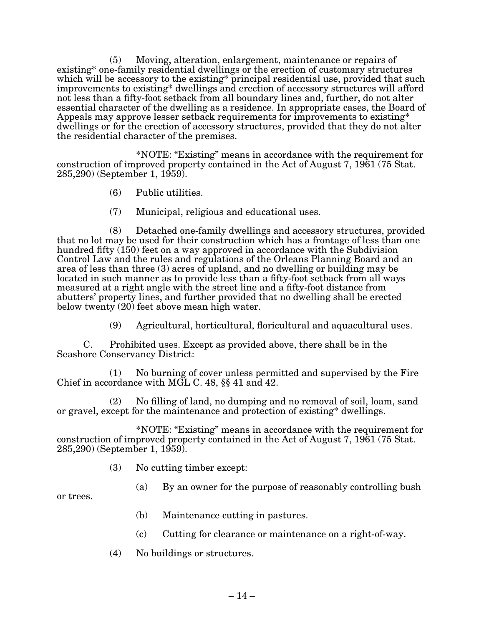(5) Moving, alteration, enlargement, maintenance or repairs of existing\* one-family residential dwellings or the erection of customary structures which will be accessory to the existing\* principal residential use, provided that such improvements to existing\* dwellings and erection of accessory structures will afford not less than a fifty-foot setback from all boundary lines and, further, do not alter essential character of the dwelling as a residence. In appropriate cases, the Board of Appeals may approve lesser setback requirements for improvements to existing\* dwellings or for the erection of accessory structures, provided that they do not alter the residential character of the premises.

\*NOTE: "Existing" means in accordance with the requirement for construction of improved property contained in the Act of August 7, 1961 (75 Stat. 285,290) (September 1, 1959).

- (6) Public utilities.
- (7) Municipal, religious and educational uses.

(8) Detached one-family dwellings and accessory structures, provided that no lot may be used for their construction which has a frontage of less than one hundred fifty (150) feet on a way approved in accordance with the Subdivision Control Law and the rules and regulations of the Orleans Planning Board and an area of less than three (3) acres of upland, and no dwelling or building may be located in such manner as to provide less than a fifty-foot setback from all ways measured at a right angle with the street line and a fifty-foot distance from abutters' property lines, and further provided that no dwelling shall be erected below twenty (20) feet above mean high water.

(9) Agricultural, horticultural, floricultural and aquacultural uses.

C. Prohibited uses. Except as provided above, there shall be in the Seashore Conservancy District:

(1) No burning of cover unless permitted and supervised by the Fire Chief in accordance with MGL C. 48, §§ 41 and 42.

(2) No filling of land, no dumping and no removal of soil, loam, sand or gravel, except for the maintenance and protection of existing\* dwellings.

\*NOTE: "Existing" means in accordance with the requirement for construction of improved property contained in the Act of August 7, 1961 (75 Stat. 285,290) (September 1, 1959).

- (3) No cutting timber except:
	- (a) By an owner for the purpose of reasonably controlling bush

or trees.

- (b) Maintenance cutting in pastures.
- (c) Cutting for clearance or maintenance on a right-of-way.
- (4) No buildings or structures.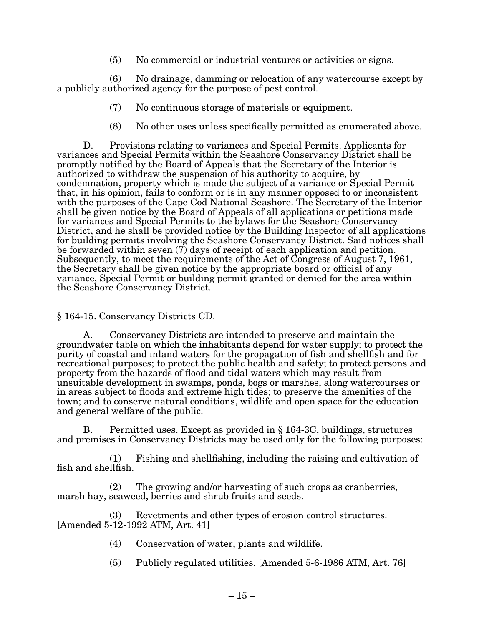(5) No commercial or industrial ventures or activities or signs.

(6) No drainage, damming or relocation of any watercourse except by a publicly authorized agency for the purpose of pest control.

- (7) No continuous storage of materials or equipment.
- (8) No other uses unless specifically permitted as enumerated above.

D. Provisions relating to variances and Special Permits. Applicants for variances and Special Permits within the Seashore Conservancy District shall be promptly notified by the Board of Appeals that the Secretary of the Interior is authorized to withdraw the suspension of his authority to acquire, by condemnation, property which is made the subject of a variance or Special Permit that, in his opinion, fails to conform or is in any manner opposed to or inconsistent with the purposes of the Cape Cod National Seashore. The Secretary of the Interior shall be given notice by the Board of Appeals of all applications or petitions made for variances and Special Permits to the bylaws for the Seashore Conservancy District, and he shall be provided notice by the Building Inspector of all applications for building permits involving the Seashore Conservancy District. Said notices shall be forwarded within seven  $(7)$  days of receipt of each application and petition. Subsequently, to meet the requirements of the Act of Congress of August 7, 1961, the Secretary shall be given notice by the appropriate board or official of any variance, Special Permit or building permit granted or denied for the area within the Seashore Conservancy District.

§ 164-15. Conservancy Districts CD.

A. Conservancy Districts are intended to preserve and maintain the groundwater table on which the inhabitants depend for water supply; to protect the purity of coastal and inland waters for the propagation of fish and shellfish and for recreational purposes; to protect the public health and safety; to protect persons and property from the hazards of flood and tidal waters which may result from unsuitable development in swamps, ponds, bogs or marshes, along watercourses or in areas subject to floods and extreme high tides; to preserve the amenities of the town; and to conserve natural conditions, wildlife and open space for the education and general welfare of the public.

B. Permitted uses. Except as provided in  $\S$  164-3C, buildings, structures and premises in Conservancy Districts may be used only for the following purposes:

(1) Fishing and shellfishing, including the raising and cultivation of fish and shellfish.

(2) The growing and/or harvesting of such crops as cranberries, marsh hay, seaweed, berries and shrub fruits and seeds.

(3) Revetments and other types of erosion control structures.  $[Amended 5-12-1992 ATM, Art. 41]$ 

- (4) Conservation of water, plants and wildlife.
- $(5)$  Publicly regulated utilities. [Amended 5-6-1986 ATM, Art. 76]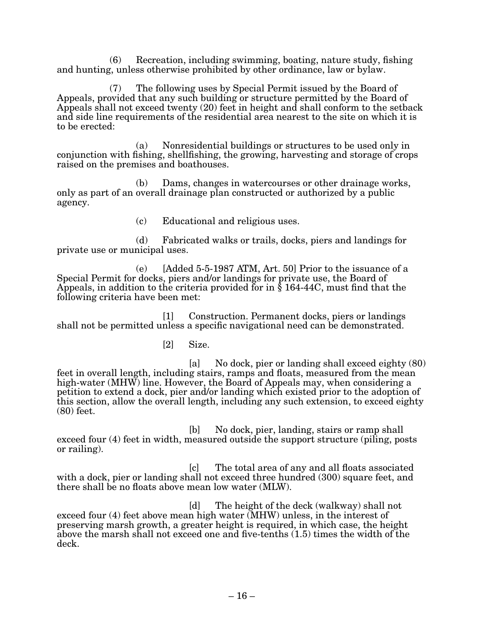(6) Recreation, including swimming, boating, nature study, fishing and hunting, unless otherwise prohibited by other ordinance, law or bylaw.

 $(7)$  The following uses by Special Permit issued by the Board of Appeals, provided that any such building or structure permitted by the Board of Appeals shall not exceed twenty (20) feet in height and shall conform to the setback and side line requirements of the residential area nearest to the site on which it is to be erected:

(a) Nonresidential buildings or structures to be used only in conjunction with fishing, shellfishing, the growing, harvesting and storage of crops raised on the premises and boathouses.

(b) Dams, changes in watercourses or other drainage works, only as part of an overall drainage plan constructed or authorized by a public agency.

(c) Educational and religious uses.

 $(d)$  Fabricated walks or trails, docks, piers and landings for private use or municipal uses.

(e)  $\left[ \text{Added } 5\text{-}5\text{-}1987 \text{ ATM}, \text{Art. } 50 \right]$  Prior to the issuance of a Special Permit for docks, piers and/or landings for private use, the Board of Appeals, in addition to the criteria provided for in  $\S$  164-44C, must find that the following criteria have been met:

[1] Construction. Permanent docks, piers or landings shall not be permitted unless a specific navigational need can be demonstrated.

[2] Size.

 [a] No dock, pier or landing shall exceed eighty (80) feet in overall length, including stairs, ramps and floats, measured from the mean high-water (MHW) line. However, the Board of Appeals may, when considering a petition to extend a dock, pier and/or landing which existed prior to the adoption of this section, allow the overall length, including any such extension, to exceed eighty (80) feet.

[b] No dock, pier, landing, stairs or ramp shall exceed four (4) feet in width, measured outside the support structure (piling, posts or railing).

[c] The total area of any and all floats associated with a dock, pier or landing shall not exceed three hundred (300) square feet, and there shall be no floats above mean low water (MLW).

[d] The height of the deck (walkway) shall not exceed four (4) feet above mean high water (MHW) unless, in the interest of preserving marsh growth, a greater height is required, in which case, the height above the marsh shall not exceed one and five-tenths (1.5) times the width of the deck.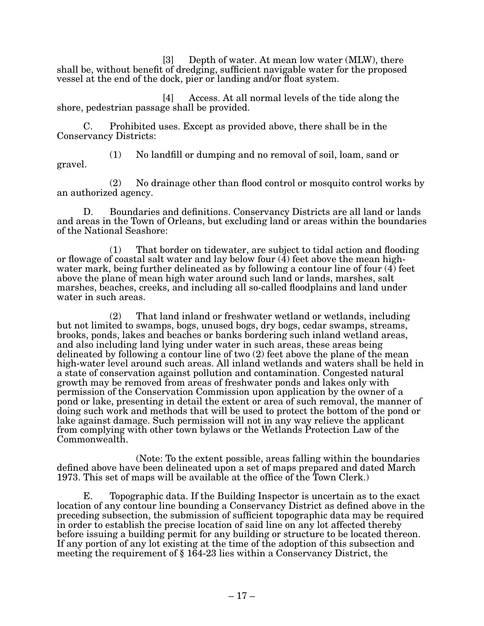$[3]$  Depth of water. At mean low water (MLW), there shall be, without benefit of dredging, sufficient navigable water for the proposed vessel at the end of the dock, pier or landing and/or float system.

[4] Access. At all normal levels of the tide along the shore, pedestrian passage shall be provided.

C. Prohibited uses. Except as provided above, there shall be in the Conservancy Districts:

(1) No landfill or dumping and no removal of soil, loam, sand or gravel.

(2) No drainage other than flood control or mosquito control works by an authorized agency.

D. Boundaries and definitions. Conservancy Districts are all land or lands and areas in the Town of Orleans, but excluding land or areas within the boundaries of the National Seashore:

(1) That border on tidewater, are subject to tidal action and flooding or flowage of coastal salt water and lay below four  $(4)$  feet above the mean highwater mark, being further delineated as by following a contour line of four (4) feet above the plane of mean high water around such land or lands, marshes, salt marshes, beaches, creeks, and including all so-called floodplains and land under water in such areas.

(2) That land inland or freshwater wetland or wetlands, including but not limited to swamps, bogs, unused bogs, dry bogs, cedar swamps, streams, brooks, ponds, lakes and beaches or banks bordering such inland wetland areas, and also including land lying under water in such areas, these areas being delineated by following a contour line of two (2) feet above the plane of the mean high-water level around such areas. All inland wetlands and waters shall be held in a state of conservation against pollution and contamination. Congested natural growth may be removed from areas of freshwater ponds and lakes only with permission of the Conservation Commission upon application by the owner of a pond or lake, presenting in detail the extent or area of such removal, the manner of doing such work and methods that will be used to protect the bottom of the pond or lake against damage. Such permission will not in any way relieve the applicant from complying with other town bylaws or the Wetlands Protection Law of the Commonwealth.

(Note: To the extent possible, areas falling within the boundaries defined above have been delineated upon a set of maps prepared and dated March 1973. This set of maps will be available at the office of the Town Clerk.)

E. Topographic data. If the Building Inspector is uncertain as to the exact location of any contour line bounding a Conservancy District as defined above in the preceding subsection, the submission of sufficient topographic data may be required in order to establish the precise location of said line on any lot affected thereby before issuing a building permit for any building or structure to be located thereon. If any portion of any lot existing at the time of the adoption of this subsection and meeting the requirement of § 164-23 lies within a Conservancy District, the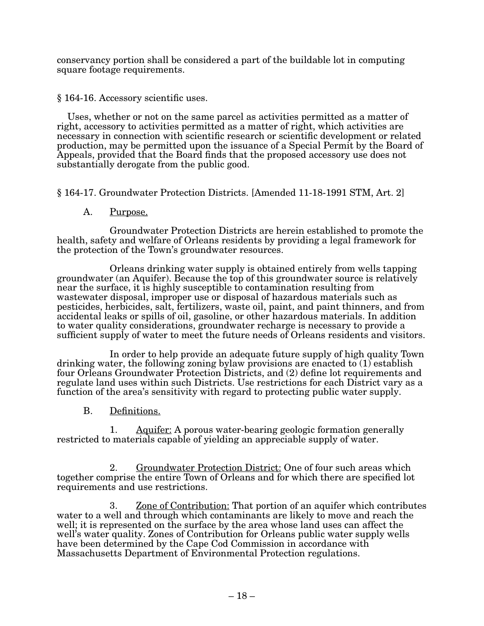conservancy portion shall be considered a part of the buildable lot in computing square footage requirements.

§ 164-16. Accessory scientific uses.

Uses, whether or not on the same parcel as activities permitted as a matter of right, accessory to activities permitted as a matter of right, which activities are necessary in connection with scientific research or scientific development or related production, may be permitted upon the issuance of a Special Permit by the Board of Appeals, provided that the Board finds that the proposed accessory use does not substantially derogate from the public good.

§ 164-17. Groundwater Protection Districts. [Amended 11-18-1991 STM, Art. 2]

A. Purpose.

 Groundwater Protection Districts are herein established to promote the health, safety and welfare of Orleans residents by providing a legal framework for the protection of the Town's groundwater resources.

Orleans drinking water supply is obtained entirely from wells tapping groundwater (an Aquifer). Because the top of this groundwater source is relatively near the surface, it is highly susceptible to contamination resulting from wastewater disposal, improper use or disposal of hazardous materials such as pesticides, herbicides, salt, fertilizers, waste oil, paint, and paint thinners, and from accidental leaks or spills of oil, gasoline, or other hazardous materials. In addition to water quality considerations, groundwater recharge is necessary to provide a sufficient supply of water to meet the future needs of Orleans residents and visitors.

In order to help provide an adequate future supply of high quality Town drinking water, the following zoning bylaw provisions are enacted to (1) establish four Orleans Groundwater Protection Districts, and (2) define lot requirements and regulate land uses within such Districts. Use restrictions for each District vary as a function of the area's sensitivity with regard to protecting public water supply.

B. Definitions.

1. Aquifer: A porous water-bearing geologic formation generally restricted to materials capable of yielding an appreciable supply of water.

2. Groundwater Protection District: One of four such areas which together comprise the entire Town of Orleans and for which there are specified lot requirements and use restrictions.

3. Zone of Contribution: That portion of an aquifer which contributes water to a well and through which contaminants are likely to move and reach the well; it is represented on the surface by the area whose land uses can affect the well's water quality. Zones of Contribution for Orleans public water supply wells have been determined by the Cape Cod Commission in accordance with Massachusetts Department of Environmental Protection regulations.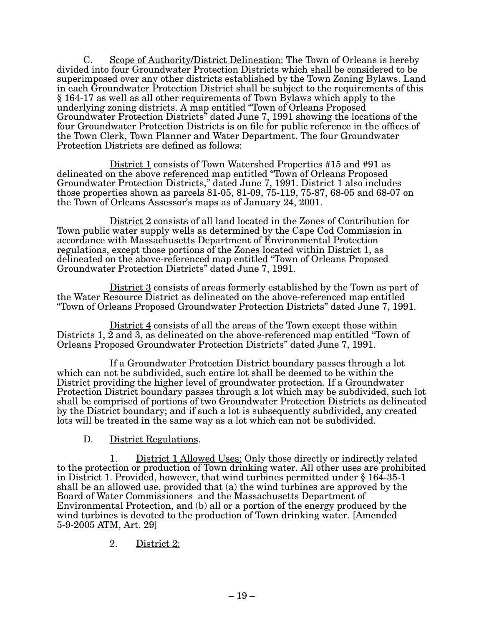C. Scope of Authority/District Delineation: The Town of Orleans is hereby divided into four Groundwater Protection Districts which shall be considered to be superimposed over any other districts established by the Town Zoning Bylaws. Land in each Groundwater Protection District shall be subject to the requirements of this § 164-17 as well as all other requirements of Town Bylaws which apply to the underlying zoning districts. A map entitled "Town of Orleans Proposed Groundwater Protection Districts" dated June 7, 1991 showing the locations of the four Groundwater Protection Districts is on file for public reference in the offices of the Town Clerk, Town Planner and Water Department. The four Groundwater Protection Districts are defined as follows:

<u>District 1</u> consists of Town Watershed Properties #15 and #91 as<br>delineated on the above referenced map entitled "Town of Orleans Proposed Groundwater Protection Districts," dated June 7, 1991. District 1 also includes those properties shown as parcels 81-05, 81-09, 75-119, 75-87, 68-05 and 68-07 on the Town of Orleans Assessor's maps as of January 24, 2001.

> District 2 consists of all land located in the Zones of Contribution for<br>Town public water supply wells as determined by the Cape Cod Commission in accordance with Massachusetts Department of Environmental Protection regulations, except those portions of the Zones located within District 1, as delineated on the above-referenced map entitled "Town of Orleans Proposed Groundwater Protection Districts" dated June 7, 1991.

 $\underline{\text{District 3}}$  consists of areas formerly established by the Town as part of the Water Resource District as delineated on the above-referenced map entitled "Town of Orleans Proposed Groundwater Protection Districts" dated June 7, 1991.

District 4 consists of all the areas of the Town except those within Districts 1, 2 and 3, as delineated on the above-referenced map entitled "Town of Orleans Proposed Groundwater Protection Districts" dated June 7, 1991.

If a Groundwater Protection District boundary passes through a lot which can not be subdivided, such entire lot shall be deemed to be within the District providing the higher level of groundwater protection. If a Groundwater Protection District boundary passes through a lot which may be subdivided, such lot shall be comprised of portions of two Groundwater Protection Districts as delineated by the District boundary; and if such a lot is subsequently subdivided, any created lots will be treated in the same way as a lot which can not be subdivided.

# D. District Regulations.

1. District 1 Allowed Uses: Only those directly or indirectly related to the protection or production of Town drinking water. All other uses are prohibited in District 1. Provided, however, that wind turbines permitted under § 164-35-1 shall be an allowed use, provided that (a) the wind turbines are approved by the Board of Water Commissioners and the Massachusetts Department of Environmental Protection, and (b) all or a portion of the energy produced by the wind turbines is devoted to the production of Town drinking water. [Amended 5-9-2005 ATM, Art. 29]

2. District 2: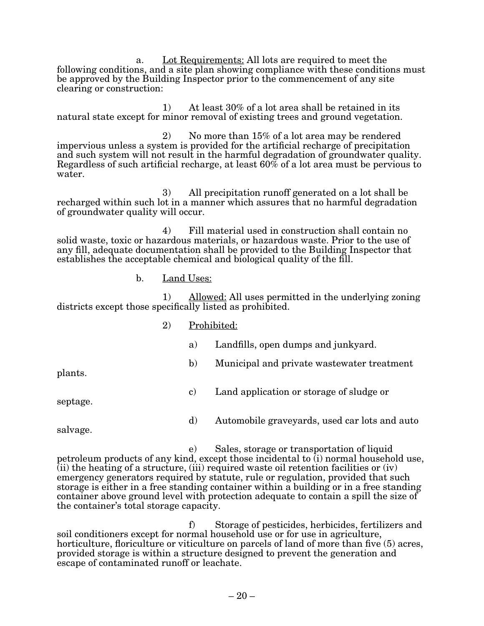a. Lot Requirements: All lots are required to meet the following conditions, and a site plan showing compliance with these conditions must be approved by the Building Inspector prior to the commencement of any site clearing or construction:

1) At least 30% of a lot area shall be retained in its natural state except for minor removal of existing trees and ground vegetation.

2) No more than 15% of a lot area may be rendered impervious unless a system is provided for the artificial recharge of precipitation and such system will not result in the harmful degradation of groundwater quality. Regardless of such artificial recharge, at least 60% of a lot area must be pervious to water.

3) All precipitation runoff generated on a lot shall be recharged within such lot in a manner which assures that no harmful degradation of groundwater quality will occur.

4) Fill material used in construction shall contain no solid waste, toxic or hazardous materials, or hazardous waste. Prior to the use of any fill, adequate documentation shall be provided to the Building Inspector that establishes the acceptable chemical and biological quality of the fill.

b. Land Uses:

1) Allowed: All uses permitted in the underlying zoning districts except those specifically listed as prohibited.

- 2) Prohibited:
	- a) Landfills, open dumps and junkyard.

plants.

c) Land application or storage of sludge or

septage.

d) Automobile graveyards, used car lots and auto

b) Municipal and private wastewater treatment

salvage.

e) Sales, storage or transportation of liquid petroleum products of any kind, except those incidental to (i) normal household use, (ii) the heating of a structure, (iii) required waste oil retention facilities or (iv) emergency generators required by statute, rule or regulation, provided that such storage is either in a free standing container within a building or in a free standing container above ground level with protection adequate to contain a spill the size of the container's total storage capacity.

f) Storage of pesticides, herbicides, fertilizers and soil conditioners except for normal household use or for use in agriculture, horticulture, floriculture or viticulture on parcels of land of more than five (5) acres, provided storage is within a structure designed to prevent the generation and escape of contaminated runoff or leachate.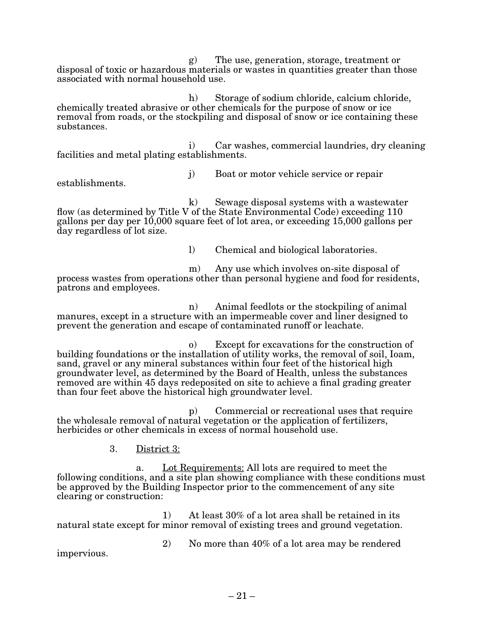g) The use, generation, storage, treatment or disposal of toxic or hazardous materials or wastes in quantities greater than those associated with normal household use.

h) Storage of sodium chloride, calcium chloride, chemically treated abrasive or other chemicals for the purpose of snow or ice removal from roads, or the stockpiling and disposal of snow or ice containing these substances.

i) Car washes, commercial laundries, dry cleaning facilities and metal plating establishments.

establishments.

j) Boat or motor vehicle service or repair

k) Sewage disposal systems with a wastewater flow (as determined by Title V of the State Environmental Code) exceeding 110 gallons per day per 10,000 square feet of lot area, or exceeding 15,000 gallons per day regardless of lot size.

l) Chemical and biological laboratories.

m) Any use which involves on-site disposal of process wastes from operations other than personal hygiene and food for residents, patrons and employees.

n) Animal feedlots or the stockpiling of animal manures, except in a structure with an impermeable cover and liner designed to prevent the generation and escape of contaminated runoff or leachate.

o) Except for excavations for the construction of building foundations or the installation of utility works, the removal of soil, Ioam, sand, gravel or any mineral substances within four feet of the historical high groundwater level, as determined by the Board of Health, unless the substances removed are within 45 days redeposited on site to achieve a final grading greater than four feet above the historical high groundwater level.

p) Commercial or recreational uses that require the wholesale removal of natural vegetation or the application of fertilizers, herbicides or other chemicals in excess of normal household use.

3. District 3:

a. Lot Requirements: All lots are required to meet the following conditions, and a site plan showing compliance with these conditions must be approved by the Building Inspector prior to the commencement of any site clearing or construction:

1) At least 30% of a lot area shall be retained in its natural state except for minor removal of existing trees and ground vegetation.

impervious.

2) No more than 40% of a lot area may be rendered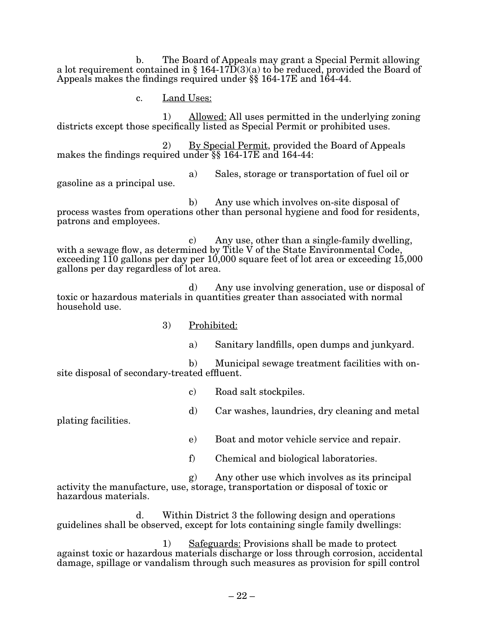b. The Board of Appeals may grant a Special Permit allowing a lot requirement contained in § 164-17 $\overline{D}(3)(a)$  to be reduced, provided the Board of Appeals makes the findings required under §§ 164-17E and 164-44.

c. Land Uses:

1) Allowed: All uses permitted in the underlying zoning districts except those specifically listed as Special P ermit or prohibited uses.

2) By Special Permit, provided the Board of Appeals makes the findings required under §§ 164-17E and 164-44:

gasoline as a principal use.

a) Sales, storage or transportation of fuel oil or

b) Any use which involves on-site disposal of process wastes from operations other than personal hygiene and food for residents, patrons and employees.

c) Any use, other than a single-family dwelling, with a sewage flow, as determined by Title  $\dot{V}$  of the State Environmental Code, exceeding 110 gallons per day per 10,000 square feet of lot area or exceeding 15,000 gallons per day regardless of lot area.

d) Any use involving generation, use or disposal of toxic or hazardous materials in quantities greater than associated with normal household use.

- 3) Prohibited:
	- a) Sanitary landfills, open dumps and junkyard.

b) Municipal sewage treatment facilities with onsite disposal of secondary-treated effluent.

- c) Road salt stockpiles.
- d) Car washes, laundries, dry cleaning and metal

plating facilities.

e) Boat and motor vehicle service and repair.

f) Chemical and biological laboratories.

g) Any other use which involves as its principal activity the manufacture, use, storage, transportation or disposal of toxic or hazardous materials.

d. Within District 3 the following design and operations guidelines shall be observed, except for lots containing single family dwellings:

1) Safeguards: Provisions shall be made to protect against toxic or hazardous materials discharge or loss through corrosion, accidental damage, spillage or vandalism through such measures as provision for spill control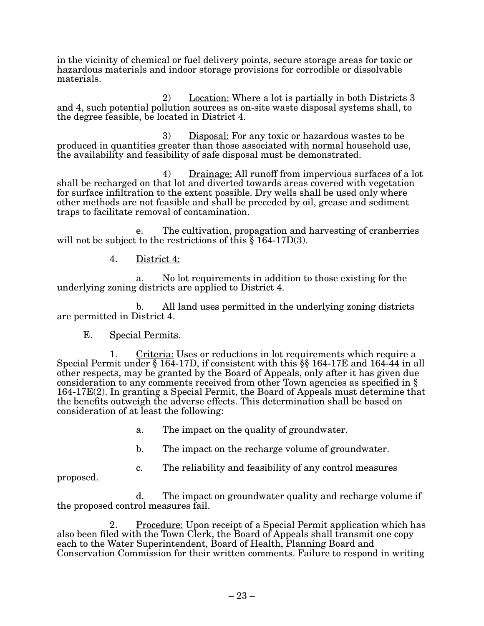in the vicinity of chemical or fuel delivery points, secure storage areas for toxic or hazardous materials and indoor storage provisions for corrodible or dissolvable materials.

2) Location: Where a lot is partially in both Districts 3 and 4, such potential pollution sources as on-site waste disposal systems shall, to the degree feasible, be located in District 4.

3) Disposal: For any toxic or hazardous wastes to be produced in quantities greater than those associated with normal household use, the availability and feasibility of safe disposal must be demonstrated.

 $\begin{array}{c} 4) \quad \text{Drainage:} \text{ All runoff from impervious surfaces of a lot} \\ \text{shall be recharged on that lot and diverted towards areas covered with vegetation} \end{array}$ for surface infiltration to the extent possible. Dry wells shall be used only where other methods are not feasible and shall be preceded by oil, grease and sediment traps to facilitate removal of contamination.

e. The cultivation, propagation and harvesting of cranberries will not be subject to the restrictions of this § 164-17D(3).

4. District 4:

a. No lot requirements in addition to those existing for the underlying zoning districts are applied to District 4.

b. All land uses permitted in the underlying zoning districts are permitted in District 4.

## E. Special Permits.

1. Criteria: Uses or reductions in lot requirements which require a Special Permit under § 164-17D, if consistent with this  $\S$ § 164-17E and 164-44 in all other respects, may be granted by the Board of Appeals, only after it has given due consideration to any comments received from other Town agencies as specified in  $\S$  $164-17E(2)$ . In granting a Special Permit, the Board of Appeals must determine that the benefits outweigh the adverse effects. This determination shall be based on consideration of at least the following:

- a. The impact on the quality of groundwater.
- b. The impact on the recharge volume of groundwater.
- c. The reliability and feasibility of any control measures

proposed.

d. The impact on groundwater quality and recharge volume if the proposed control measures fail.

2. Procedure: Upon receipt of a Special Permit application which has also been filed with the Town Clerk, the Board of Appeals shall transmit one copy each to the Water Superintendent, Board of Health, Planning Board and Conservation Commission for their written comments. Failure to respond in writing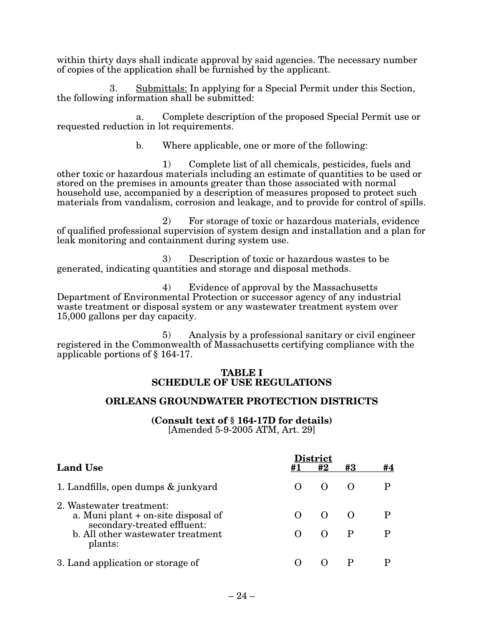within thirty days shall indicate approval by said agencies. The necessary number of copies of the application shall be furnished by the applicant.

3. Submittals: In applying for a Special Permit under this Section, the following information shall be submitted:

a. Complete description of the proposed Special Permit use or requested reduction in lot requirements.

b. Where applicable, one or more of the following:

1) Complete list of all chemicals, pesticides, fuels and other toxic or hazardous materials including an estimate of quantities to be used or stored on the premises in amounts greater than those associated with normal household use, accompanied by a description of measures proposed to protect such materials from vandalism, corrosion and leakage, and to provide for control of spills.

2) For storage of toxic or hazardous materials, evidence of qualified professional supervision of system design and installation and a plan for leak monitoring and containment during system use.

3) Description of toxic or hazardous wastes to be generated, indicating quantities and storage and disposal methods.

4) Evidence of approval by the Massachusetts Department of Environmental Protection or successor agency of any industrial waste treatment or disposal system or any wastewater treatment system over 15,000 gallons per day capacity.

5) Analysis by a professional sanitary or civil engineer registered in the Commonwealth of Massachusetts certifying compliance with the applicable portions of § 164-17.

#### **TABLE I SCHEDULE OF USE REGULATIONS**

#### **ORLEANS GROUNDWATER PROTECTION DISTRICTS**

**(Consult text of § 164-17D for details)**  $[Amended\ 5-9-2005\ ATM, Art.\ 29]$ 

|                                                                                                                                                |  | <b>District</b> |              |    |  |  |  |
|------------------------------------------------------------------------------------------------------------------------------------------------|--|-----------------|--------------|----|--|--|--|
| <b>Land Use</b>                                                                                                                                |  | #2              | #3           | #4 |  |  |  |
| 1. Landfills, open dumps & junkyard                                                                                                            |  |                 | $\left($ )   |    |  |  |  |
| 2. Wastewater treatment:<br>a. Muni plant + on-site disposal of<br>secondary-treated effluent:<br>b. All other wastewater treatment<br>plants: |  |                 | $\mathbf{P}$ |    |  |  |  |
| 3. Land application or storage of                                                                                                              |  |                 |              |    |  |  |  |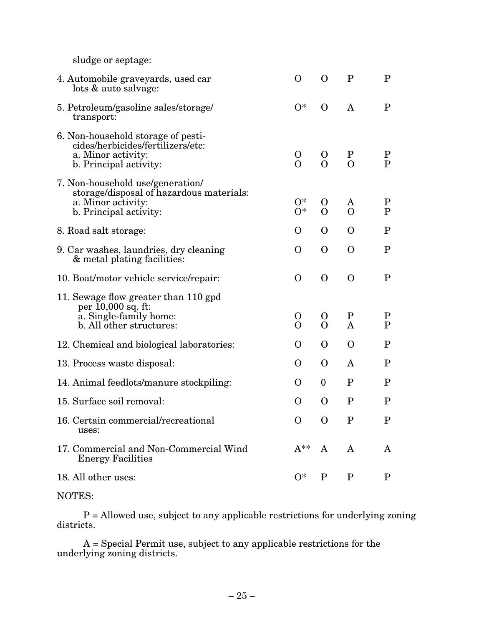sludge or septage:

| 4. Automobile graveyards, used car<br>lots & auto salvage:                                                                   | $\mathbf{O}$            | $\Omega$                 | $\mathbf P$                   | $\mathbf P$                 |
|------------------------------------------------------------------------------------------------------------------------------|-------------------------|--------------------------|-------------------------------|-----------------------------|
| 5. Petroleum/gasoline sales/storage/<br>transport:                                                                           | $O^*$                   | $\Omega$                 | A                             | $\mathbf P$                 |
| 6. Non-household storage of pesti-<br>cides/herbicides/fertilizers/etc:<br>a. Minor activity:<br>b. Principal activity:      | $\mathbf O$<br>$\Omega$ | $\mathbf{O}$<br>$\Omega$ | $\mathbf P$<br>$\overline{O}$ | $\mathbf P$<br>$\mathbf{P}$ |
| 7. Non-household use/generation/<br>storage/disposal of hazardous materials:<br>a. Minor activity:<br>b. Principal activity: | $O^*$<br>$O^*$          | $\Omega$<br>$\Omega$     | A<br>$\Omega$                 | $\mathbf P$<br>$\mathbf P$  |
| 8. Road salt storage:                                                                                                        | O                       | $\Omega$                 | $\mathbf{O}$                  | $\mathbf P$                 |
| 9. Car washes, laundries, dry cleaning<br>& metal plating facilities:                                                        | $\mathbf{O}$            | $\Omega$                 | $\mathbf{O}$                  | $\mathbf P$                 |
| 10. Boat/motor vehicle service/repair:                                                                                       | $\mathbf{O}$            | $\Omega$                 | $\Omega$                      | $\mathbf P$                 |
| 11. Sewage flow greater than 110 gpd<br>per 10,000 sq. ft:<br>a. Single-family home:<br>b. All other structures:             | O<br>$\Omega$           | $\mathbf{O}$<br>$\Omega$ | $\mathbf P$<br>A              | $\mathbf P$<br>$\mathbf P$  |
| 12. Chemical and biological laboratories:                                                                                    | O                       | $\Omega$                 | $\mathbf{O}$                  | $\mathbf P$                 |
| 13. Process waste disposal:                                                                                                  | $\Omega$                | $\Omega$                 | A                             | $\mathbf P$                 |
| 14. Animal feedlots/manure stockpiling:                                                                                      | $\Omega$                | $\bf{0}$                 | $\mathbf P$                   | $\mathbf P$                 |
| 15. Surface soil removal:                                                                                                    | O                       | $\Omega$                 | $\mathbf P$                   | $\mathbf P$                 |
| 16. Certain commercial/recreational<br>uses:                                                                                 | $\mathbf{O}$            | $\Omega$                 | $\mathbf P$                   | $\mathbf P$                 |
| 17. Commercial and Non-Commercial Wind<br><b>Energy Facilities</b>                                                           | $A^{**}$                | $\mathbf{A}$             | $\bf{A}$                      | A                           |
| 18. All other uses:                                                                                                          | $O^*$                   | $\mathbf{P}$             | $\mathbf{P}$                  | P                           |
|                                                                                                                              |                         |                          |                               |                             |

# NOTES:

 P = Allowed use, subject to any applicable restrictions for underlying zoning districts.

> $A = S$ pecial Permit use, subject to any applicable restrictions for the underlying zoning districts.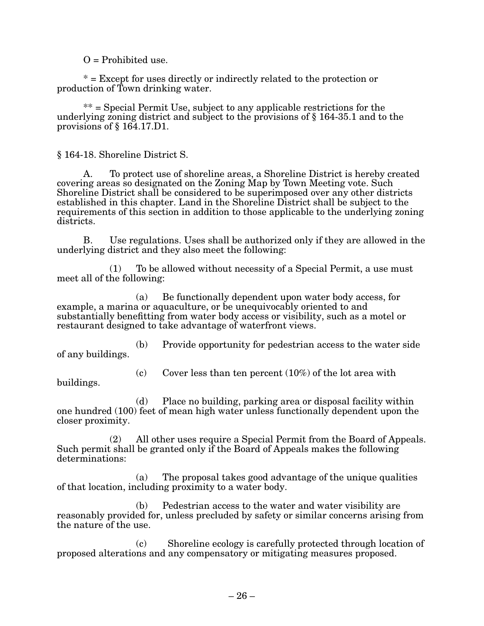$O =$  Prohibited use.

\* = Except for uses directly or indirectly related to the protection or production of Town drinking water.

 $**$  = Special Permit Use, subject to any applicable restrictions for the underlying zoning district and subject to the provisions of § 164-35.1 and to the provisions of § 164.17.D1.

§ 164-18. Shoreline District S.

A. To protect use of shoreline areas, a Shoreline District is hereby created covering areas so designated on the Zoning Map by Town Meeting vote. Such Shoreline District shall be considered to be superimposed over any other districts established in this chapter. Land in the Shoreline District shall be subject to the requirements of this section in addition to those applicable to the underlying zoning districts.

B. Use regulations. Uses shall be authorized only if they are allowed in the underlying district and they also meet the following:

 $(1)$  To be allowed without necessity of a Special Permit, a use must meet all of the following:

(a) Be functionally dependent upon water body access, for example, a marina or aquaculture, or be unequivocably oriented to and substantially benefitting from water body access or visibility, such as a motel or restaurant designed to take advantage of waterfront views.

(b) Provide opportunity for pedestrian access to the water side of any buildings.

(c) Cover less than ten percent  $(10\%)$  of the lot area with

buildings.

(d) Place no building, parking area or disposal facility within one hundred (100) feet of mean high water unless functionally dependent upon the closer proximity.

 $(2)$  All other uses require a Special Permit from the Board of Appeals. Such permit shall be granted only if the Board of Appeals makes the following determinations:

(a) The proposal takes good advantage of the unique qualities of that location, including proximity to a water body.

 $(b)$  Pedestrian access to the water and water visibility are reasonably provided for, unless precluded by safety or similar concerns arising from the nature of the use.

(c) Shoreline ecology is carefully protected through location of proposed alterations and any compensatory or mitigating measures proposed.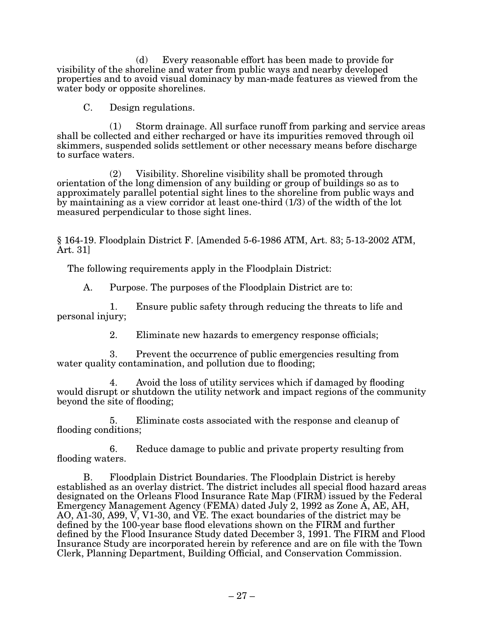(d) Every reasonable effort has been made to provide for visibility of the shoreline and water from public ways and nearby developed properties and to avoid visual dominacy by man-made features as viewed from the water body or opposite shorelines.

C. Design regulations.

(1) Storm drainage. All surface runoff from parking and service areas shall be collected and either recharged or have its impurities removed through oil skimmers, suspended solids settlement or other necessary means before discharge to surface waters.

(2) Visibility. Shoreline visibility shall be promoted through orientation of the long dimension of any building or group of buildings so as to approximately parallel potential sight lines to the shoreline from public ways and by maintaining as a view corridor at least one-third (1/3) of the width of the lot measured perpendicular to those sight lines.

§ 164-19. Floodplain District F. [Amended 5-6-1986 ATM, Art. 83; 5-13-2002 ATM, Art. 31]

The following requirements apply in the Floodplain District:

A. Purpose. The purposes of the Floodplain District are to:

1. Ensure public safety through reducing the threats to life and personal injury;

2. Eliminate new hazards to emergency response officials;

3. Prevent the occurrence of public emergencies resulting from water quality contamination, and pollution due to flooding;

4. A void the loss of utility services which if damaged by flooding would disrupt or shutdown the utility network and impact regions of the community beyond the site of flooding;

5. Eliminate costs associated with the response and cleanup of flooding conditions;

6. Reduce damage to public and private property resulting from flooding waters.

B. Floodplain District Boundaries. The Floodplain District is hereby established as an overlay district. The district includes all special flood hazard areas designated on the Orleans Flood Insurance Rate Map (FIRM) issued by the Federal Emergency Management Agency (FEMA) dated July 2, 1992 as Zone A, AE, AH, AO, A1-30, A99, V, V1-30, and VE. The exact boundaries of the district may be defined by the 100-year base flood elevations shown on the FIRM and further defined by the Flood Insurance Study dated December 3, 1991. The FIRM and Flood Insurance Study are incorporated herein by reference and are on file with the Town Clerk, Planning Department, Building Official, and Conservation Commission.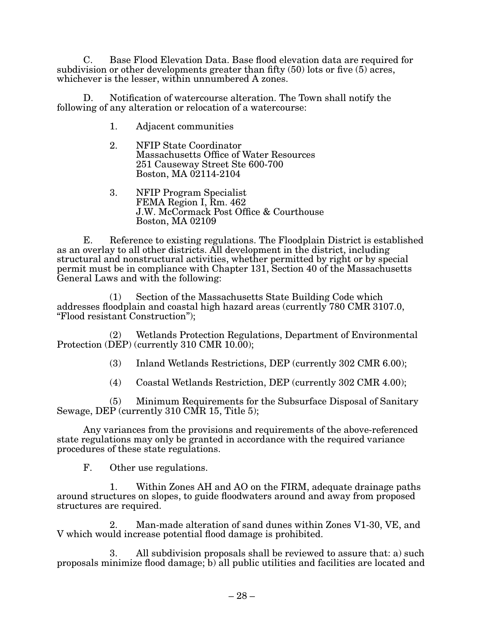C. Base Flood Elevation Data. Base flood elevation data are required for subdivision or other developments greater than fifty (50) lots or five (5) acres, whichever is the lesser, within unnumbered A zones.

Notification of watercourse alteration. The Town shall notify the following of any alteration or relocation of a watercourse:

- 1. Adjacent communities
- 2. NFIP State Coordinator Massachusetts Office of Water Resources 251 Causeway Street Ste 600-700 Boston, MA 02114-2104
- 3. NFIP Program Specialist FEMA Region I, Rm. 462 J.W. McCormack Post Office & Courthouse Boston, MA 02109

E. Reference to existing regulations. The Floodplain District is established as an overlay to all other districts. All development in the district, including structural and nonstructural activities, whether permitted by right or by special permit must be in compliance with Chapter 131, Section 40 of the Massachusetts General Laws and with the following:

(1) Section of the Massachusetts State Building Code which addresses floodplain and coastal high hazard areas (currently 780 CMR 3107.0, "Flood resistant Construction");

(2) Wetlands Protection Regulations, Department of Environmental Protection (DEP) (currently 310 CMR 10.00);

- (3) Inland Wetlands Restrictions, DEP (currently  $302 \text{ CMR } 6.00$ );
- (4) Coastal Wetlands Restriction, DEP (currently  $302 \text{ CMR } 4.00$ );

(5) Minimum Requirements for the Subsurface Disposal of Sanitary Sewage, DEP (currently 310 CMR 15, Title 5);

Any variances from the provisions and requirements of the above-referenced state regulations may only be granted in accordance with the required variance procedures of these state regulations.

F. Other use regulations.

1. Within Zones AH and AO on the FIRM, adequate drainage paths around structures on slopes, to guide floodwaters around and away from proposed structures are required.

2. Man-made alteration of sand dunes within Zones V1-30, VE, and V which would increase potential flood damage is prohibited.

3. All subdivision proposals shall be reviewed to assure that: a) such proposals minimize flood damage; b) all public utilities and facilities are located and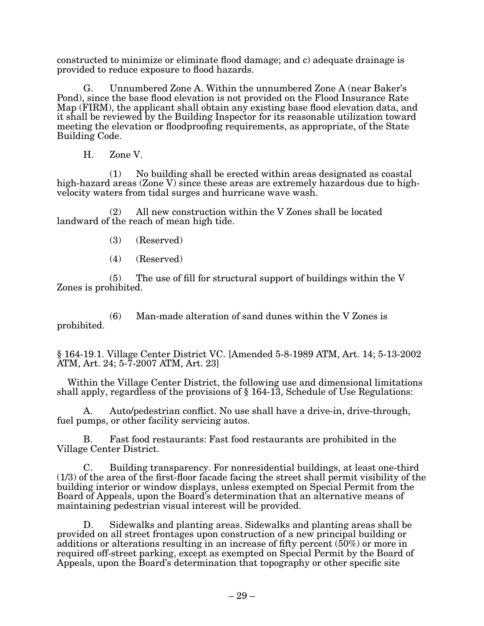constructed to minimize or eliminate flood damage; and c) adequate drainage is provided to reduce exposure to flood hazards.

G. Unnumbered Zone A. Within the unnumbered Zone A (near Baker's Pond), since the base flood elevation is not provided on the Flood Insurance Rate Map (FIRM), the applicant shall obtain any existing base flood elevation data, and it shall be reviewed by the Building Inspector for its reasonable utilization toward meeting the elevation or floodproofing requirements, as appropriate, of the State Building Code.

H. Zone V.

(1) No building shall be erected within areas designated as coastal high-hazard areas (Zone V) since these areas are extremely hazardous due to highvelocity waters from tidal surges and hurricane wave wash.

(2) All new construction within the V Zones shall be located landward of the reach of mean high tide.

- (3) (Reserved)
- (4) (Reserved)

 $(5)$  The use of fill for structural support of buildings within the V Zones is prohibited.

(6) Man-made alteration of sand dunes within the V Zones is prohibited.

§ 164-19.1. Village Center District VC. [Amended 5-8-1989 ATM, Art. 14; 5-13-2002 ATM, Art. 24; 5-7-2007 ATM, Art. 23]

Within the Village Center District, the following use and dimensional limitations shall apply, regardless of the provisions of § 164-13, Schedule of Use Regulations:

A. Auto/pedestrian conflict. No use shall have a drive-in, drive-through, fuel pumps, or other facility servicing autos.

B. Fast food restaurants: Fast food restaurants are prohibited in the Village Center District.

C. Building transparency. For nonresidential buildings, at least one-third (1/3) of the area of the first-floor facade facing the street shall permit visibility of the building interior or window displays, unless exempted on Special Permit from the Board of Appeals, upon the Board's determination that an alternative means of maintaining pedestrian visual interest will be provided.

D. Sidewalks and planting areas. Sidewalks and planting areas shall be provided on all street frontages upon construction of a new principal building or additions or alterations resulting in an increase of fifty percent (50%) or more in required off-street parking, except as exempted on Special Permit by the Board of Appeals, upon the Board's determination that topography or other specific site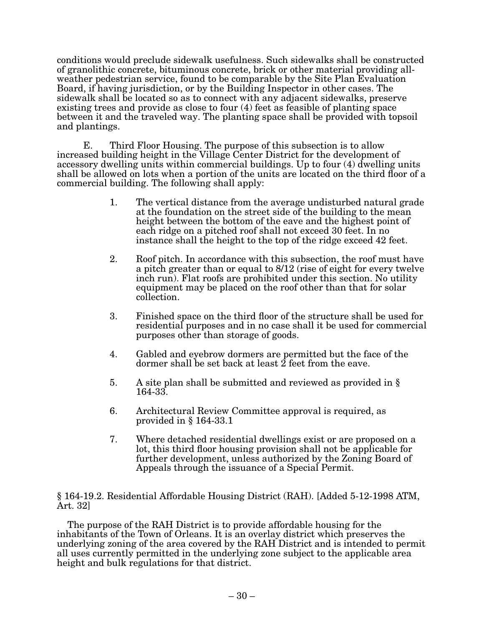conditions would preclude sidewalk usefulness. Such sidewalks shall be constructed of granolithic concrete, bituminous concrete, brick or other material providing allweather pedestrian service, found to be comparable by the Site Plan Evaluation Board, if having jurisdiction, or by the Building Inspector in other cases. The sidewalk shall be located so as to connect with any adjacent sidewalks, preserve existing trees and provide as close to four (4) feet as feasible of planting space between it and the traveled way. The planting space shall be provided with topsoil and plantings.

E. Third Floor Housing. The purpose of this subsection is to allow increased building height in the Village Center District for the development of accessory dwelling units within commercial buildings. Up to four (4) dwelling units shall be allowed on lots when a portion of the units are located on the third floor of a commercial building. The following shall apply:

- 1. The vertical distance from the average undisturbed natural grade at the foundation on the street side of the building to the mean height between the bottom of the eave and the highest point of each ridge on a pitched roof shall not exceed 30 feet. In no instance shall the height to the top of the ridge exceed 42 feet.
- 2. Roof pitch. In accordance with this subsection, the roof must have a pitch greater than or equal to 8/12 (rise of eight for every twelve inch run). Flat roofs are prohibited under this section. No utility equipment may be placed on the roof other than that for solar collection.
- 3. Finished space on the third floor of the structure shall be used for residential purposes and in no case shall it be used for commercial purposes other than storage of goods.
- 4. Gabled and eyebrow dormers are permitted but the face of the dormer shall be set back at least  $\overline{2}$  feet from the eave.
- 5. A site plan shall be submitted and reviewed as provided in § 164-33.
- 6. Architectural Review Committee approval is required, as provided in § 164-33.1
- 7. Where detached residential dwellings exist or are proposed on a lot, this third floor housing provision shall not be applicable for further development, unless authorized by the Zoning Board of Appeals through the issuance of a Special Permit.

§ 164-19.2. Residential Affordable Housing District (RAH). [Added 5-12-1998 ATM, Art. 32]

The purpose of the RAH District is to provide affordable housing for the inhabitants of the Town of Orleans. It is an overlay district which preserves the underlying zoning of the area covered by the RAH District and is intended to permit all uses currently permitted in the underlying zone subject to the applicable area height and bulk regulations for that district.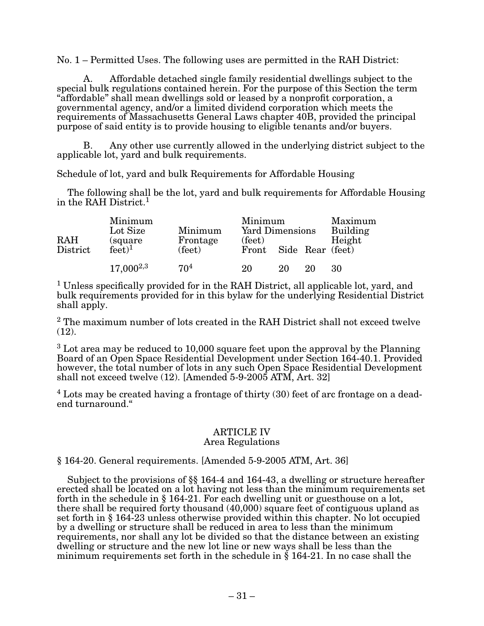$No. 1$  – Permitted Uses. The following uses are permitted in the RAH District:

Affordable detached single family residential dwellings subject to the special bulk regulations contained herein. For the purpose of this Section the term "affordable" shall mean dwellings sold or leased by a nonprofit corporation, a governmental agency, and/or a limited dividend corporation which meets the requirements of Massachusetts General Laws chapter 40B, provided the principal purpose of said entity is to provide housing to eligible tenants and/or buyers.

Any other use currently allowed in the underlying district subject to the applicable lot, yard and bulk requirements.

Schedule of lot, yard and bulk Requirements for Affordable Housing

The following shall be the lot, yard and bulk requirements for Affordable Housing in the RAH District.<sup>1</sup>

| RAH<br>District | Minimum<br>Lot Size<br>(square)<br>feet <sup>1</sup> | Minimum<br>Frontage<br>(feet) | (feet) |    | Minimum<br><b>Yard Dimensions</b><br>Building<br>Front Side Rear (feet) |    |  |
|-----------------|------------------------------------------------------|-------------------------------|--------|----|-------------------------------------------------------------------------|----|--|
|                 | $17,000^{2,3}$                                       | 70 <sup>4</sup>               | 20     | 20 | 20                                                                      | 30 |  |

<sup>1</sup> Unless specifically provided for in the RAH District, all applicable lot, yard, and bulk requirements provided for in this bylaw for the underlying Residential District shall apply.

<sup>2</sup> The maximum number of lots created in the RAH District shall not exceed twelve  $(12)$ .

 $3$  Lot area may be reduced to 10,000 square feet upon the approval by the Planning Board of an Open Space Residential Development under Section 164-40.1. Provided however, the total number of lots in any such Open Space Residential Development shall not exceed twelve  $(12)$ . [Amended  $5-9-2005$  ATM, Art. 32]

 $4$  Lots may be created having a frontage of thirty (30) feet of arc frontage on a deadend turnaround."

#### ARTICLE IV Area Regulations

#### $§$  164-20. General requirements. [Amended 5-9-2005 ATM, Art. 36]

Subject to the provisions of §§ 164-4 and 164-43, a dwelling or structure hereafter erected shall be located on a lot having not less than the minimum requirements set forth in the schedule in  $\S 164-21$ . For each dwelling unit or guesthouse on a lot, there shall be required forty thousand (40,000) square feet of contiguous upland as set forth in § 164-23 unless otherwise provided within this chapter. No lot occupied by a dwelling or structure shall be reduced in area to less than the minimum requirements, nor shall any lot be divided so that the distance between an existing dwelling or structure and the new lot line or new ways shall be less than the minimum requirements set forth in the schedule in  $\S$  164-21. In no case shall the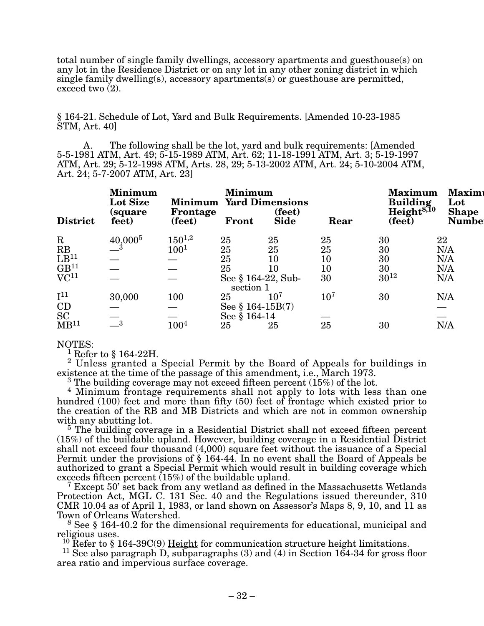total number of single family dwellings, accessory apartments and guesthouse(s) on any lot in the Residence District or on any lot in any other zoning district in which single family dwelling(s), accessory apartments(s) or guesthouse are permitted, exceed two (2).

§ 164-21. Schedule of Lot, Yard and Bulk Requirements. [Amended 10-23-1985 STM, Art. 40]

A. The following shall be the lot, yard and bulk requirements: [Amended 5-5-1981 ATM, Art. 49; 5-15-1989 ATM, Art. 62; 11-18-1991 ATM, Art. 3; 5-19-1997 ATM, Art. 29; 5-12-1998 ATM, Arts. 28, 29; 5-13-2002 ATM, Art. 24; 5-10-2004 ATM, Art. 24; 5-7-2007 ATM, Art. 23]

| <b>District</b>      | <b>Minimum</b><br>Lot Size<br>(square)<br>feet) | <b>Minimum Yard Dimensions</b><br>Frontage<br>(feet) | Minimum<br>Front      | (feet)<br><b>Side</b> | Rear   | <b>Maximum</b><br><b>Building</b><br>Height <sup>8,10</sup><br>(feet) | Maxim<br>Lot<br><b>Shape</b><br><b>Numbe</b> |
|----------------------|-------------------------------------------------|------------------------------------------------------|-----------------------|-----------------------|--------|-----------------------------------------------------------------------|----------------------------------------------|
| $\rm R$              | $40,000^{5}$                                    | $150^{1,2}$                                          | 25                    | 25                    | 25     | 30                                                                    | 22                                           |
| RB                   |                                                 | $100^{1}$                                            | 25                    | 25                    | 25     | 30                                                                    | N/A                                          |
| $\overline{LB}^{11}$ |                                                 |                                                      | 25                    | 10                    | 10     | 30                                                                    | N/A                                          |
| GB <sup>11</sup>     |                                                 |                                                      | 25                    | 10                    | 10     | 30                                                                    | N/A                                          |
| VC <sup>11</sup>     |                                                 |                                                      | See § 164-22, Sub-    |                       | 30     | $30^{12}$                                                             | N/A                                          |
|                      |                                                 |                                                      | section 1             |                       |        |                                                                       |                                              |
| $I^{11}$             | 30,000                                          | 100                                                  | 25                    | $10^7\,$              | $10^7$ | 30                                                                    | N/A                                          |
| $\operatorname{CD}$  |                                                 |                                                      | See $§$ 164-15B $(7)$ |                       |        |                                                                       |                                              |
| <b>SC</b>            |                                                 |                                                      | See § 164-14          |                       |        |                                                                       |                                              |
| MB <sup>11</sup>     | $\overline{\phantom{0}}^3$                      | $100^{4}$                                            | 25                    | 25                    | 25     | 30                                                                    | N/A                                          |

#### NOTES:

<sup>1</sup> Refer to § 164-22H.

<sup>2</sup> Unless granted a Special Permit by the Board of Appeals for buildings in existence at the time of the passage of this amendment, i.e., March 1973.

existence at the time of the passage of this amendment, i.e., March 1973.<br><sup>3</sup> The building coverage may not exceed fifteen percent (15%) of the lot.<br><sup>4</sup> Minimum frontage requirements shall not apply to lots with less than hundred (100) feet and more than fifty (50) feet of frontage which existed prior to the creation of the RB and MB Districts and which are not in common ownership

 $5$  The building coverage in a Residential District shall not exceed fifteen percent (15%) of the buildable upland. However, building coverage in a Residential District shall not exceed four thousand (4,000) square feet without the issuance of a Special Permit under the provisions of  $\S$  164-44. In no event shall the Board of Appeals be authorized to grant a Special Permit which would result in building coverage which exceeds fifteen percent  $(15%)$  of the buildable upland.

 $\frac{4}{7}$  Except 50' set back from any wetland as defined in the Massachusetts Wetlands Protection Act, MGL C. 131 Sec. 40 and the Regulations issued thereunder, 310 CMR 10.04 as of April 1, 1983, or land shown on Assessor's Maps 8, 9, 10, and 11 as Town of Orleans Watershed.

<sup>8</sup> See § 164-40.2 for the dimensional requirements for educational, municipal and religious uses.<br> $^{10}$  Refer to § 164-39C(9) Height for communication structure height limitations.

<sup>11</sup> See also paragraph D, subparagraphs (3) and (4) in Section 164-34 for gross floor area ratio and impervious surface coverage.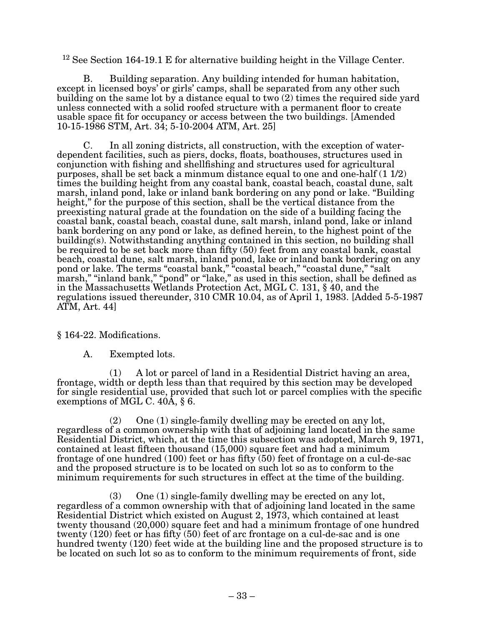<sup>12</sup> See Section 164-19.1 E for alternative building height in the Village Center.

B. Building separation. Any building intended for human habitation, except in licensed boys' or girls' camps, shall be separated from any other such building on the same lot by a distance equal to two (2) times the required side yard unless connected with a solid roofed structure with a permanent floor to create usable space fit for occupancy or access between the two buildings. [Amended  $10-15-1986$  STM, Art.  $3\overline{4}$ ; 5-10-2004 ATM, Art. 25]

C. In all zoning districts, all construction, with the exception of waterdependent facilities, such as piers, docks, floats, boathouses, structures used in conjunction with fishing and shellfishing and structures used for agricultural purposes, shall be set back a minmum distance equal to one and one-half (1 1/2) times the building height from any coastal bank, coastal beach, coastal dune, salt marsh, inland pond, lake or inland bank bordering on any pond or lake. "Building height," for the purpose of this section, shall be the vertical distance from the preexisting natural grade at the foundation on the side of a building facing the coastal bank, coastal beach, coastal dune, salt marsh, inland pond, lake or inland bank bordering on any pond or lake, as defined herein, to the highest point of the building(s). Notwithstanding anything contained in this section, no building shall be required to be set back more than fifty (50) feet from any coastal bank, coastal beach, coastal dune, salt marsh, inland pond, lake or inland bank bordering on any pond or lake. The terms "coastal bank," "coastal beach," "coastal dune," "salt marsh," "inland bank," "pond" or "lake," as used in this section, shall be defined as in the Massachusetts Wetlands Protection Act, MGL C. 131, § 40, and the regulations issued thereunder, 310 CMR 10.04, as of April 1, 1983. [Added 5-5-1987 ATM, Art. 44]

§ 164-22. Modifications.

A. Exempted lots.

(1) A lot or parcel of land in a Residential District having an area, frontage, width or depth less than that required by this section may be developed for single residential use, provided that such lot or parcel complies with the specific exemptions of MGL C. 40A, § 6.

(2) One (1) single-family dwelling may be erected on any lot, regardless of a common ownership with that of adjoining land located in the same Residential District, which, at the time this subsection was adopted, March 9, 1971, contained at least fifteen thousand (15,000) square feet and had a minimum frontage of one hundred (100) feet or has fifty  $(50)$  feet of frontage on a cul-de-sac and the proposed structure is to be located on such lot so as to conform to the minimum requirements for such structures in effect at the time of the building.

(3) One (1) single-family dwelling may be erected on any lot, regardless of a common ownership with that of adjoining land located in the same Residential District which existed on August 2, 1973, which contained at least twenty thousand (20,000) square feet and had a minimum frontage of one hundred twenty (120) feet or has fifty (50) feet of arc frontage on a cul-de-sac and is one hundred twenty (120) feet wide at the building line and the proposed structure is to be located on such lot so as to conform to the minimum requirements of front, side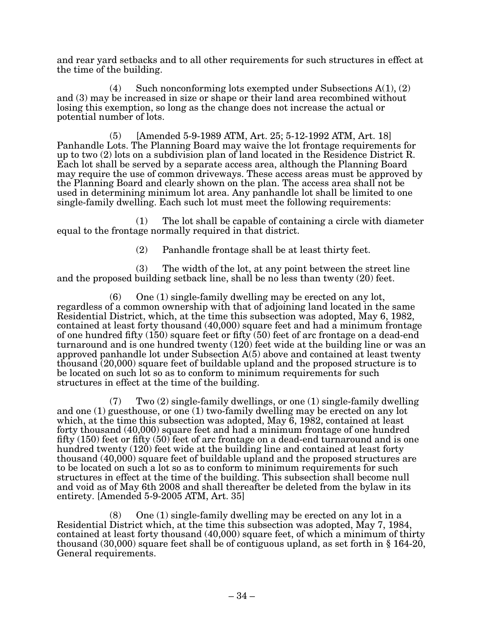and rear yard setbacks and to all other requirements for such structures in effect at the time of the building.

(4) Such nonconforming lots exempted under Subsections  $A(1), (2)$ and (3) may be increased in size or shape or their land area recombined without losing this exemption, so long as the change does not increase the actual or potential number of lots.

 $(5)$  [Amended 5-9-1989 ATM, Art. 25; 5-12-1992 ATM, Art. 18] Panhandle Lots. The Planning Board may waive the lot frontage requirements for up to two (2) lots on a subdivision plan of land located in the Residence District R. Each lot shall be served by a separate access area, although the Planning Board may require the use of common driveways. These access areas must be approved by the Planning Board and clearly shown on the plan. The access area shall not be used in determining minimum lot area. Any panhandle lot shall be limited to one single-family dwelling. Each such lot must meet the following requirements:

(1) The lot shall be capable of containing a circle with diameter equal to the frontage normally required in that district.

 $(2)$  Panhandle frontage shall be at least thirty feet.

(3) The width of the lot, at any point between the street line and the proposed building setback line, shall be no less than twenty (20) feet.

 $(6)$  One  $(1)$  single-family dwelling may be erected on any lot, regardless of a common ownership with that of adjoining land located in the same Residential District, which, at the time this subsection was adopted, May 6, 1982, contained at least forty thousand (40,000) square feet and had a minimum frontage of one hundred fifty (150) square feet or fifty (50) feet of arc frontage on a dead-end turnaround and is one hundred twenty (120) feet wide at the building line or was an approved panhandle lot under Subsection A(5) above and contained at least twenty thousand (20,000) square feet of buildable upland and the proposed structure is to be located on such lot so as to conform to minimum requirements for such structures in effect at the time of the building.

 $(7)$  Two  $(2)$  single-family dwellings, or one  $(1)$  single-family dwelling and one (1) guesthouse, or one (1) two-family dwelling may be erected on any lot which, at the time this subsection was adopted, May 6, 1982, contained at least forty thousand (40,000) square feet and had a minimum frontage of one hundred fifty (150) feet or fifty (50) feet of arc frontage on a dead-end turnaround and is one hundred twenty (120) feet wide at the building line and contained at least forty thousand (40,000) square feet of buildable upland and the proposed structures are to be located on such a lot so as to conform to minimum requirements for such structures in effect at the time of the building. This subsection shall become null and void as of May 6th 2008 and shall thereafter be deleted from the bylaw in its entirety. [Amended  $5-9-2005$  ATM, Art.  $35$ ]

(8) One (1) single-family dwelling may be erected on any lot in a Residential District which, at the time this subsection was adopted, May 7, 1984, contained at least forty thousand (40,000) square feet, of which a minimum of thirty thousand (30,000) square feet shall be of contiguous upland, as set forth in § 164-20, General requirements.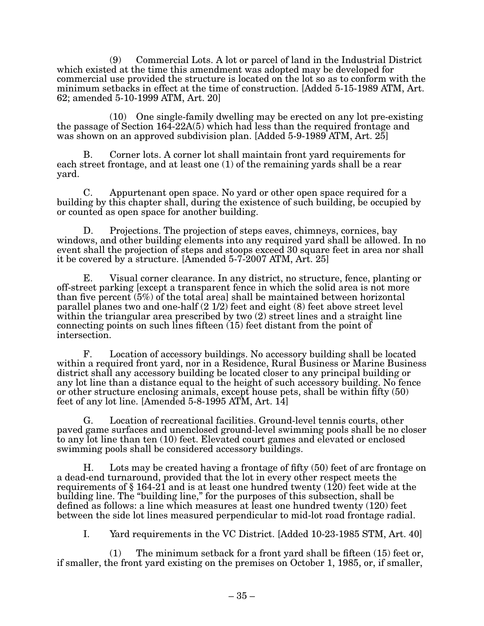(9) Commercial Lots. A lot or parcel of land in the Industrial District which existed at the time this amendment was adopted may be developed for commercial use provided the structure is located on the lot so as to conform with the minimum setbacks in effect at the time of construction. [Added 5-15-1989 ATM, Art. 62; amended 5-10-1999 ATM, Art. 20]

(10) One single-family dwelling may be erected on any lot pre-existing the passage of Section 164-22A(5) which had less than the required frontage and was shown on an approved subdivision plan. [Added 5-9-1989 ATM, Art. 25]

B. Corner lots. A corner lot shall maintain front yard requirements for each street frontage, and at least one (1) of the remaining yards shall be a rear yard.

C. Appurtenant open space. No yard or other open space required for a building by this chapter shall, during the existence of such building, be occupied by or counted as open space for another building.

D. Projections. The projection of steps eaves, chimneys, cornices, bay windows, and other building elements into any required yard shall be allowed. In no event shall the projection of steps and stoops exceed 30 square feet in area nor shall it be covered by a structure. [Amended  $5-7-2007$  ATM, Art.  $25$ ]

E. Visual corner clearance. In any district, no structure, fence, planting or off-street parking [except a transparent fence in which the solid area is not more than five percent (5%) of the total area] shall be maintained between horizontal parallel planes two and one-half (2 1/2) feet and eight (8) feet above street level within the triangular area prescribed by two  $(2)$  street lines and a straight line connecting points on such lines fifteen (15) feet distant from the point of intersection.

F. Location of accessory buildings. No accessory building shall be located within a required front yard, nor in a Residence, Rural Business or Marine Business district shall any accessory building be located closer to any principal building or any lot line than a distance equal to the height of such accessory building. No fence or other structure enclosing animals, except house pets, shall be within fifty (50) feet of any lot line. [Amended  $5-8-1995$  ATM, Art. 14]

G. Location of recreational facilities. Ground-level tennis courts, other paved game surfaces and unenclosed ground-level swimming pools shall be no closer to any lot line than ten (10) feet. Elevated court games and elevated or enclosed swimming pools shall be considered accessory buildings.

H. Lots may be created having a frontage of fifty (50) feet of arc frontage on a dead-end turnaround, provided that the lot in every other respect meets the requirements of  $\S 164-21$  and is at least one hundred twenty (120) feet wide at the building line. The "building line," for the purposes of this subsection, shall be defined as follows: a line which measures at least one hundred twenty (120) feet between the side lot lines measured perpendicular to mid-lot road frontage radial.

I. Yard requirements in the VC District. [Added 10-23-1985 STM, Art. 40]

(1) The minimum setback for a front yard shall be fifteen (15) feet or, if smaller, the front yard existing on the premises on October 1, 1985, or, if smaller,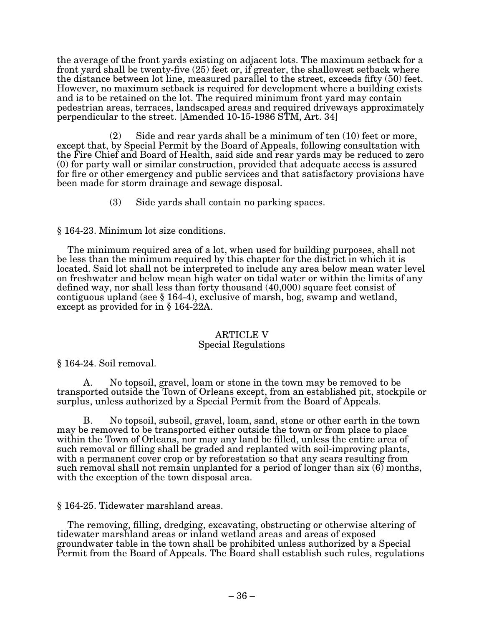the average of the front yards existing on adjacent lots. The maximum setback for a front yard shall be twenty-five (25) feet or, if greater, the shallowest setback where the distance between lot line, measured parallel to the street, exceeds fifty (50) feet. However, no maximum setback is required for development where a building exists and is to be retained on the lot. The required minimum front yard may contain pedestrian areas, terraces, landscaped areas and required driveways approximately perpendicular to the street. [Amended 10-15-1986 STM, Art. 34]

(2) Side and rear yards shall be a minimum of ten (10) feet or more, except that, by Special Permit by the Board of Appeals, following consultation with the Fire Chief and Board of Health, said side and rear yards may be reduced to zero (0) for party wall or similar construction, provided that adequate access is assured for fire or other emergency and public services and that satisfactory provisions have been made for storm drainage and sewage disposal.

(3) Side yards shall contain no parking spaces.

§ 164-23. Minimum lot size conditions.

The minimum required area of a lot, when used for building purposes, shall not be less than the minimum required by this chapter for the district in which it is located. Said lot shall not be interpreted to include any area below mean water level on freshwater and below mean high water on tidal water or within the limits of any defined way, nor shall less than forty thousand (40,000) square feet consist of contiguous upland (see § 164-4), exclusive of marsh, bog, swamp and wetland, except as provided for in § 164-22A.

#### ARTICLE V Special Regulations

§ 164-24. Soil removal.

A. No topsoil, gravel, loam or stone in the town may be removed to be transported outside the Town of Orleans except, from an established pit, stockpile or surplus, unless authorized by a Special Permit from the Board of Appeals.

B. No topsoil, subsoil, gravel, loam, sand, stone or other earth in the town may be removed to be transported either outside the town or from place to place within the Town of Orleans, nor may any land be filled, unless the entire area of such removal or filling shall be graded and replanted with soil-improving plants, with a permanent cover crop or by reforestation so that any scars resulting from such removal shall not remain unplanted for a period of longer than six (6) months, with the exception of the town disposal area.

§ 164-25. Tidewater marshland areas.

The removing, filling, dredging, excavating, obstructing or otherwise altering of tidewater marshland areas or inland wetland areas and areas of exposed groundwater table in the town shall be prohibited unless authorized by a Special Permit from the Board of Appeals. The Board shall establish such rules, regulations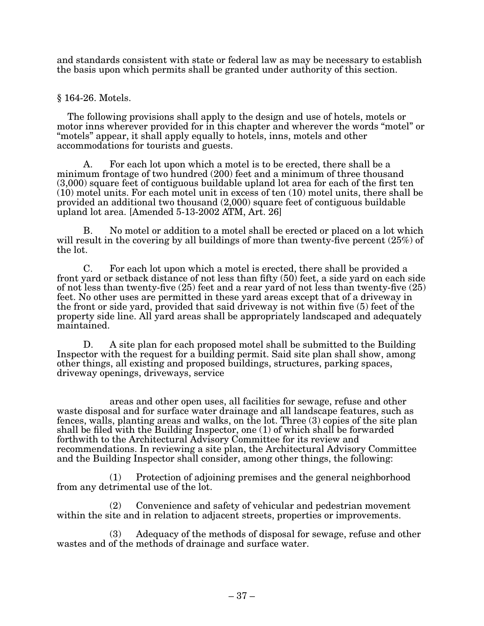and standards consistent with state or federal law as may be necessary to establish the basis upon which permits shall be granted under authority of this section.

## § 164-26. Motels.

The following provisions shall apply to the design and use of hotels, motels or motor inns wherever provided for in this chapter and wherever the words "motel" or "motels" appear, it shall apply equally to hotels, inns, motels and other accommodations for tourists and guests.

A. For each lot upon which a motel is to be erected, there shall be a minimum frontage of two hundred (200) feet and a minimum of three thousand (3,000) square feet of contiguous buildable upland lot area for each of the first ten  $(10)$  motel units. For each motel unit in excess of ten  $(10)$  motel units, there shall be provided an additional two thousand (2,000) square feet of contiguous buildable upland lot area. [Amended  $5-13-2002$  ATM, Art.  $26$ ]

B. No motel or addition to a motel shall be erected or placed on a lot which will result in the covering by all buildings of more than twenty-five percent (25%) of the lot.

C. For each lot upon which a motel is erected, there shall be provided a front yard or setback distance of not less than fifty (50) feet, a side yard on each side of not less than twenty-five (25) feet and a rear yard of not less than twenty-five (25) feet. No other uses are permitted in these yard areas except that of a driveway in the front or side yard, provided that said driveway is not within five (5) feet of the property side line. All yard areas shall be appropriately landscaped and adequately maintained.

D. A site plan for each proposed motel shall be submitted to the Building Inspector with the request for a building permit. Said site plan shall show, among other things, all existing and proposed buildings, structures, parking spaces, driveway openings, driveways, service

areas and other open uses, all facilities for sewage, refuse and other waste disposal and for surface water drainage and all landscape features, such as fences, walls, planting areas and walks, on the lot. Three (3) copies of the site plan shall be filed with the Building Inspector, one (1) of which shall be forwarded forthwith to the Architectural Advisory Committee for its review and recommendations. In reviewing a site plan, the Architectural Advisory Committee and the Building Inspector shall consider, among other things, the following:

(1) Protection of adjoining premises and the general neighborhood from any detrimental use of the lot.

(2) Convenience and safety of vehicular and pedestrian movement within the site and in relation to adjacent streets, properties or improvements.

(3) Adequacy of the methods of disposal for sewage, refuse and other wastes and of the methods of drainage and surface water.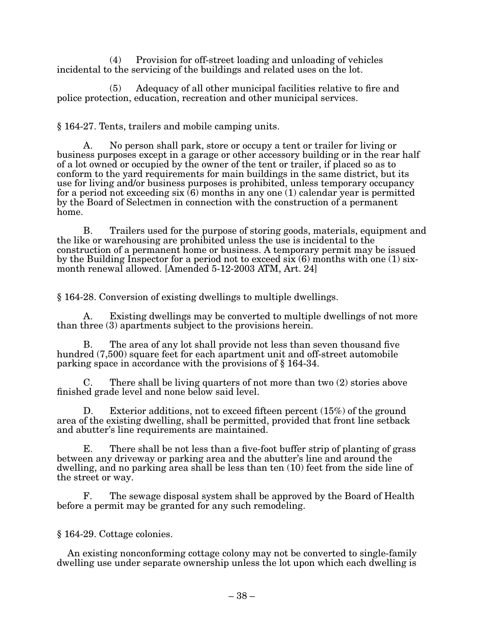(4) Provision for off-street loading and unloading of vehicles incidental to the servicing of the buildings and related uses on the lot.

(5) Adequacy of all other municipal facilities relative to fire and police protection, education, recreation and other municipal services.

 $§$  164-27. Tents, trailers and mobile camping units.

A. No person shall park, store or occupy a tent or trailer for living or business purposes except in a garage or other accessory building or in the rear half of a lot owned or occupied by the owner of the tent or trailer, if placed so as to conform to the yard requirements for main buildings in the same district, but its use for living and/or business purposes is prohibited, unless temporary occupancy for a period not exceeding six  $(6)$  months in any one (1) calendar year is permitted by the Board of Selectmen in connection with the construction of a permanent home.

B. Trailers used for the purpose of storing goods, materials, equipment and the like or warehousing are prohibited unless the use is incidental to the construction of a permanent home or business. A temporary permit may be issued by the Building Inspector for a period not to exceed six (6) months with one (1) sixmonth renewal allowed. [Amended 5-12-2003 ATM, Art. 24]

§ 164-28. Conversion of existing dwellings to multiple dwellings.

A. Existing dwellings may be converted to multiple dwellings of not more than three (3) apartments subject to the provisions herein.

B. The area of any lot shall provide not less than seven thousand five hundred (7,500) square feet for each apartment unit and off-street automobile parking space in accordance with the provisions of § 164-34.

There shall be living quarters of not more than two  $(2)$  stories above finished grade level and none below said level.

D. Exterior additions, not to exceed fifteen percent (15%) of the ground area of the existing dwelling, shall be permitted, provided that front line setback and abutter's line requirements are maintained.

E. There shall be not less than a five-foot buffer strip of planting of grass between any driveway or parking area and the abutter's line and around the dwelling, and no parking area shall be less than ten (10) feet from the side line of the street or way.

F. The sewage disposal system shall be approved by the Board of Health before a permit may be granted for any such remodeling.

§ 164-29. Cottage colonies.

An existing nonconforming cottage colony may not be converted to single-family dwelling use under separate ownership unless the lot upon which each dwelling is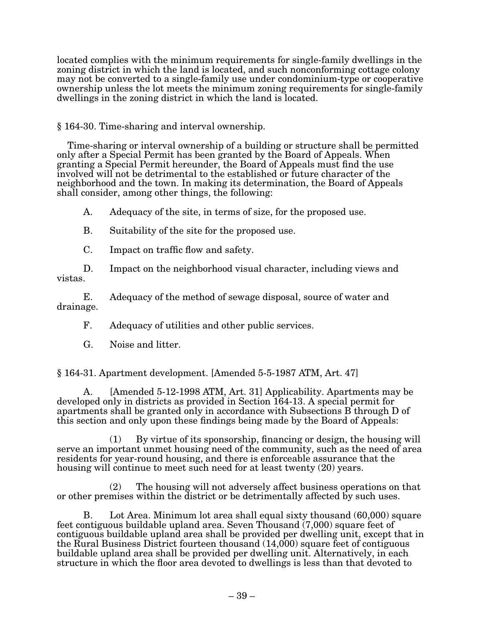located complies with the minimum requirements for single-family dwellings in the zoning district in which the land is located, and such nonconforming cottage colony may not be converted to a single-family use under condominium-type or cooperative ownership unless the lot meets the minimum zoning requirements for single-family dwellings in the zoning district in which the land is located.

§ 164-30. Time-sharing and interval ownership.

Time-sharing or interval ownership of a building or structure shall be permitted only after a Special Permit has been granted by the Board of Appeals. When granting a Special Permit hereunder, the Board of Appeals must find the use involved will not be detrimental to the established or future character of the neighborhood and the town. In making its determination, the Board of Appeals shall consider, among other things, the following:

A. Adequacy of the site, in terms of size, for the proposed use.

- B. Suitability of the site for the proposed use.
- C. Impact on traffic flow and safety.

D. Impact on the neighborhood visual character, including views and vistas.

E. Adequacy of the method of sewage disposal, source of water and drainage.

F. Adequacy of utilities and other public services.

G. Noise and litter.

 $§$  164-31. Apartment development. [Amended 5-5-1987 ATM, Art. 47]

A. [Amended 5-12-1998 ATM, Art. 31] Applicability. Apartments may be developed only in districts as provided in Section 164-13. A special permit for apartments shall be granted only in accordance with Subsections B through D of this section and only upon these findings being made by the Board of Appeals:

(1) By virtue of its sponsorship, financing or design, the housing will serve an important unmet housing need of the community, such as the need of area residents for year-round housing, and there is enforceable assurance that the housing will continue to meet such need for at least twenty (20) years.

(2) The housing will not adversely affect business operations on that or other premises within the district or be detrimentally affected by such uses.

B. Lot Area. Minimum lot area shall equal sixty thousand (60,000) square feet contiguous buildable upland area. Seven Thousand (7,000) square feet of contiguous buildable upland area shall be provided per dwelling unit, except that in the Rural Business District fourteen thousand (14,000) square feet of contiguous buildable upland area shall be provided per dwelling unit. Alternatively, in each structure in which the floor area devoted to dwellings is less than that devoted to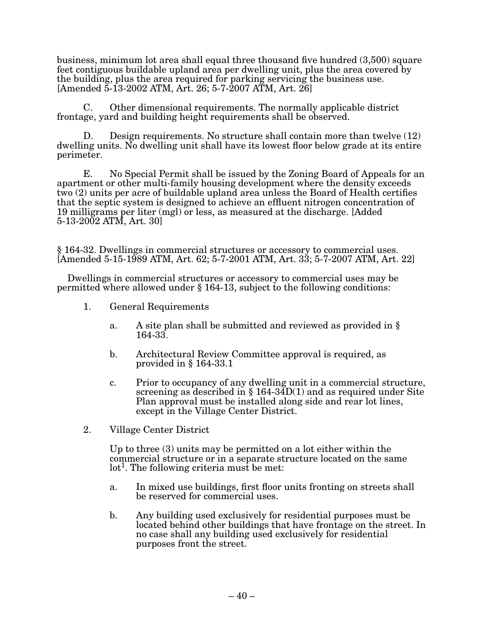business, minimum lot area shall equal three thousand five hundred (3,500) square feet contiguous buildable upland area per dwelling unit, plus the area covered by the building, plus the area required for parking servicing the business use.  $[Amended\ 5-13-2002\ ATM, Art. 26; 5-7-2007\ ATM, Art. 26]$ 

C. Other dimensional requirements. The normally applicable district frontage, yard and building height requirements shall be observed.

D. Design requirements. No structure shall contain more than twelve (12) dwelling units. No dwelling unit shall have its lowest floor below grade at its entire perimeter.

E. No Special Permit shall be issued by the Zoning Board of Appeals for an apartment or other multi-family housing development where the density exceeds two (2) units per acre of buildable upland area unless the Board of Health certifies that the septic system is designed to achieve an effluent nitrogen concentration of 19 milligrams per liter (mgl) or less, as measured at the discharge. [Added  $5-13-2002$  ATM, Art.  $30$ ]

§ 164-32. Dwellings in commercial structures or accessory to commercial uses. [Amended 5-15-1989 ATM, Art. 62; 5-7-2001 ATM, Art. 33; 5-7-2007 ATM, Art. 22]

Dwellings in commercial structures or accessory to commercial uses may be permitted where allowed under § 164-13, subject to the following conditions:

- 1. General Requirements
	- a. A site plan shall be submitted and reviewed as provided in § 164-33.
	- b. Architectural Review Committee approval is required, as provided in § 164-33.1
	- c. Prior to occupancy of any dwelling unit in a commercial structure, screening as described in § 164-34D(1) and as required under Site Plan approval must be installed along side and rear lot lines, except in the Village Center District.
- 2. Village Center District

Up to three (3) units may be permitted on a lot either within the commercial structure or in a separate structure located on the same lot<sup>1</sup>. The following criteria must be met:

- a. In mixed use buildings, first floor units fronting on streets shall be reserved for commercial uses.
- b. Any building used exclusively for residential purposes must be located behind other buildings that have frontage on the street. In no case shall any building used exclusively for residential purposes front the street.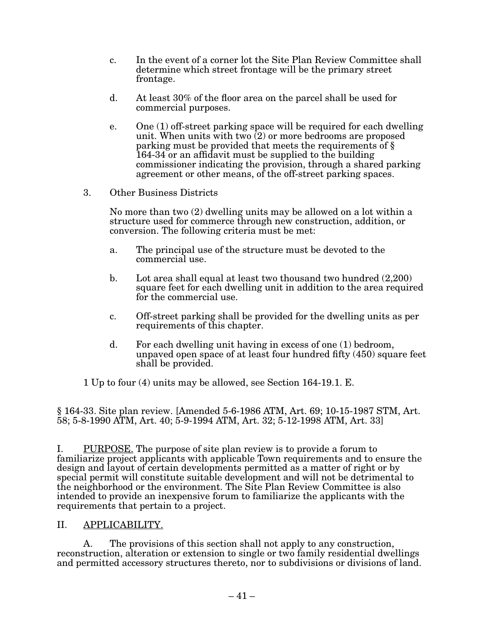- c. In the event of a corner lot the Site Plan Review Committee shall determine which street frontage will be the primary street frontage.
- d. At least 30% of the floor area on the parcel shall be used for commercial purposes.
- e. One (1) off-street parking space will be required for each dwelling unit. When units with two  $(2)$  or more bedrooms are proposed parking must be provided that meets the requirements of § 164-34 or an affidavit must be supplied to the building commissioner indicating the provision, through a shared parking agreement or other means, of the off-street parking spaces.
- 3. Other Business Districts

No more than two (2) dwelling units may be allowed on a lot within a structure used for commerce through new construction, addition, or conversion. The following criteria must be met:

- a. The principal use of the structure must be devoted to the commercial use.
- b. Lot area shall equal at least two thousand two hundred (2,200) square feet for each dwelling unit in addition to the area required for the commercial use.
- c. Off-street parking shall be provided for the dwelling units as per requirements of this chapter.
- d. For each dwelling unit having in excess of one  $(1)$  bedroom, unpaved open space of at least four hundred fifty (450) square feet shall be provided.

1 Up to four (4) units may be allowed, see Section 164-19.1. E.

§ 164-33. Site plan review. [Amended 5-6-1986 ATM, Art. 69; 10-15-1987 STM, Art. 58; 5-8-1990 ATM, Art. 40; 5-9-1994 ATM, Art. 32; 5-12-1998 ATM, Art. 33]

I. PURPOSE. The purpose of site plan review is to provide a forum to familiarize project applicants with applicable Town requirements and to ensure the design and layout of certain developments permitted as a matter of right or by special permit will constitute suitable development and will not be detrimental to the neighborhood or the environment. The Site Plan Review Committee is also intended to provide an inexpensive forum to familiarize the applicants with the requirements that pertain to a project.

# II. APPLICABILITY.

 A. The provisions of this section shall not apply to any construction, reconstruction, alteration or extension to single or two family residential dwellings and permitted accessory structures thereto, nor to subdivisions or divisions of land.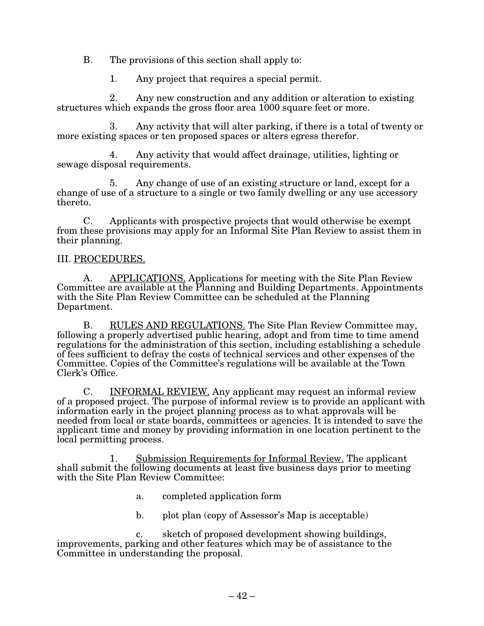B. The provisions of this section shall apply to:

1. Any project that requires a special permit.

2. Any new construction and any addition or alteration to existing structures which expands the gross floor area 1000 square feet or more.

3. Any activity that will alter parking, if there is a total of twenty or more existing spaces or ten proposed spaces or alters egress therefor.

4. Any activity that would affect drainage, utilities, lighting or sewage disposal requirements.

5. Any change of use of an existing structure or land, except for a change of use of a structure to a single or two family dwelling or any use accessory thereto.

C. Applicants with prospective projects that would otherwise be exempt from these provisions may apply for an Informal Site Plan Review to assist them in their planning.

# III. PROCEDURES.

A. APPLICATIONS. Applications for meeting with the Site Plan Review Committee are available at the Planning and Building Departments. Appointments with the Site Plan Review Committee can be scheduled at the Planning Department.

B. RULES AND REGULATIONS. The Site Plan Review Committee may, following a properly advertised public hearing, adopt and from time to time amend regulations for the administration of this section, including establishing a schedule of fees sufficient to defray the costs of technical services and other expenses of the Committee. Copies of the Committee's regulations will be available at the Town Clerk's Office.

C. INFORMAL REVIEW. Any applicant may request an informal review of a proposed project. The purpose of informal review is to provide an applicant with information early in the project planning process as to what approvals will be needed from local or state boards, committees or agencies. It is intended to save the applicant time and money by providing information in one location pertinent to the local permitting process.

1. Submission Requirements for Informal Review. The applicant shall submit the following documents at least five business days prior to meeting with the Site Plan Review Committee:

- a. completed application form
- b. plot plan (copy of Assessor's Map is acceptable)

c. sketch of proposed development showing buildings, improvements, parking and other features which may be of assistance to the Committee in understanding the proposal.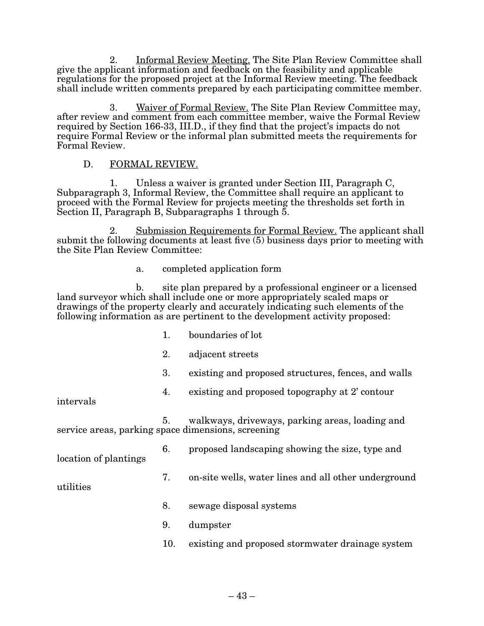2. Informal Review Meeting. The Site Plan Review Committee shall give the applicant information and feedback on the feasibility and applicable regulations for the proposed project at the Informal Review meeting. The feedback shall include written comments prepared by each participating committee member.

3. Waiver of Formal Review. The Site Plan Review Committee may, after review and comment from each committee member, waive the Formal Review required by Section 166-33, III.D., if they find that the project's impacts do not require Formal Review or the informal plan submitted meets the requirements for Formal Review.

## D. FORMAL REVIEW.

1. Unless a waiver is granted under Section III, Paragraph  $C$ , Subparagraph 3, Informal Review, the Committee shall require an applicant to proceed with the Formal Review for projects meeting the thresholds set forth in Section II, Paragraph B, Subparagraphs 1 through  $\bar{5}$ .

Submission Requirements for Formal Review. The applicant shall submit the following documents at least five  $(5)$  business days prior to meeting with the Site Plan Review Committee:

#### a. completed application form

b. site plan prepared by a professional engineer or a licensed land surveyor which shall include one or more appropriately scaled maps or drawings of the property clearly and accurately indicating such elements of the following information as are pertinent to the development activity proposed:

- 1. boundaries of lot
- 2. adjacent streets
- 3. existing and proposed structures, fences, and walls
- 4. existing and proposed topography at 2' contour

intervals

5. walkways, driveways, parking areas, loading and service areas, parking space dimensions, screening

location of plantings

- 6. proposed landscaping showing the size, type and
- 7. on-site wells, water lines and all other underground

utilities

- 8. sewage disposal systems
- 9. dumpster
- 10. existing and proposed stormwater drainage system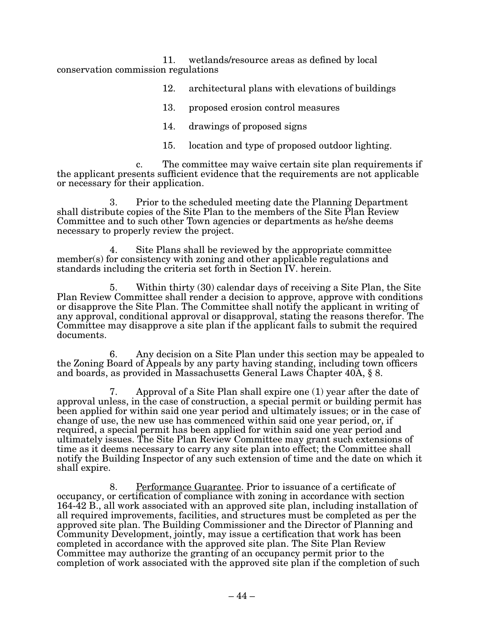11. wetlands/resource areas as defined by local conservation commission regulations

- 12. architectural plans with elevations of buildings
- 13. proposed erosion control measures
- 14. drawings of proposed signs
- 15. location and type of proposed outdoor lighting.

c. The committee may waive certain site plan requirements if the applicant presents sufficient evidence that the requirements are not applicable or necessary for their application.

3. Prior to the scheduled meeting date the Planning Department shall distribute copies of the Site Plan to the members of the Site Plan Review Committee and to such other Town agencies or departments as he/she deems necessary to properly review the project.

4. Site Plans shall be reviewed by the appropriate committee member(s) for consistency with zoning and other applicable regulations and standards including the criteria set forth in Section IV. herein.

5. Within thirty (30) calendar days of receiving a Site Plan, the Site Plan Review Committee shall render a decision to approve, approve with conditions or disapprove the Site Plan. The Committee shall notify the applicant in writing of any approval, conditional approval or disapproval, stating the reasons therefor. The Committee may disapprove a site plan if the applicant fails to submit the required documents.

6. Any decision on a Site Plan under this section may be appealed to the Zoning Board of Appeals by any party having standing, including town officers and boards, as provided in Massachusetts General Laws Chapter 40A, § 8.

7. Approval of a Site Plan shall expire one (1) year after the date of approval unless, in the case of construction, a special permit or building permit has been applied for within said one year period and ultimately issues; or in the case of change of use, the new use has commenced within said one year period, or, if required, a special permit has been applied for within said one year period and ultimately issues. The Site Plan Review Committee may grant such extensions of time as it deems necessary to carry any site plan into effect; the Committee shall notify the Building Inspector of any such extension of time and the date on which it shall expire.

8. Performance Guarantee. Prior to issuance of a certificate of occupancy, or certification of compliance with zoning in accordance with section 164-42 B., all work associated with an approved site plan, including installation of all required improvements, facilities, and structures must be completed as per the approved site plan. The Building Commissioner and the Director of Planning and Community Development, jointly, may issue a certification that work has been completed in accordance with the approved site plan. The Site Plan Review Committee may authorize the granting of an occupancy permit prior to the completion of work associated with the approved site plan if the completion of such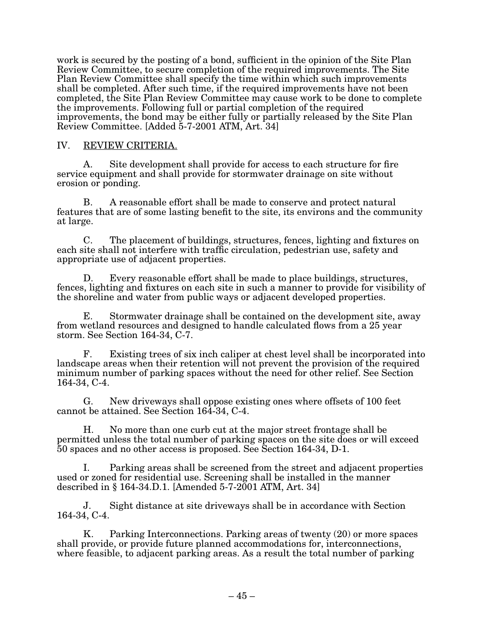work is secured by the posting of a bond, sufficient in the opinion of the Site Plan Review Committee, to secure completion of the required improvements. The Site Plan Review Committee shall specify the time within which such improvements shall be completed. After such time, if the required improvements have not been completed, the Site Plan Review Committee may cause work to be done to complete the improvements. Following full or partial completion of the required improvements, the bond may be either fully or partially released by the Site Plan  $Review Committee. [Added 5-7-2001 ATM, Art. 34]$ 

## IV. REVIEW CRITERIA.

A. Site development shall provide for access to each structure for fire service equipment and shall provide for stormwater drainage on site without erosion or ponding.

B. A reasonable effort shall be made to conserve and protect natural features that are of some lasting benefit to the site, its environs and the community at large.

C. The placement of buildings, structures, fences, lighting and fixtures on each site shall not interfere with traffic circulation, pedestrian use, safety and appropriate use of adjacent properties.

D. Every reasonable effort shall be made to place buildings, structures, fences, lighting and fixtures on each site in such a manner to provide for visibility of the shoreline and water from public ways or adjacent developed properties.

E. Stormwater drainage shall be contained on the development site, away from wetland resources and designed to handle calculated flows from a 25 year storm. See Section 164-34, C-7.

F. Existing trees of six inch caliper at chest level shall be incorporated into landscape areas when their retention will not prevent the provision of the required minimum number of parking spaces without the need for other relief. See Section 164-34, C-4.

G. New driveways shall oppose existing ones where offsets of 100 feet cannot be attained. See Section 164-34, C-4.

H. No more than one curb cut at the major street frontage shall be permitted unless the total number of parking spaces on the site does or will exceed 50 spaces and no other access is proposed. See Section 164-34, D-1.

I. Parking areas shall be screened from the street and adjacent properties used or zoned for residential use. Screening shall be installed in the manner described in  $\S 164-34$ . D. 1. [Amended 5-7-2001 ATM, Art. 34]

J. Sight distance at site driveways shall be in accordance with Section 164-34, C-4.

K. Parking Interconnections. Parking areas of twenty  $(20)$  or more spaces shall provide, or provide future planned accommodations for, interconnections, where feasible, to adjacent parking areas. As a result the total number of parking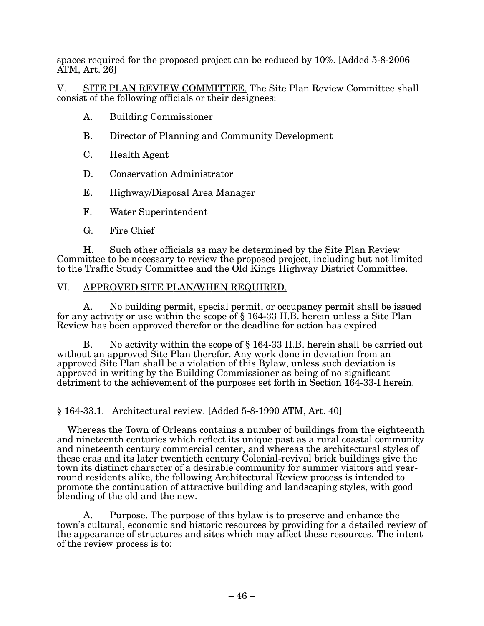spaces required for the proposed project can be reduced by 10%. [Added 5-8-2006  $\overline{ATM}$ , Art. 26]

V. SITE PLAN REVIEW COMMITTEE. The Site Plan Review Committee shall consist of the following officials or their designees:

- A. Building Commissioner
- B. Director of Planning and Community Development
- C. Health Agent
- D. Conservation Administrator
- E. Highway/Disposal Area Manager
- F. Water Superintendent
- G. Fire Chief

H. Such other officials as may be determined by the Site Plan Review Committee to be necessary to review the proposed project, including but not limited to the Traffic Study Committee and the Old Kings Highway District Committee.

#### VI. APPROVED SITE PLAN/WHEN REQUIRED.

A. No building permit, special permit, or occupancy permit shall be issued for any activity or use within the scope of § 164-33 II.B. herein unless a Site Plan Review has been approved therefor or the deadline for action has expired.

B. No activity within the scope of § 164-33 II.B. herein shall be carried out without an approved Site Plan therefor. Any work done in deviation from an approved Site Plan shall be a violation of this Bylaw, unless such deviation is approved in writing by the Building Commissioner as being of no significant detriment to the achievement of the purposes set forth in Section 164-33-I herein.

 $§ 164-33.1.$  Architectural review. [Added 5-8-1990 ATM, Art. 40]

Whereas the Town of Orleans contains a number of buildings from the eighteenth and nineteenth centuries which reflect its unique past as a rural coastal community and nineteenth century commercial center, and whereas the architectural styles of these eras and its later twentieth century Colonial-revival brick buildings give the town its distinct character of a desirable community for summer visitors and yearround residents alike, the following Architectural Review process is intended to promote the continuation of attractive building and landscaping styles, with good blending of the old and the new.

A. Purpose. The purpose of this bylaw is to preserve and enhance the town's cultural, economic and historic resources by providing for a detailed review of the appearance of structures and sites which may affect these resources. The intent of the review process is to: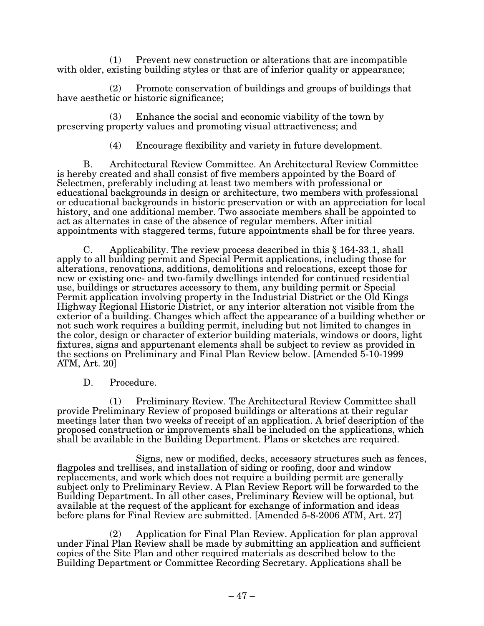(1) Prevent new construction or alterations that are incompatible with older, existing building styles or that are of inferior quality or appearance;

(2) Promote conservation of buildings and groups of buildings that have aesthetic or historic significance;

(3) Enhance the social and economic viability of the town by preserving property values and promoting visual attractiveness; and

(4) Encourage flexibility and variety in future development.

B. Architectural Review Committee. An Architectural Review Committee is hereby created and shall consist of five members appointed by the Board of Selectmen, preferably including at least two members with professional or educational backgrounds in design or architecture, two members with professional or educational backgrounds in historic preservation or with an appreciation for local history, and one additional member. Two associate members shall be appointed to act as alternates in case of the absence of regular members. After initial appointments with staggered terms, future appointments shall be for three years.

C. Applicability. The review process described in this § 164-33.1, shall apply to all building permit and Special Permit applications, including those for alterations, renovations, additions, demolitions and relocations, except those for new or existing one- and two-family dwellings intended for continued residential use, buildings or structures accessory to them, any building permit or Special Permit application involving property in the Industrial District or the Old Kings Highway Regional Historic District, or any interior alteration not visible from the exterior of a building. Changes which affect the appearance of a building whether or not such work requires a building permit, including but not limited to changes in the color, design or character of exterior building materials, windows or doors, light fixtures, signs and appurtenant elements shall be subject to review as provided in the sections on Preliminary and Final Plan Review below. [Amended 5-10-1999 ATM, Art. 20]

D. Procedure.

 (1) Preliminary Review. The Architectural Review Committee shall provide Preliminary Review of proposed buildings or alterations at their regular meetings later than two weeks of receipt of an application. A brief description of the proposed construction or improvements shall be included on the applications, which shall be available in the Building Department. Plans or sketches are required.

Signs, new or modified, decks, accessory structures such as fences, flagpoles and trellises, and installation of siding or roofing, door and window replacements, and work which does not require a building permit are generally subject only to Preliminary Review. A Plan Review Report will be forwarded to the Building Department. In all other cases, Preliminary Review will be optional, but available at the request of the applicant for exchange of information and ideas before plans for Final Review are submitted. [Amended 5-8-2006 ATM, Art. 27]

(2) Application for Final Plan Review. Application for plan approval under Final Plan Review shall be made by submitting an application and sufficient copies of the Site Plan and other required materials as described below to the Building Department or Committee Recording Secretary. Applications shall be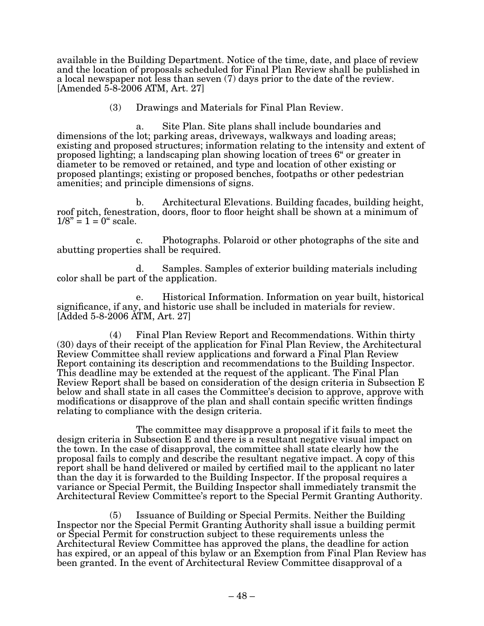available in the Building Department. Notice of the time, date, and place of review and the location of proposals scheduled for Final Plan Review shall be published in a local newspaper not less than seven (7) days prior to the date of the review.  $[Amended 5-8-2006 ATM, Art. 27]$ 

(3) Drawings and Materials for Final Plan Review.

a. Site Plan. Site plans shall include boundaries and dimensions of the lot; parking areas, driveways, walkways and loading areas; existing and proposed structures; information relating to the intensity and extent of proposed lighting; a landscaping plan showing location of trees 6" or greater in diameter to be removed or retained, and type and location of other existing or proposed plantings; existing or proposed benches, footpaths or other pedestrian amenities; and principle dimensions of signs.

b. Architectural Elevations. Building facades, building height, roof pitch, fenestration, doors, floor to floor height shall be shown at a minimum of  $1/8" = 1 = 0" scale.$ 

c. Photographs. Polaroid or other photographs of the site and abutting properties shall be required.

d. Samples. Samples of exterior building materials including color shall be part of the application.

e. Historical Information. Information on year built, historical significance, if any, and historic use shall be included in materials for review.  $[Added 5-8-2006 ATM, Art. 27]$ 

(4) Final Plan Review Report and Recommendations. Within thirty (30) days of their receipt of the application for Final Plan Review, the Architectural Review Committee shall review applications and forward a Final Plan Review Report containing its description and recommendations to the Building Inspector. This deadline may be extended at the request of the applicant. The Final Plan Review Report shall be based on consideration of the design criteria in Subsection E below and shall state in all cases the Committee's decision to approve, approve with modifications or disapprove of the plan and shall contain specific written findings relating to compliance with the design criteria.

The committee may disapprove a proposal if it fails to meet the design criteria in Subsection E and there is a resultant negative visual impact on the town. In the case of disapproval, the committee shall state clearly how the proposal fails to comply and describe the resultant negative impact. A copy of this report shall be hand delivered or mailed by certified mail to the applicant no later than the day it is forwarded to the Building Inspector. If the proposal requires a variance or Special Permit, the Building Inspector shall immediately transmit the Architectural Review Committee's report to the Special Permit Granting Authority.

 $(5)$  Issuance of Building or Special Permits. Neither the Building Inspector nor the Special Permit Granting Authority shall issue a building permit or Special Permit for construction subject to these requirements unless the Architectural Review Committee has approved the plans, the deadline for action has expired, or an appeal of this bylaw or an Exemption from Final Plan Review has been granted. In the event of Architectural Review Committee disapproval of a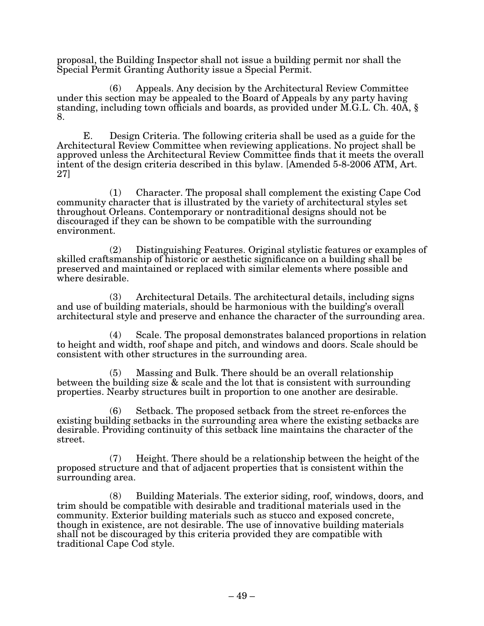proposal, the Building Inspector shall not issue a building permit nor shall the Special Permit Granting Authority issue a Special Permit.

(6) Appeals. Any decision by the Architectural Review Committee under this section may be appealed to the Board of Appeals by any party having standing, including town officials and boards, as provided under M.G.L. Ch. 40A, § 8.

E. Design Criteria. The following criteria shall be used as a guide for the Architectural Review Committee when reviewing applications. No project shall be approved unless the Architectural Review Committee finds that it meets the overall intent of the design criteria described in this bylaw. [Amended 5-8-2006 ATM, Art. 27]

(1) Character. The proposal shall complement the existing Cape Cod community character that is illustrated by the variety of architectural styles set throughout Orleans. Contemporary or nontraditional designs should not be discouraged if they can be shown to be compatible with the surrounding environment.

(2) Distinguishing Features. Original stylistic features or examples of skilled craftsmanship of historic or aesthetic significance on a building shall be preserved and maintained or replaced with similar elements where possible and where desirable.

(3) Architectural Details. The architectural details, including signs and use of building materials, should be harmonious with the building's overall architectural style and preserve and enhance the character of the surrounding area.

(4) Scale. The proposal demonstrates balanced proportions in relation to height and width, roof shape and pitch, and windows and doors. Scale should be consistent with other structures in the surrounding area.

(5) Massing and Bulk. There should be an overall relationship between the building size & scale and the lot that is consistent with surrounding properties. Nearby structures built in proportion to one another are desirable.

(6) Setback. The proposed setback from the street re-enforces the existing building setbacks in the surrounding area where the existing setbacks are desirable. Providing continuity of this setback line maintains the character of the street.

(7) Height. There should be a relationship between the height of the proposed structure and that of adjacent properties that is consistent within the surrounding area.

(8) Building Materials. The exterior siding, roof, windows, doors, and trim should be compatible with desirable and traditional materials used in the community. Exterior building materials such as stucco and exposed concrete, though in existence, are not desirable. The use of innovative building materials shall not be discouraged by this criteria provided they are compatible with traditional Cape Cod style.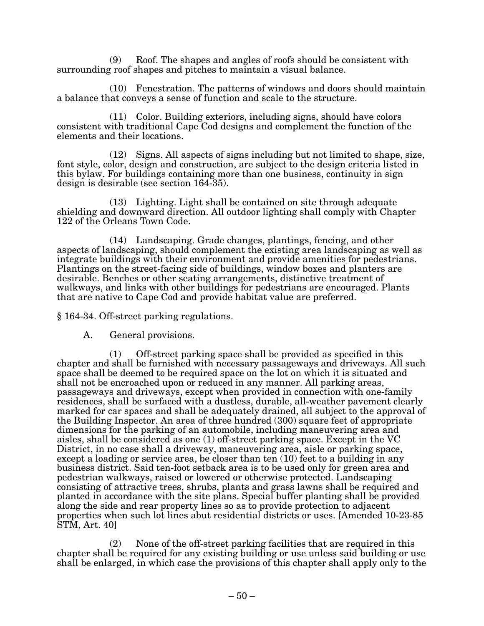(9) Roof. The shapes and angles of roofs should be consistent with surrounding roof shapes and pitches to maintain a visual balance.

(10) Fenestration. The patterns of windows and doors should maintain a balance that conveys a sense of function and scale to the structure.

(11) Color. Building exteriors, including signs, should have colors consistent with traditional Cape Cod designs and complement the function of the elements and their locations.

(12) Signs. All aspects of signs including but not limited to shape, size, font style, color, design and construction, are subject to the design criteria listed in this bylaw. For buildings containing more than one business, continuity in sign design is desirable (see section 164-35).

(13) Lighting. Light shall be contained on site through adequate shielding and downward direction. All outdoor lighting shall comply with Chapter 122 of the Orleans Town Code.

(14) Landscaping. Grade changes, plantings, fencing, and other aspects of landscaping, should complement the existing area landscaping as well as integrate buildings with their environment and provide amenities for pedestrians. Plantings on the street-facing side of buildings, window boxes and planters are desirable. Benches or other seating arrangements, distinctive treatment of walkways, and links with other buildings for pedestrians are encouraged. Plants that are native to Cape Cod and provide habitat value are preferred.

§ 164-34. Off-street parking regulations.

A. General provisions.

(1) Off-street parking space shall be provided as specified in this chapter and shall be furnished with necessary passageways and driveways. All such space shall be deemed to be required space on the lot on which it is situated and shall not be encroached upon or reduced in any manner. All parking areas, passageways and driveways, except when provided in connection with one-family residences, shall be surfaced with a dustless, durable, all-weather pavement clearly marked for car spaces and shall be adequately drained, all subject to the approval of the Building Inspector. An area of three hundred (300) square feet of appropriate dimensions for the parking of an automobile, including maneuvering area and aisles, shall be considered as one (1) off-street parking space. Except in the VC District, in no case shall a driveway, maneuvering area, aisle or parking space, except a loading or service area, be closer than ten (10) feet to a building in any business district. Said ten-foot setback area is to be used only for green area and pedestrian walkways, raised or lowered or otherwise protected. Landscaping consisting of attractive trees, shrubs, plants and grass lawns shall be required and planted in accordance with the site plans. Special buffer planting shall be provided along the side and rear property lines so as to provide protection to adjacent properties when such lot lines abut residential districts or uses. [Amended 10-23-85 STM, Art. 40]

(2) None of the off-street parking facilities that are required in this chapter shall be required for any existing building or use unless said building or use shall be enlarged, in which case the provisions of this chapter shall apply only to the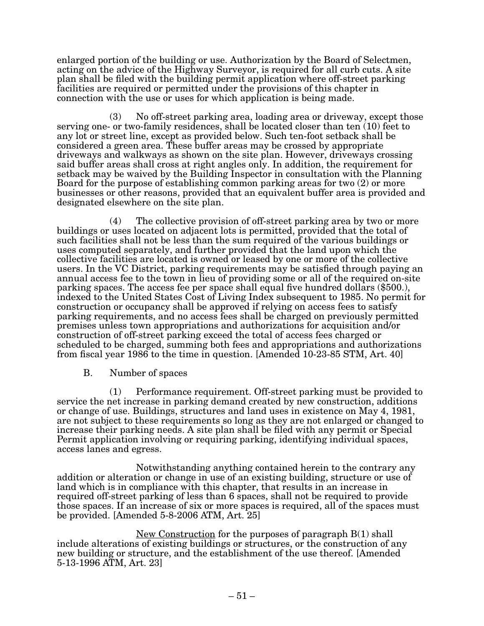enlarged portion of the building or use. Authorization by the Board of Selectmen, acting on the advice of the Highway Surveyor, is required for all curb cuts. A site plan shall be filed with the building permit application where off-street parking facilities are required or permitted under the provisions of this chapter in connection with the use or uses for which application is being made.

(3) No off-street parking area, loading area or driveway, except those serving one- or two-family residences, shall be located closer than ten (10) feet to any lot or street line, except as provided below. Such ten-foot setback shall be considered a green area. These buffer areas may be crossed by appropriate driveways and walkways as shown on the site plan. However, driveways crossing said buffer areas shall cross at right angles only. In addition, the requirement for setback may be waived by the Building Inspector in consultation with the Planning Board for the purpose of establishing common parking areas for two (2) or more businesses or other reasons, provided that an equivalent buffer area is provided and designated elsewhere on the site plan.

(4) The collective provision of off-street parking area by two or more buildings or uses located on adjacent lots is permitted, provided that the total of such facilities shall not be less than the sum required of the various buildings or uses computed separately, and further provided that the land upon which the collective facilities are located is owned or leased by one or more of the collective users. In the VC District, parking requirements may be satisfied through paying an annual access fee to the town in lieu of providing some or all of the required on-site parking spaces. The access fee per space shall equal five hundred dollars (\$500.), indexed to the United States Cost of Living Index subsequent to 1985. No permit for construction or occupancy shall be approved if relying on access fees to satisfy parking requirements, and no access fees shall be charged on previously permitted premises unless town appropriations and authorizations for acquisition and/or construction of off-street parking exceed the total of access fees charged or scheduled to be charged, summing both fees and appropriations and authorizations from fiscal year 1986 to the time in question. [Amended 10-23-85 STM, Art. 40]

B. Number of spaces

 $(1)$  Performance requirement. Off-street parking must be provided to service the net increase in parking demand created by new construction, additions or change of use. Buildings, structures and land uses in existence on May 4, 1981, are not subject to these requirements so long as they are not enlarged or changed to increase their parking needs. A site plan shall be filed with any permit or Special P rmit application involving or requiring parking, identifying individual spaces, access lanes and egress.

Notwithstanding anything contained herein to the contrary any addition or alteration or change in use of an existing building, structure or use of land which is in compliance with this chapter, that results in an increase in required off-street parking of less than 6 spaces, shall not be required to provide those spaces. If an increase of six or more spaces is required, all of the spaces must be provided. [Amended  $5-8-2006$  ATM, Art. 25]

 $New$  Construction for the purposes of paragraph B(1) shall include alterations of existing buildings or structures, or the construction of any new building or structure, and the establishment of the use thereof. [Amended 5-13-1996 ATM, Art. 23]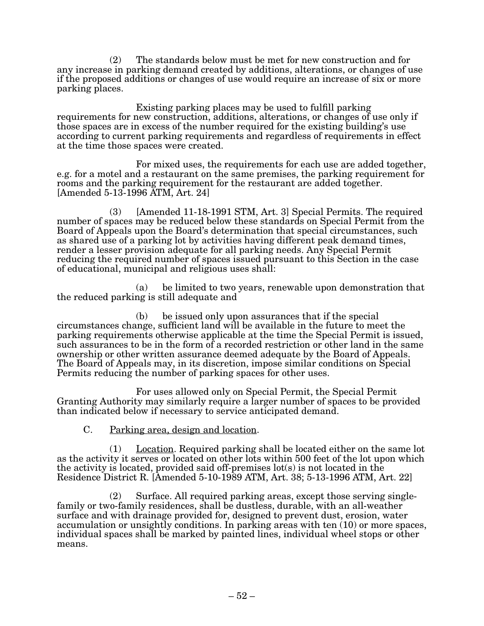(2) The standards below must be met for new construction and for any increase in parking demand created by additions, alterations, or changes of use if the proposed additions or changes of use would require an increase of six or more parking places.

Existing parking places may be used to fulfill parking requirements for new construction, additions, alterations, or changes of use only if those spaces are in excess of the number required for the existing building's use according to current parking requirements and regardless of requirements in effect at the time those spaces were created.

For mixed uses, the requirements for each use are added together, e.g. for a motel and a restaurant on the same premises, the parking requirement for rooms and the parking requirement for the restaurant are added together.  $[Amended 5-13-1996 ATM, Art. 24]$ 

 $(3)$  [Amended 11-18-1991 STM, Art. 3] Special Permits. The required number of spaces may be reduced below these standards on Special Permit from the Board of Appeals upon the Board's determination that special circumstances, such as shared use of a parking lot by activities having different peak demand times, render a lesser provision adequate for all parking needs. Any Special Permit reducing the required number of spaces issued pursuant to this Section in the case of educational, municipal and religious uses shall:

(a) be limited to two years, renewable upon demonstration that the reduced parking is still adequate and

(b) be issued only upon assurances that if the special circumstances change, sufficient land will be available in the future to meet the parking requirements otherwise applicable at the time the Special Permit is issued, such assurances to be in the form of a recorded restriction or other land in the same ownership or other written assurance deemed adequate by the Board of Appeals. The Board of Appeals may, in its discretion, impose similar conditions on Special Permits reducing the number of parking spaces for other uses.

For uses allowed only on Special Permit, the Special Permit Granting Authority may similarly require a larger number of spaces to be provided than indicated below if necessary to service anticipated demand.

## $C.$  Parking area, design and location.

 $(1)$  Location. Required parking shall be located either on the same lot as the activity it serves or located on other lots within 500 feet of the lot upon which the activity is located, provided said off-premises lot(s) is not located in the Residence District R. [Amended 5-10-1989 ATM, Art. 38; 5-13-1996 ATM, Art. 22]

(2) Surface. All required parking areas, except those serving singlefamily or two-family residences, shall be dustless, durable, with an all-weather surface and with drainage provided for, designed to prevent dust, erosion, water accumulation or unsightly conditions. In parking areas with ten (10) or more spaces, individual spaces shall be marked by painted lines, individual wheel stops or other means.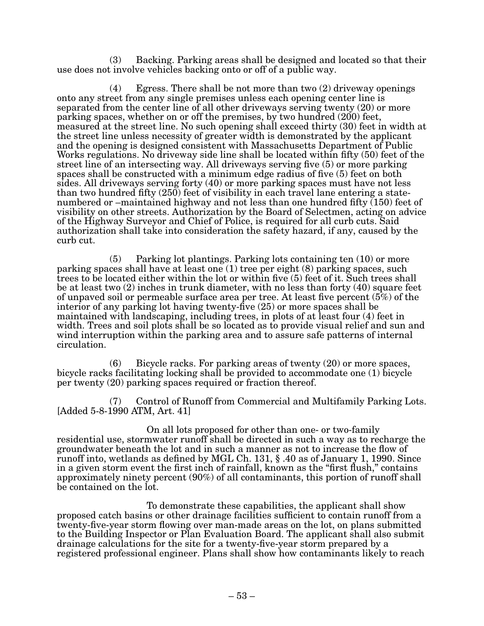$(3)$  Backing. Parking areas shall be designed and located so that their use does not involve vehicles backing onto or off of a public way.

(4) Egress. There shall be not more than two (2) driveway openings onto any street from any single premises unless each opening center line is separated from the center line of all other driveways serving twenty (20) or more parking spaces, whether on or off the premises, by two hundred (200) feet, measured at the street line. No such opening shall exceed thirty (30) feet in width at the street line unless necessity of greater width is demonstrated by the applicant and the opening is designed consistent with Massachusetts Department of Public Works regulations. No driveway side line shall be located within fifty  $(50)$  feet of the street line of an intersecting way. All driveways serving five (5) or more parking spaces shall be constructed with a minimum edge radius of five (5) feet on both sides. All driveways serving forty (40) or more parking spaces must have not less than two hundred fifty  $(250)$  feet of visibility in each travel lane entering a statenumbered or –maintained highway and not less than one hundred fifty (150) feet of visibility on other streets. Authorization by the Board of Selectmen, acting on advice of the Highway Surveyor and Chief of Police, is required for all curb cuts. Said authorization shall take into consideration the safety hazard, if any, caused by the curb cut.

 $(5)$  Parking lot plantings. Parking lots containing ten  $(10)$  or more parking spaces shall have at least one (1) tree per eight (8) parking spaces, such trees to be located either within the lot or within five (5) feet of it. Such trees shall be at least two (2) inches in trunk diameter, with no less than forty (40) square feet of unpaved soil or permeable surface area per tree. At least five percent (5%) of the interior of any parking lot having twenty-five (25) or more spaces shall be maintained with landscaping, including trees, in plots of at least four (4) feet in width. Trees and soil plots shall be so located as to provide visual relief and sun and wind interruption within the parking area and to assure safe patterns of internal circulation.

 $(6)$  Bicycle racks. For parking areas of twenty  $(20)$  or more spaces, bicycle racks facilitating locking shall be provided to accommodate one (1) bicycle per twenty (20) parking spaces required or fraction thereof.

 $(7)$  Control of Runoff from Commercial and Multifamily Parking Lots.  $[Added 5-8-1990 ATM, Art. 41]$ 

On all lots proposed for other than one- or two-family residential use, stormwater runoff shall be directed in such a way as to recharge the groundwater beneath the lot and in such a manner as not to increase the flow of runoff into, wetlands as defined by MGL Ch. 131, § .40 as of January 1, 1990. Since in a given storm event the first inch of rainfall, known as the "first flush," contains approximately ninety percent (90%) of all contaminants, this portion of runoff shall be contained on the lot.

To demonstrate these capabilities, the applicant shall show proposed catch basins or other drainage facilities sufficient to contain runoff from a twenty-five-year storm flowing over man-made areas on the lot, on plans submitted to the Building Inspector or Plan Evaluation Board. The applicant shall also submit drainage calculations for the site for a twenty-five-year storm prepared by a registered professional engineer. Plans shall show how contaminants likely to reach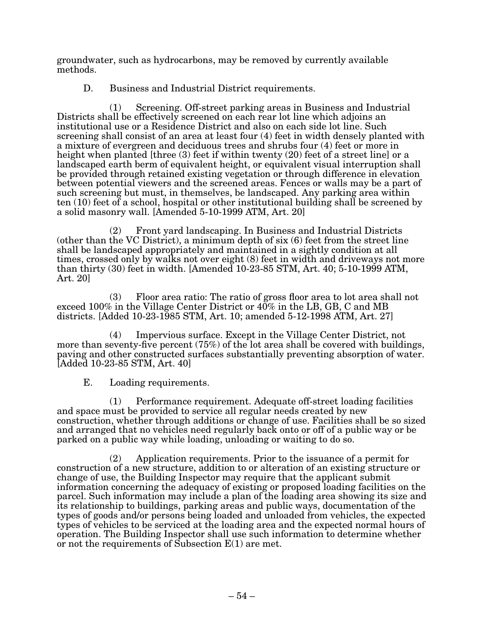groundwater, such as hydrocarbons, may be removed by currently available methods.

D. Business and Industrial District requirements.

(1) Screening. Off-street parking areas in Business and Industrial Districts shall be effectively screened on each rear lot line which adjoins an institutional use or a Residence District and also on each side lot line. Such screening shall consist of an area at least four (4) feet in width densely planted with a mixture of evergreen and deciduous trees and shrubs four (4) feet or more in height when planted [three (3) feet if within twenty (20) feet of a street line] or a landscaped earth berm of equivalent height, or equivalent visual interruption shall be provided through retained existing vegetation or through difference in elevation between potential viewers and the screened areas. Fences or walls may be a part of such screening but must, in themselves, be landscaped. Any parking area within ten (10) feet of a school, hospital or other institutional building shall be screened by a solid masonry wall. [Amended 5-10-1999 ATM, Art. 20]

(2) Front yard landscaping. In Business and Industrial Districts (other than the VC District), a minimum depth of six (6) feet from the street line shall be landscaped appropriately and maintained in a sightly condition at all times, crossed only by walks not over eight (8) feet in width and driveways not more than thirty  $(30)$  feet in width. [Amended 10-23-85 STM, Art. 40; 5-10-1999 ATM, Art. 20]

(3) Floor area ratio: The ratio of gross floor area to lot area shall not exceed 100% in the Village Center District or 40% in the LB, GB, C and MB districts. [Added 10-23-1985 STM, Art. 10; amended 5-12-1998 ATM, Art. 27]

(4) Impervious surface. Except in the Village Center District, not more than seventy-five percent (75%) of the lot area shall be covered with buildings, paving and other constructed surfaces substantially preventing absorption of water. [Added 10-23-85 STM, Art. 40]

E. Loading requirements.

 $(1)$  Performance requirement. Adequate off-street loading facilities and space must be provided to service all regular needs created by new construction, whether through additions or change of use. Facilities shall be so sized and arranged that no vehicles need regularly back onto or off of a public way or be parked on a public way while loading, unloading or waiting to do so.

(2) Application requirements. Prior to the issuance of a permit for construction of a new structure, addition to or alteration of an existing structure or change of use, the Building Inspector may require that the applicant submit information concerning the adequacy of existing or proposed loading facilities on the parcel. Such information may include a plan of the loading area showing its size and its relationship to buildings, parking areas and public ways, documentation of the types of goods and/or persons being loaded and unloaded from vehicles, the expected types of vehicles to be serviced at the loading area and the expected normal hours of operation. The Building Inspector shall use such information to determine whether or not the requirements of Subsection E(1) are met.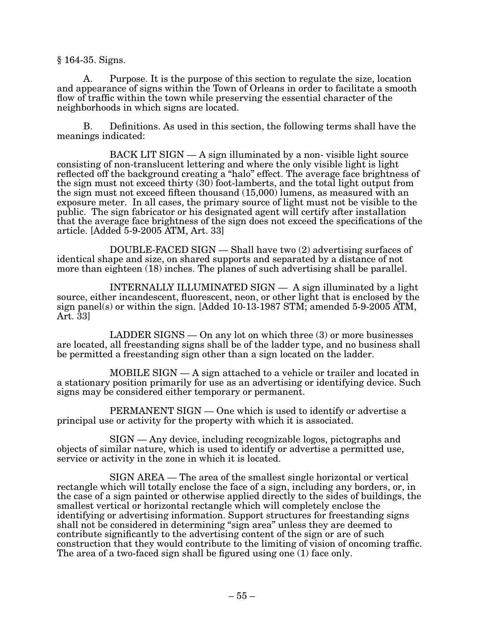§ 164-35. Signs.

A. Purpose. It is the purpose of this section to regulate the size, location and appearance of signs within the Town of Orleans in order to facilitate a smooth flow of traffic within the town while preserving the essential character of the neighborhoods in which signs are located.

B. Definitions. As used in this section, the following terms shall have the meanings indicated:

BACK LIT SIGN — A sign illuminated by a non- visible light source consisting of non-translucent lettering and where the only visible light is light reflected off the background creating a "halo" effect. The average face brightness of the sign must not exceed thirty (30) foot-lamberts, and the total light output from the sign must not exceed fifteen thousand (15,000) lumens, as measured with an exposure meter. In all cases, the primary source of light must not be visible to the public. The sign fabricator or his designated agent will certify after installation that the average face brightness of the sign does not exceed the specifications of the article.  $[Added 5-9-2005 \,\mathrm{ATM}$ , Art. 33]

 $DOUBLE\text{-}FACED$  SIGN  $-$  Shall have two  $(2)$  advertising surfaces of identical shape and size, on shared supports and separated by a distance of not more than eighteen (18) inches. The planes of such advertising shall be parallel.

INTERNALLY ILLUMINATED  $SIGN - A$  sign illuminated by a light source, either incandescent, fluorescent, neon, or other light that is enclosed by the sign panel(s) or within the sign. [Added  $10-13-1987$  STM; amended  $5-9-2005$  ATM, Art. 33]

LADDER SIGNS — On any lot on which three  $(3)$  or more businesses are located, all freestanding signs shall be of the ladder type, and no business shall be permitted a freestanding sign other than a sign located on the ladder.

MOBILE SIGN — A sign attached to a vehicle or trailer and located in a stationary position primarily for use as an advertising or identifying device. Such signs may be considered either temporary or permanent.

PERMANENT SIGN — One which is used to identify or advertise a principal use or activity for the property with which it is associated.

SIGN — Any device, including recognizable logos, pictographs and objects of similar nature, which is used to identify or advertise a permitted use, service or activity in the zone in which it is located.

SIGN AREA — The area of the smallest single horizontal or vertical rectangle which will totally enclose the face of a sign, including any borders, or, in the case of a sign painted or otherwise applied directly to the sides of buildings, the smallest vertical or horizontal rectangle which will completely enclose the identifying or advertising information. Support structures for freestanding signs shall not be considered in determining "sign area" unless they are deemed to contribute significantly to the advertising content of the sign or are of such construction that they would contribute to the limiting of vision of oncoming traffic. The area of a two-faced sign shall be figured using one (1) face only.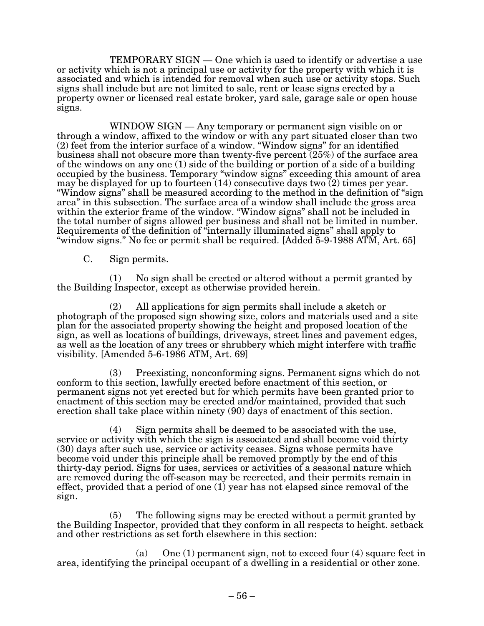TEMPORARY SIGN — One which is used to identify or advertise a use or activity which is not a principal use or activity for the property with which it is associated and which is intended for removal when such use or activity stops. Such signs shall include but are not limited to sale, rent or lease signs erected by a property owner or licensed real estate broker, yard sale, garage sale or open house signs.

WINDOW SIGN — Any temporary or permanent sign visible on or through a window, affixed to the window or with any part situated closer than two (2) feet from the interior surface of a window. "Window signs" for an identified business shall not obscure more than twenty-five percent (25%) of the surface area of the windows on any one (1) side of the building or portion of a side of a building occupied by the business. Temporary "window signs" exceeding this amount of area may be displayed for up to fourteen (14) consecutive days two (2) times per year. "Window signs" shall be measured according to the method in the definition of "sign area" in this subsection. The surface area of a window shall include the gross area within the exterior frame of the window. "Window signs" shall not be included in the total number of signs allowed per business and shall not be limited in number. Requirements of the definition of "internally illuminated signs" shall apply to "window signs." No fee or permit shall be required. [Added  $5-9-1988$  ATM, Art. 65]

C. Sign permits.

(1) No sign shall be erected or altered without a permit granted by the Building Inspector, except as otherwise provided herein.

(2) All applications for sign permits shall include a sketch or photograph of the proposed sign showing size, colors and materials used and a site plan for the associated property showing the height and proposed location of the sign, as well as locations of buildings, driveways, street lines and pavement edges, as well as the location of any trees or shrubbery which might interfere with traffic visibility. [Amended  $5-6-1986$  ATM, Art. 69]

 $(3)$  Preexisting, nonconforming signs. Permanent signs which do not conform to this section, lawfully erected before enactment of this section, or permanent signs not yet erected but for which permits have been granted prior to enactment of this section may be erected and/or maintained, provided that such erection shall take place within ninety (90) days of enactment of this section.

(4) Sign permits shall be deemed to be associated with the use, service or activity with which the sign is associated and shall become void thirty (30) days after such use, service or activity ceases. Signs whose permits have become void under this principle shall be removed promptly by the end of this thirty-day period. Signs for uses, services or activities of a seasonal nature which are removed during the off-season may be reerected, and their permits remain in effect, provided that a period of one (1) year has not elapsed since removal of the sign.

(5) The following signs may be erected without a permit granted by the Building Inspector, provided that they conform in all respects to height. setback and other restrictions as set forth elsewhere in this section:

(a) One (1) permanent sign, not to exceed four (4) square feet in area, identifying the principal occupant of a dwelling in a residential or other zone.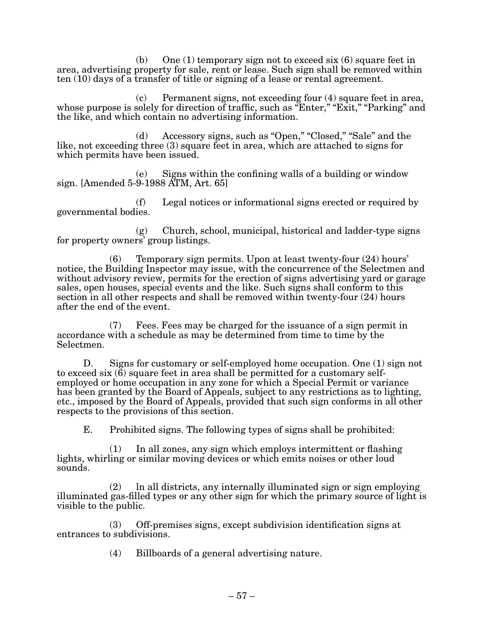(b) One (1) temporary sign not to exceed six (6) square feet in area, advertising property for sale, rent or lease. Such sign shall be removed within ten (10) days of a transfer of title or signing of a lease or rental agreement.

 $(c)$  Permanent signs, not exceeding four  $(4)$  square feet in area, whose purpose is solely for direction of traffic, such as "Enter," "Exit," "Parking" and the like, and which contain no advertising information.

(d) Accessory signs, such as "Open," "Closed," "Sale" and the like, not exceeding three (3) square feet in area, which are attached to signs for which permits have been issued.

(e) Signs within the confining walls of a building or window sign. [Amended  $5-9-1988$  ATM, Art. 65]

(f) Legal notices or informational signs erected or required by governmental bodies.

(g) Church, school, municipal, historical and ladder-type signs for property owners' group listings.

 $(6)$  Temporary sign permits. Upon at least twenty-four  $(24)$  hours' notice, the Building Inspector may issue, with the concurrence of the Selectmen and without advisory review, permits for the erection of signs advertising yard or garage sales, open houses, special events and the like. Such signs shall conform to this section in all other respects and shall be removed within twenty-four (24) hours after the end of the event.

(7) Fees. Fees may be charged for the issuance of a sign permit in accordance with a schedule as may be determined from time to time by the Selectmen.

D. Signs for customary or self-employed home occupation. One (1) sign not to exceed six  $(\vec{6})$  square feet in area shall be permitted for a customary selfemployed or home occupation in any zone for which a Special Permit or variance has been granted by the Board of Appeals, subject to any restrictions as to lighting, etc., imposed by the Board of Appeals, provided that such sign conforms in all other respects to the provisions of this section.

E. Prohibited signs. The following types of signs shall be prohibited:

(1) In all zones, any sign which employs intermittent or flashing lights, whirling or similar moving devices or which emits noises or other loud sounds.

(2) ln all districts, any internally illuminated sign or sign employing illuminated gas-filled types or any other sign for which the primary source of light is visible to the public.

(3) Off-premises signs, except subdivision identification signs at entrances to subdivisions.

(4) Billboards of a general advertising nature.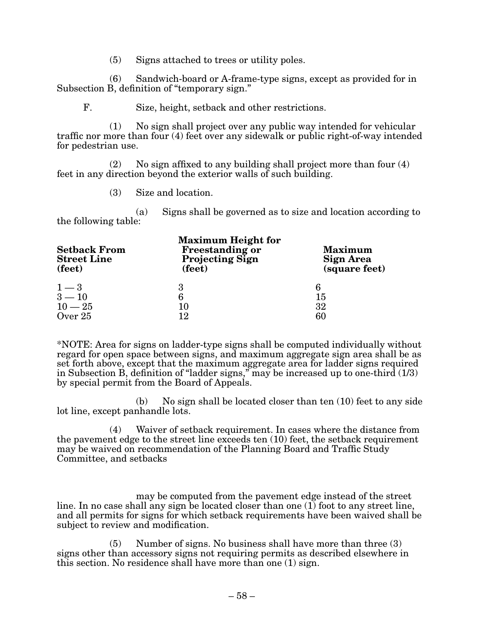(5) Signs attached to trees or utility poles.

(6) Sandwich-board or A-frame-type signs, except as provided for in Subsection B, definition of "temporary sign."

F. Size, height, setback and other restrictions.

(1) No sign shall project over any public way intended for vehicular traffic nor more than four (4) feet over any sidewalk or public right-of-way intended for pedestrian use.

 $(2)$  No sign affixed to any building shall project more than four  $(4)$ feet in any direction beyond the exterior walls of such building.

(3) Size and location.

(a) Signs shall be governed as to size and location according to the following table:

| <b>Setback From</b><br><b>Street Line</b><br>(feet) | <b>Maximum Height for</b><br><b>Freestanding or</b><br><b>Projecting Sign</b><br>(feet) | <b>Maximum</b><br><b>Sign Area</b><br>(square feet) |
|-----------------------------------------------------|-----------------------------------------------------------------------------------------|-----------------------------------------------------|
| $1-3$                                               | 3                                                                                       | 6                                                   |
| $3 - 10$                                            | 6                                                                                       | 15                                                  |
| $10 - 25$                                           | 10                                                                                      | 32                                                  |
| Over 25                                             | 12                                                                                      | 60                                                  |

\*NOTE: Area for signs on ladder-type signs shall be computed individually without regard for open space between signs, and maximum aggregate sign area shall be as set forth above, except that the maximum aggregate area for ladder signs required in Subsection B, definition of "ladder signs," may be increased up to one-third (1/3) by special permit from the Board of Appeals.

(b) No sign shall be located closer than ten (10) feet to any side lot line, except panhandle lots.

(4) Waiver of setback requirement. In cases where the distance from the pavement edge to the street line exceeds ten (10) feet, the setback requirement may be waived on recommendation of the Planning Board and Traffic Study Committee, and setbacks

may be computed from the pavement edge instead of the street line. In no case shall any sign be located closer than one  $(1)$  foot to any street line, and all permits for signs for which setback requirements have been waived shall be subject to review and modification.

(5) Number of signs. No business shall have more than three (3) signs other than accessory signs not requiring permits as described elsewhere in this section. No residence shall have more than one (1) sign.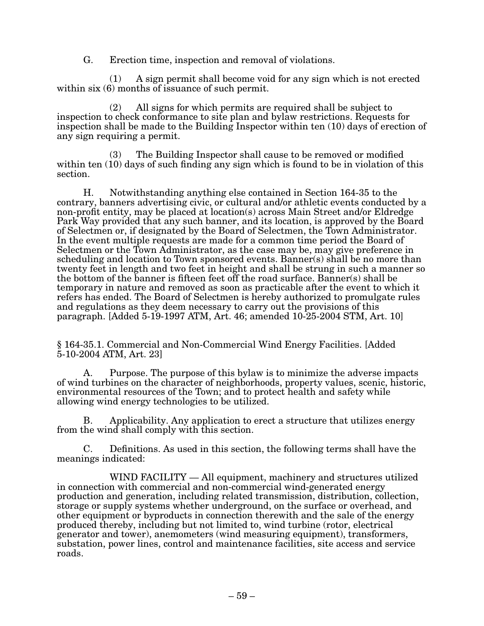G. Erection time, inspection and removal of violations.

(1) A sign permit shall become void for any sign which is not erected within six  $(6)$  months of issuance of such permit.

(2) All signs for which permits are required shall be subject to inspection to check conformance to site plan and bylaw restrictions. Requests for inspection shall be made to the Building Inspector within ten (10) days of erection of any sign requiring a permit.

(3) The Building Inspector shall cause to be removed or modified within ten (10) days of such finding any sign which is found to be in violation of this section.

H. Notwithstanding anything else contained in Section 164-35 to the contrary, banners advertising civic, or cultural and/or athletic events conducted by a non-profit entity, may be placed at location(s) across Main Street and/or Eldredge Park Way provided that any such banner, and its location, is approved by the Board of Selectmen or, if designated by the Board of Selectmen, the Town Administrator. In the event multiple requests are made for a common time period the Board of Selectmen or the Town Administrator, as the case may be, may give preference in scheduling and location to Town sponsored events. Banner(s) shall be no more than twenty feet in length and two feet in height and shall be strung in such a manner so the bottom of the banner is fifteen feet off the road surface. Banner(s) shall be temporary in nature and removed as soon as practicable after the event to which it refers has ended. The Board of Selectmen is hereby authorized to promulgate rules and regulations as they deem necessary to carry out the provisions of this paragraph. [Added 5-19-1997 ATM, Art. 46; amended 10-25-2004 STM, Art. 10]

§ 164-35.1. Commercial and Non-Commercial Wind Energy Facilities. [Added 5-10-2004 ATM, Art. 23]

A. Purpose. The purpose of this bylaw is to minimize the adverse impacts of wind turbines on the character of neighborhoods, property values, scenic, historic, environmental resources of the Town; and to protect health and safety while allowing wind energy technologies to be utilized.

B. Applicability. Any application to erect a structure that utilizes energy from the wind shall comply with this section.

C. Definitions. As used in this section, the following terms shall have the meanings indicated:

WIND FACILITY  $-$  All equipment, machinery and structures utilized in connection with commercial and non-commercial wind-generated energy production and generation, including related transmission, distribution, collection, storage or supply systems whether underground, on the surface or overhead, and other equipment or byproducts in connection therewith and the sale of the energy produced thereby, including but not limited to, wind turbine (rotor, electrical generator and tower), anemometers (wind measuring equipment), transformers, substation, power lines, control and maintenance facilities, site access and service roads.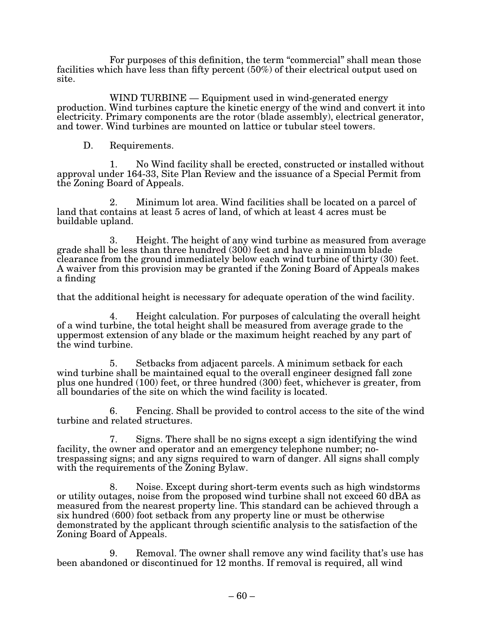For purposes of this definition, the term "commercial" shall mean those facilities which have less than fifty percent (50%) of their electrical output used on site.

WIND TURBINE — Equipment used in wind-generated energy production. Wind turbines capture the kinetic energy of the wind and convert it into electricity. Primary components are the rotor (blade assembly), electrical generator, and tower. Wind turbines are mounted on lattice or tubular steel towers.

D. Requirements.

 1. No Wind facility shall be erected, constructed or installed without approval under 164-33, Site Plan Review and the issuance of a Special Permit from the Zoning Board of Appeals.

2. Minimum lot area. Wind facilities shall be located on a parcel of land that contains at least 5 acres of land, of which at least 4 acres must be buildable upland.

3. Height. The height of any wind turbine as measured from average grade shall be less than three hundred (300) feet and have a minimum blade clearance from the ground immediately below each wind turbine of thirty (30) feet. A waiver from this provision may be granted if the Zoning Board of Appeals makes a finding

that the additional height is necessary for adequate operation of the wind facility.

4. Height calculation. For purposes of calculating the overall height of a wind turbine, the total height shall be measured from average grade to the uppermost extension of any blade or the maximum height reached by any part of the wind turbine.

5. Setbacks from adjacent parcels. A minimum setback for each wind turbine shall be maintained equal to the overall engineer designed fall zone plus one hundred (100) feet, or three hundred (300) feet, whichever is greater, from all boundaries of the site on which the wind facility is located.

6. Fencing. Shall be provided to control access to the site of the wind turbine and related structures.

7. Signs. There shall be no signs except a sign identifying the wind facility, the owner and operator and an emergency telephone number; notrespassing signs; and any signs required to warn of danger. All signs shall comply with the requirements of the Zoning Bylaw.

8. Noise. Except during short-term events such as high windstorms or utility outages, noise from the proposed wind turbine shall not exceed 60 dBA as measured from the nearest property line. This standard can be achieved through a six hundred (600) foot setback from any property line or must be otherwise demonstrated by the applicant through scientific analysis to the satisfaction of the Zoning Board of Appeals.

9. Removal. The owner shall remove any wind facility that's use has been abandoned or discontinued for 12 months. If removal is required, all wind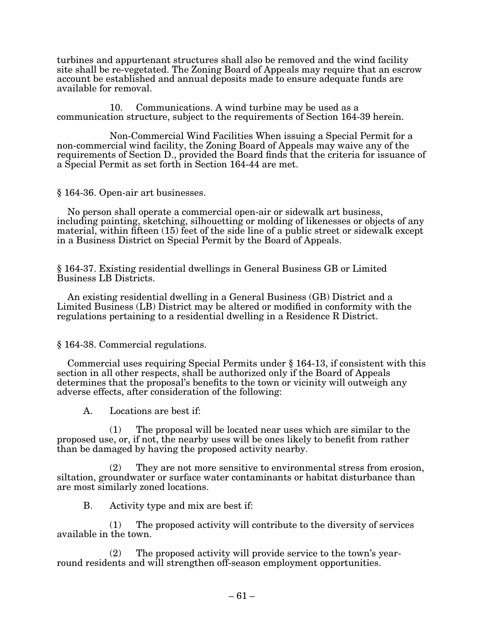turbines and appurtenant structures shall also be removed and the wind facility site shall be re-vegetated. The Zoning Board of Appeals may require that an escrow account be established and annual deposits made to ensure adequate funds are available for removal.

10. Communications. A wind turbine may be used as a communication structure, subject to the requirements of Section 164-39 herein.

Non-Commercial Wind Facilities When issuing a Special Permit for a non-commercial wind facility, the Zoning Board of Appeals may waive any of the requirements of Section D., provided the Board finds that the criteria for issuance of a Special Permit as set forth in Section 164-44 are met.

§ 164-36. Open-air art businesses.

No person shall operate a commercial open-air or sidewalk art business, including painting, sketching, silhouetting or molding of likenesses or objects of any material, within fifteen (15) feet of the side line of a public street or sidewalk except in a Business District on Special Permit by the Board of Appeals.

§ 164-37. Existing residential dwellings in General Business GB or Limited Business LB Districts.

An existing residential dwelling in a General Business (GB) District and a Limited Business (LB) District may be altered or modified in conformity with the regulations pertaining to a residential dwelling in a Residence R District.

§ 164-38. Commercial regulations.

Commercial uses requiring Special Permits under  $\S 164-13$ , if consistent with this section in all other respects, shall be authorized only if the Board of Appeals determines that the proposal's benefits to the town or vicinity will outweigh any adverse effects, after consideration of the following:

A. Locations are best if:

(1) The proposal will be located near uses which are similar to the proposed use, or, if not, the nearby uses will be ones likely to benefit from rather than be damaged by having the proposed activity nearby.

(2) They are not more sensitive to environmental stress from erosion, siltation, groundwater or surface water contaminants or habitat disturbance than are most similarly zoned locations.

B. Activity type and mix are best if:

(1) The proposed activity will contribute to the diversity of services available in the town.

(2) The proposed activity will provide service to the town's yearround residents and will strengthen off-season employment opportunities.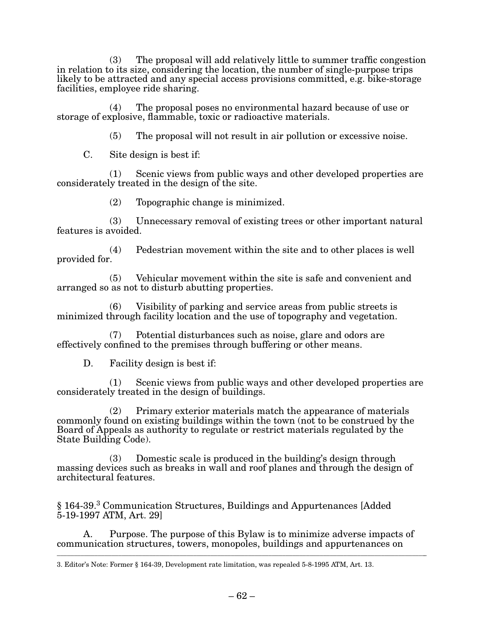(3) The proposal will add relatively little to summer traffic congestion in relation to its size, considering the location, the number of single-purpose trips likely to be attracted and any special access provisions committed, e.g. bike-storage facilities, employee ride sharing.

(4) The proposal poses no environmental hazard because of use or storage of explosive, flammable, toxic or radioactive materials.

(5) The proposal will not result in air pollution or excessive noise.

C. Site design is best if:

(1) Scenic views from public ways and other developed properties are considerately treated in the design of the site.

 $(2)$  Topographic change is minimized.

(3) Unnecessary removal of existing trees or other important natural features is avoided.

 $(4)$  Pedestrian movement within the site and to other places is well provided for.

 $(5)$  Vehicular movement within the site is safe and convenient and arranged so as not to disturb abutting properties.

(6) Visibility of parking and service areas from public streets is minimized through facility location and the use of topography and vegetation.

 $(7)$  Potential disturbances such as noise, glare and odors are effectively confined to the premises through buffering or other means.

D. Facility design is best if:

(1) Scenic views from public ways and other developed properties are considerately treated in the design of buildings.

(2) Primary exterior materials match the appearance of materials commonly found on existing buildings within the town (not to be construed by the Board of Appeals as authority to regulate or restrict materials regulated by the State Building Code).

(3) Domestic scale is produced in the building's design through massing devices such as breaks in wall and roof planes and through the design of architectural features.

<sup>3</sup> § 164-39. Communication Structures, Buildings and Appurtenances [Added  $5-19-1997$  ATM, Art. 29]

A. Purpose. The purpose of this Bylaw is to minimize adverse impacts of communication structures, towers, monopoles, buildings and appurtenances on

\_\_\_\_\_\_\_\_\_\_\_\_\_\_\_\_\_\_\_\_\_\_\_\_\_\_\_\_\_\_\_\_\_\_\_\_\_\_\_\_\_\_\_\_\_\_\_\_\_\_\_\_\_\_\_\_\_\_\_\_\_\_\_\_\_\_\_\_\_\_\_\_\_\_\_\_\_\_\_\_\_\_\_\_\_\_\_\_\_\_\_\_\_\_\_\_\_\_\_\_\_\_\_\_\_\_\_\_\_

<sup>3.</sup> Editor's Note: Former § 164-39, Development rate limitation, was repealed 5-8-1995 ATM, Art. 13.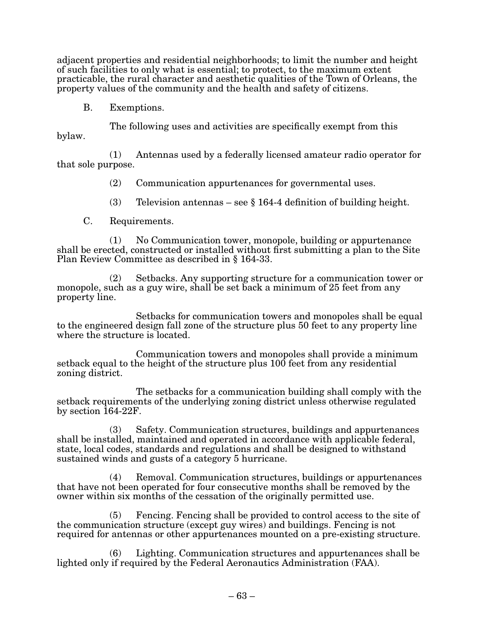adjacent properties and residential neighborhoods; to limit the number and height of such facilities to only what is essential; to protect, to the maximum extent practicable, the rural character and aesthetic qualities of the Town of Orleans, the property values of the community and the health and safety of citizens.

B. Exemptions.

 The following uses and activities are specifically exempt from this bylaw.

(1) Antennas used by a federally licensed amateur radio operator for that sole purpose.

(2) Communication appurtenances for governmental uses.

(3) Television antennas – see  $\S$  164-4 definition of building height.

C. Requirements.

 (1) No Communication tower, monopole, building or appurtenance shall be erected, constructed or installed without first submitting a plan to the Site Plan Review Committee as described in § 164-33.

(2) Setbacks. Any supporting structure for a communication tower or monopole, such as a guy wire, shall be set back a minimum of 25 feet from any property line.

Setbacks for communication towers and monopoles shall be equal to the engineered design fall zone of the structure plus 50 feet to any property line where the structure is located.

Communication towers and monopoles shall provide a minimum setback equal to the height of the structure plus 100 feet from any residential zoning district.

The setbacks for a communication building shall comply with the setback requirements of the underlying zoning district unless otherwise regulated by section 164-22F.

(3) Safety. Communication structures, buildings and appurtenances shall be installed, maintained and operated in accordance with applicable federal, state, local codes, standards and regulations and shall be designed to withstand sustained winds and gusts of a category 5 hurricane.

(4) Removal. Communication structures, buildings or appurtenances that have not been operated for four consecutive months shall be removed by the owner within six months of the cessation of the originally permitted use.

(5) Fencing. Fencing shall be provided to control access to the site of the communication structure (except guy wires) and buildings. Fencing is not required for antennas or other appurtenances mounted on a pre-existing structure.

(6) Lighting. Communication structures and appurtenances shall be lighted only if required by the Federal Aeronautics Administration (FAA).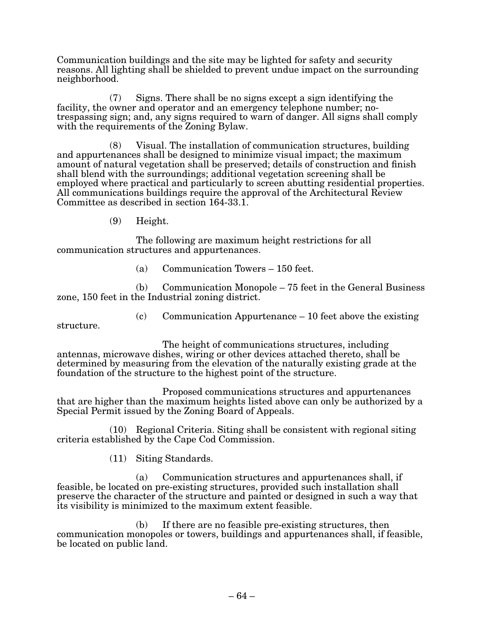Communication buildings and the site may be lighted for safety and security reasons. All lighting shall be shielded to prevent undue impact on the surrounding neighborhood.

(7) Signs. There shall be no signs except a sign identifying the facility, the owner and operator and an emergency telephone number; notrespassing sign; and, any signs required to warn of danger. All signs shall comply with the requirements of the Zoning Bylaw.

(8) Visual. The installation of communication structures, building and appurtenances shall be designed to minimize visual impact; the maximum amount of natural vegetation shall be preserved; details of construction and finish shall blend with the surroundings; additional vegetation screening shall be employed where practical and particularly to screen abutting residential properties. All communications buildings require the approval of the Architectural Review Committee as described in section 164-33.1.

(9) Height.

 The following are maximum height restrictions for all communication structures and appurtenances.

(a) Communication Towers  $-150$  feet.

(b) Communication Monopole – 75 feet in the General Business zone, 150 feet in the Industrial zoning district.

 $(c)$  Communication Appurtenance – 10 feet above the existing

structure.

The height of communications structures, including antennas, microwave dishes, wiring or other devices attached thereto, shall be determined by measuring from the elevation of the naturally existing grade at the foundation of the structure to the highest point of the structure.

Proposed communications structures and appurtenances that are higher than the maximum heights listed above can only be authorized by a Special Permit issued by the Zoning Board of Appeals.

(10) Regional Criteria. Siting shall be consistent with regional siting criteria established by the Cape Cod Commission.

(11) Siting Standards.

(a) Communication structures and appurtenances shall, if feasible, be located on pre-existing structures, provided such installation shall preserve the character of the structure and painted or designed in such a way that its visibility is minimized to the maximum extent feasible.

(b) If there are no feasible pre-existing structures, then communication monopoles or towers, buildings and appurtenances shall, if feasible, be located on public land.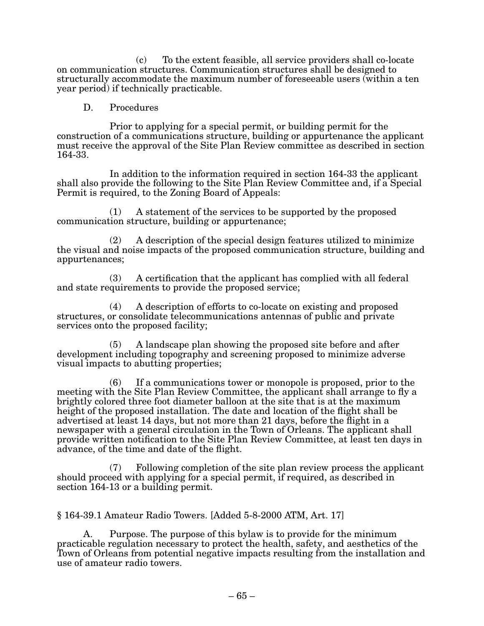$(c)$  To the extent feasible, all service providers shall co-locate on communication structures. Communication structures shall be designed to structurally accommodate the maximum number of foreseeable users (within a ten year period) if technically practicable.

#### D. Procedures

 Prior to applying for a special permit, or building permit for the construction of a communications structure, building or appurtenance the applicant must receive the approval of the Site Plan Review committee as described in section 164-33.

In addition to the information required in section 164-33 the applicant shall also provide the following to the Site Plan Review Committee and, if a Special Permit is required, to the Zoning Board of Appeals:

(1) A statement of the services to be supported by the proposed communication structure, building or appurtenance;

(2) A description of the special design features utilized to minimize the visual and noise impacts of the proposed communication structure, building and appurtenances;

(3) A certification that the applicant has complied with all federal and state requirements to provide the proposed service;

(4) A description of efforts to co-locate on existing and proposed structures, or consolidate telecommunications antennas of public and private services onto the proposed facility;

(5) A landscape plan showing the proposed site before and after development including topography and screening proposed to minimize adverse visual impacts to abutting properties;

(6) If a communications tower or monopole is proposed, prior to the meeting with the Site Plan Review Committee, the applicant shall arrange to fly a brightly colored three foot diameter balloon at the site that is at the maximum height of the proposed installation. The date and location of the flight shall be advertised at least 14 days, but not more than 21 days, before the flight in a newspaper with a general circulation in the Town of Orleans. The applicant shall provide written notification to the Site Plan Review Committee, at least ten days in advance, of the time and date of the flight.

 $(7)$  Following completion of the site plan review process the applicant should proceed with applying for a special permit, if required, as described in section 164-13 or a building permit.

 $\S 164-39.1$  Amateur Radio Towers. [Added 5-8-2000 ATM, Art. 17]

A. Purpose. The purpose of this bylaw is to provide for the minimum practicable regulation necessary to protect the health, safety, and aesthetics of the Town of Orleans from potential negative impacts resulting from the installation and use of amateur radio towers.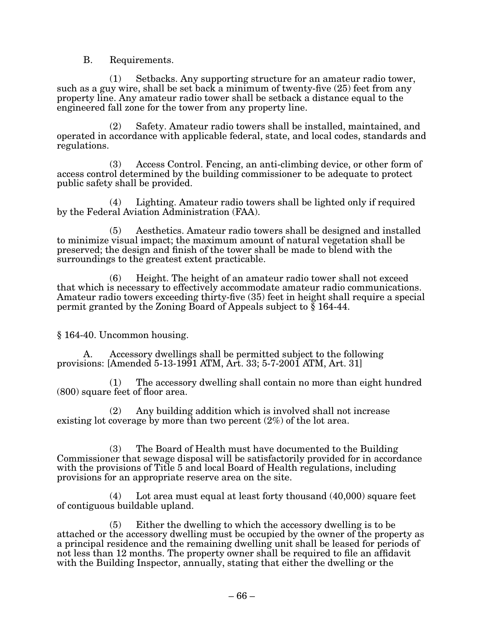B. Requirements.

 (1) Setbacks. Any supporting structure for an amateur radio tower, such as a guy wire, shall be set back a minimum of twenty-five (25) feet from any property line. Any amateur radio tower shall be setback a distance equal to the engineered fall zone for the tower from any property line.

(2) Safety. Amateur radio towers shall be installed, maintained, and operated in accordance with applicable federal, state, and local codes, standards and regulations.

(3) Access Control. Fencing, an anti-climbing device, or other form of access control determined by the building commissioner to be adequate to protect public safety shall be provided.

(4) Lighting. Amateur radio towers shall be lighted only if required by the Federal Aviation Administration (FAA).

(5) Aesthetics. Amateur radio towers shall be designed and installed to minimize visual impact; the maximum amount of natural vegetation shall be preserved; the design and finish of the tower shall be made to blend with the surroundings to the greatest extent practicable.

(6) Height. The height of an amateur radio tower shall not exceed that which is necessary to effectively accommodate amateur radio communications. Amateur radio towers exceeding thirty-five (35) feet in height shall require a special permit granted by the Zoning Board of Appeals subject to  $\bar{\S}$  164-44.

§ 164-40. Uncommon housing.

A. Accessory dwellings shall be permitted subject to the following provisions: [Amended 5-13-1991 ATM, Art. 33; 5-7-2001 ATM, Art. 31]

(1) The accessory dwelling shall contain no more than eight hundred (800) square feet of floor area.

(2) Any building addition which is involved shall not increase existing lot coverage by more than two percent (2%) of the lot area.

(3) The Board of Health must have documented to the Building Commissioner that sewage disposal will be satisfactorily provided for in accordance with the provisions of Title 5 and local Board of Health regulations, including provisions for an appropriate reserve area on the site.

(4) Lot area must equal at least forty thousand (40,000) square feet of contiguous buildable upland.

(5) Either the dwelling to which the accessory dwelling is to be attached or the accessory dwelling must be occupied by the owner of the property as a principal residence and the remaining dwelling unit shall be leased for periods of not less than 12 months. The property owner shall be required to file an affidavit with the Building Inspector, annually, stating that either the dwelling or the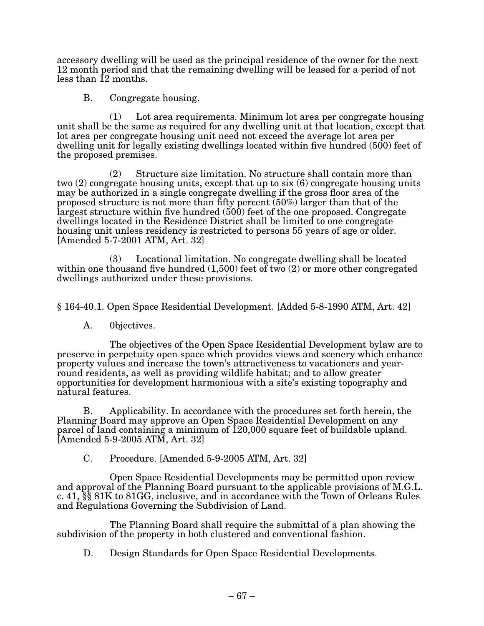accessory dwelling will be used as the principal residence of the owner for the next 12 month period and that the remaining dwelling will be leased for a period of not less than  $12$  months.

B. Congregate housing.

(1) Lot area requirements. Minimum lot area per congregate housing unit shall be the same as required for any dwelling unit at that location, except that lot area per congregate housing unit need not exceed the average lot area per dwelling unit for legally existing dwellings located within five hundred (500) feet of the proposed premises.

(2) Structure size limitation. No structure shall contain more than two (2) congregate housing units, except that up to six (6) congregate housing units may be authorized in a single congregate dwelling if the gross floor area of the proposed structure is not more than fifty percent (50%) larger than that of the largest structure within five hundred (500) feet of the one proposed. Congregate dwellings located in the Residence District shall be limited to one congregate housing unit unless residency is restricted to persons 55 years of age or older.  $[Amended 5-7-2001 ATM, Art. 32]$ 

(3) Locational limitation. No congregate dwelling shall be located within one thousand five hundred  $(1,500)$  feet of two  $(2)$  or more other congregated dwellings authorized under these provisions.

§ 164-40.1. Open Space Residential Development. [Added 5-8-1990 ATM, Art. 42]

A. 0bjectives.

 The objectives of the Open Space Residential Development bylaw are to preserve in perpetuity open space which provides views and scenery which enhance property values and increase the town's attractiveness to vacationers and yearround residents, as well as providing wildlife habitat; and to allow greater opportunities for development harmonious with a site's existing topography and natural features.

B. Applicability. In accordance with the procedures set forth herein, the Planning Board may approve an Open Space Residential Development on any parcel of land containing a minimum of 120,000 square feet of buildable upland.  $[A$ mended 5-9-2005 ATM, Art. 32 $]$ 

 $C.$  Procedure. [Amended 5-9-2005 ATM, Art. 32]

Open Space Residential Developments may be permitted upon review and approval of the Planning Board pursuant to the applicable provisions of M.G.L. c. 41,  $\S$  $\S$  81K to 81GG, inclusive, and in accordance with the Town of Orleans Rules and Regulations Governing the Subdivision of Land.

The Planning Board shall require the submittal of a plan showing the subdivision of the property in both clustered and conventional fashion.

D. Design Standards for Open Space Residential Developments.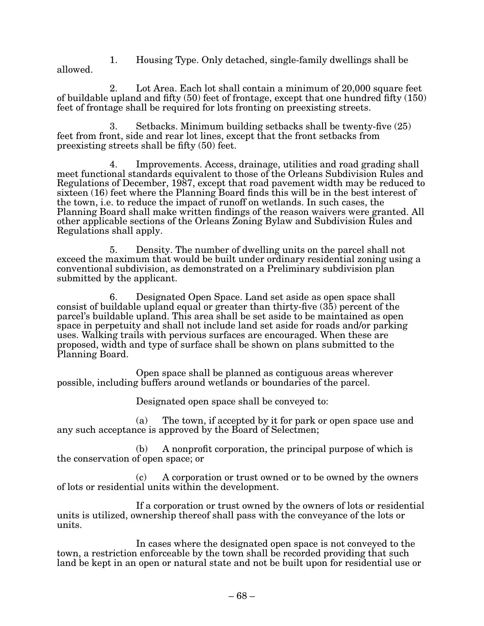1. Housing Type. Only detached, single-family dwellings shall be allowed.

2. Lot Area. Each lot shall contain a minimum of 20,000 square feet of buildable upland and fifty (50) feet of frontage, except that one hundred fifty (150) feet of frontage shall be required for lots fronting on preexisting streets.

3. Setbacks. Minimum building setbacks shall be twenty-five (25) feet from front, side and rear lot lines, except that the front setbacks from preexisting streets shall be fifty (50) feet.

4. Improvements. Access, drainage, utilities and road grading shall meet functional standards equivalent to those of the Orleans Subdivision Rules and Regulations of December, 1987, except that road pavement width may be reduced to sixteen (16) feet where the Planning Board finds this will be in the best interest of the town, i.e. to reduce the impact of runoff on wetlands. In such cases, the Planning Board shall make written findings of the reason waivers were granted. All other applicable sections of the Orleans Zoning Bylaw and Subdivision Rules and Regulations shall apply.

5. Density. The number of dwelling units on the parcel shall not exceed the maximum that would be built under ordinary residential zoning using a conventional subdivision, as demonstrated on a Preliminary subdivision plan submitted by the applicant.

6. Designated Open Space. Land set aside as open space shall consist of buildable upland equal or greater than thirty-five (35) percent of the parcel's buildable upland. This area shall be set aside to be maintained as open space in perpetuity and shall not include land set aside for roads and/or parking uses. Walking trails with pervious surfaces are encouraged. When these are proposed, width and type of surface shall be shown on plans submitted to the Planning Board.

Open space shall be planned as contiguous areas wherever possible, including buffers around wetlands or boundaries of the parcel.

Designated open space shall be conveyed to:

(a) The town, if accepted by it for park or open space use and any such acceptance is approved by the Board of Selectmen;

(b) A nonprofit corporation, the principal purpose of which is the conservation of open space; or

(c) A corporation or trust owned or to be owned by the owners of lots or residential units within the development.

If a corporation or trust owned by the owners of lots or residential units is utilized, ownership thereof shall pass with the conveyance of the lots or units.

In cases where the designated open space is not conveyed to the town, a restriction enforceable by the town shall be recorded providing that such land be kept in an open or natural state and not be built upon for residential use or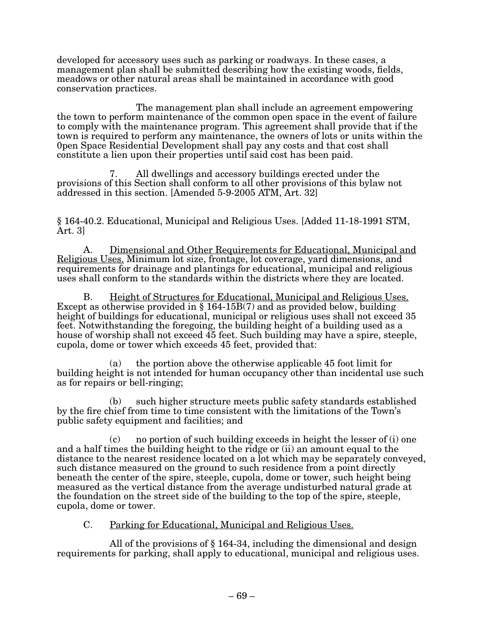developed for accessory uses such as parking or roadways. In these cases, a management plan shall be submitted describing how the existing woods, fields, meadows or other natural areas shall be maintained in accordance with good conservation practices.

The management plan shall include an agreement empowering the town to perform maintenance of the common open space in the event of failure to comply with the maintenance program. This agreement shall provide that if the town is required to perform any maintenance, the owners of lots or units within the 0pen Space Residential Development shall pay any costs and that cost shall constitute a lien upon their properties until said cost has been paid.

7. All dwellings and accessory buildings erected under the provisions of this Section shall conform to all other provisions of this bylaw not addressed in this section. [Amended 5-9-2005 ATM, Art. 32]

§ 164-40.2. Educational, Municipal and Religious Uses. [Added 11-18-1991 STM, Art. 3]

A. Dimensional and Other Requirements for Educational, Municipal and Religious Uses. Minimum lot size, frontage, lot coverage, yard dimensions, and requirements for drainage and plantings for educational, municipal and rel uses shall conform to the standards within the districts where they are located.

B. Height of Structures for Educational, Municipal and Religious Uses.<br>Except as otherwise provided in § 164-15B(7) and as provided below, building height of buildings for educational, municipal or religious uses shall not exceed 35 feet. Notwithstanding the foregoing, the building height of a building used as a house of worship shall not exceed 45 feet. Such building may have a spire, steeple, cupola, dome or tower which exceeds 45 feet, provided that:

(a) the portion above the otherwise applicable 45 foot limit for building height is not intended for human occupancy other than incidental use such as for repairs or bell-ringing;

(b) such higher structure meets public safety standards established by the fire chief from time to time consistent with the limitations of the Town's public safety equipment and facilities; and

(c) no portion of such building exceeds in height the lesser of (i) one and a half times the building height to the ridge or (ii) an amount equal to the distance to the nearest residence located on a lot which may be separately conveyed, such distance measured on the ground to such residence from a point directly beneath the center of the spire, steeple, cupola, dome or tower, such height being measured as the vertical distance from the average undisturbed natural grade at the foundation on the street side of the building to the top of the spire, steeple, cupola, dome or tower.

# C. Parking for Educational, Municipal and Religious Uses.

All of the provisions of § 164-34, including the dimensional and design requirements for parking, shall apply to educational, municipal and religious uses.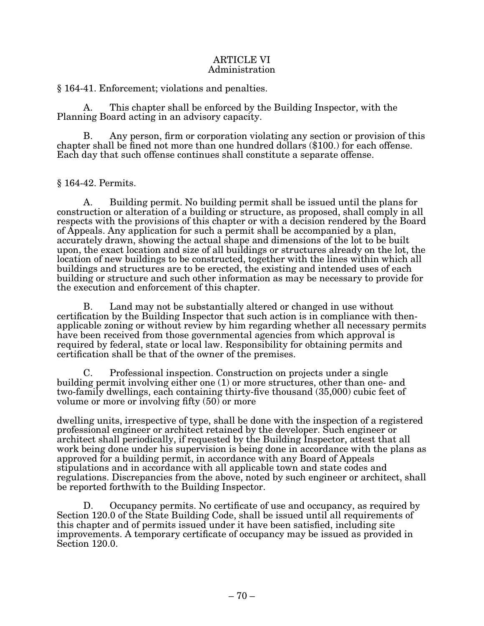## ARTICLE VI Administration

§ 164-41. Enforcement; violations and penalties.

A. This chapter shall be enforced by the Building Inspector, with the Planning Board acting in an advisory capacity.

B. Any person, firm or corporation violating any section or provision of this chapter shall be fined not more than one hundred dollars (\$100.) for each offense. Each day that such offense continues shall constitute a separate offense.

 $§$  164-42. Permits.

A. Building permit. No building permit shall be issued until the plans for construction or alteration of a building or structure, as proposed, shall comply in all respects with the provisions of this chapter or with a decision rendered by the Board of Appeals. Any application for such a permit shall be accompanied by a plan, accurately drawn, showing the actual shape and dimensions of the lot to be built upon, the exact location and size of all buildings or structures already on the lot, the location of new buildings to be constructed, together with the lines within which all buildings and structures are to be erected, the existing and intended uses of each building or structure and such other information as may be necessary to provide for the execution and enforcement of this chapter.

B. Land may not be substantially altered or changed in use without certification by the Building Inspector that such action is in compliance with thenapplicable zoning or without review by him regarding whether all necessary permits have been received from those governmental agencies from which approval is required by federal, state or local law. Responsibility for obtaining permits and certification shall be that of the owner of the premises.

C. Professional inspection. Construction on projects under a single building permit involving either one (1) or more structures, other than one- and two-family dwellings, each containing thirty-five thousand (35,000) cubic feet of volume or more or involving fifty (50) or more

dwelling units, irrespective of type, shall be done with the inspection of a registered professional engineer or architect retained by the developer. Such engineer or architect shall periodically, if requested by the Building Inspector, attest that all work being done under his supervision is being done in accordance with the plans as approved for a building permit, in accordance with any Board of Appeals stipulations and in accordance with all applicable town and state codes and regulations. Discrepancies from the above, noted by such engineer or architect, shall be reported forthwith to the Building Inspector.

D. Occupancy permits. No certificate of use and occupancy, as required by Section 120.0 of the State Building Code, shall be issued until all requirements of this chapter and of permits issued under it have been satisfied, including site improvements. A temporary certificate of occupancy may be issued as provided in Section 120.0.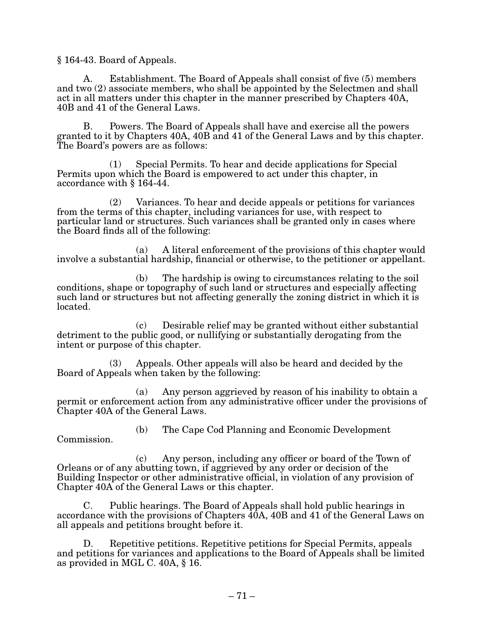§ 164-43. Board of Appeals.

A. Establishment. The Board of Appeals shall consist of five (5) members and two (2) associate members, who shall be appointed by the Selectmen and shall act in all matters under this chapter in the manner prescribed by Chapters 40A, 40B and 41 of the General Laws.

B. Powers. The Board of Appeals shall have and exercise all the powers granted to it by Chapters 40A, 40B and 41 of the General Laws and by this chapter. The Board's powers are as follows:

 $(1)$  Special Permits. To hear and decide applications for Special Permits upon which the Board is empowered to act under this chapter, in accordance with § 164-44.

 $(2)$  Variances. To hear and decide appeals or petitions for variances from the terms of this chapter, including variances for use, with respect to particular land or structures. Such variances shall be granted only in cases where the Board finds all of the following:

(a) A literal enforcement of the provisions of this chapter would involve a substantial hardship, financial or otherwise, to the petitioner or appellant.

(b) The hardship is owing to circumstances relating to the soil conditions, shape or topography of such land or structures and especially affecting such land or structures but not affecting generally the zoning district in which it is located.

(c) Desirable relief may be granted without either substantial detriment to the public good, or nullifying or substantially derogating from the intent or purpose of this chapter.

(3) Appeals. Other appeals will also be heard and decided by the Board of Appeals when taken by the following:

(a) Any person aggrieved by reason of his inability to obtain a permit or enforcement action from any administrative officer under the provisions of Chapter 40A of the General Laws.

Commission.

(b) The Cape Cod Planning and Economic Development

 $(c)$  Any person, including any officer or board of the Town of Orleans or of any abutting town, if aggrieved by any order or decision of the Building Inspector or other administrative official, in violation of any provision of Chapter 40A of the General Laws or this chapter.

C. Public hearings. The Board of Appeals shall hold public hearings in accordance with the provisions of Chapters 40A, 40B and 41 of the General Laws on all appeals and petitions brought before it.

D. Repetitive petitions. Repetitive petitions for Special Permits, appeals and petitions for variances and applications to the Board of Appeals shall be limited as provided in MGL C. 40A, § 16.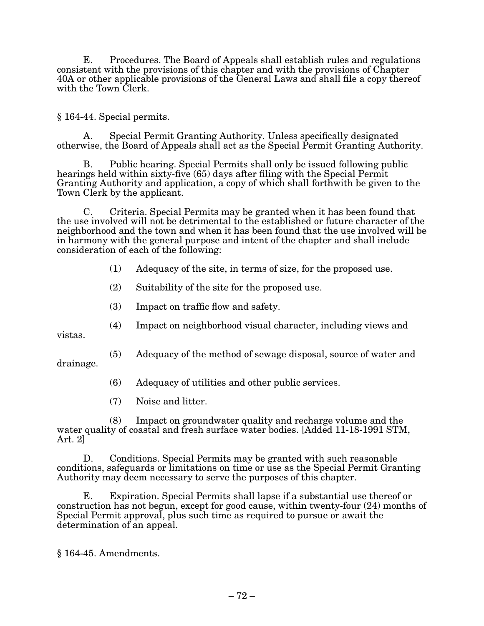E. Procedures. The Board of Appeals shall establish rules and regulations consistent with the provisions of this chapter and with the provisions of Chapter 40A or other applicable provisions of the General Laws and shall file a copy thereof with the Town Clerk.

§ 164-44. Special permits.

A. Special Permit Granting Authority. Unless specifically designated otherwise, the Board of Appeals shall act as the Special Permit Granting Authority.

B. Public hearing. Special Permits shall only be issued following public hearings held within sixty-five (65) days after filing with the Special Permit Granting Authority and application, a copy of which shall forthwith be given to the Town Clerk by the applicant.

C. Criteria. Special Permits may be granted when it has been found that the use involved will not be detrimental to the established or future character of the neighborhood and the town and when it has been found that the use involved will be in harmony with the general purpose and intent of the chapter and shall include consideration of each of the following:

- (1) Adequacy of the site, in terms of size, for the proposed use.
- (2) Suitability of the site for the proposed use.
- (3) Impact on traffic flow and safety.
- (4) Impact on neighborhood visual character, including views and

vistas.

- (5) Adequacy of the method of sewage disposal, source of water and drainage.
	- (6) Adequacy of utilities and other public services.
	- (7) Noise and litter.

(8) Impact on groundwater quality and recharge volume and the water quality of coastal and fresh surface water bodies. [Added 11-18-1991 STM, Art. 2]

D. Conditions. Special Permits may be granted with such reasonable conditions, safeguards or limitations on time or use as the Special Permit Granting Authority may deem necessary to serve the purposes of this chapter.

E. Expiration. Special Permits shall lapse if a substantial use thereof or construction has not begun, except for good cause, within twenty-four (24) months of Special Permit approval, plus such time as required to pursue or await the determination of an appeal.

§ 164-45. Amendments.